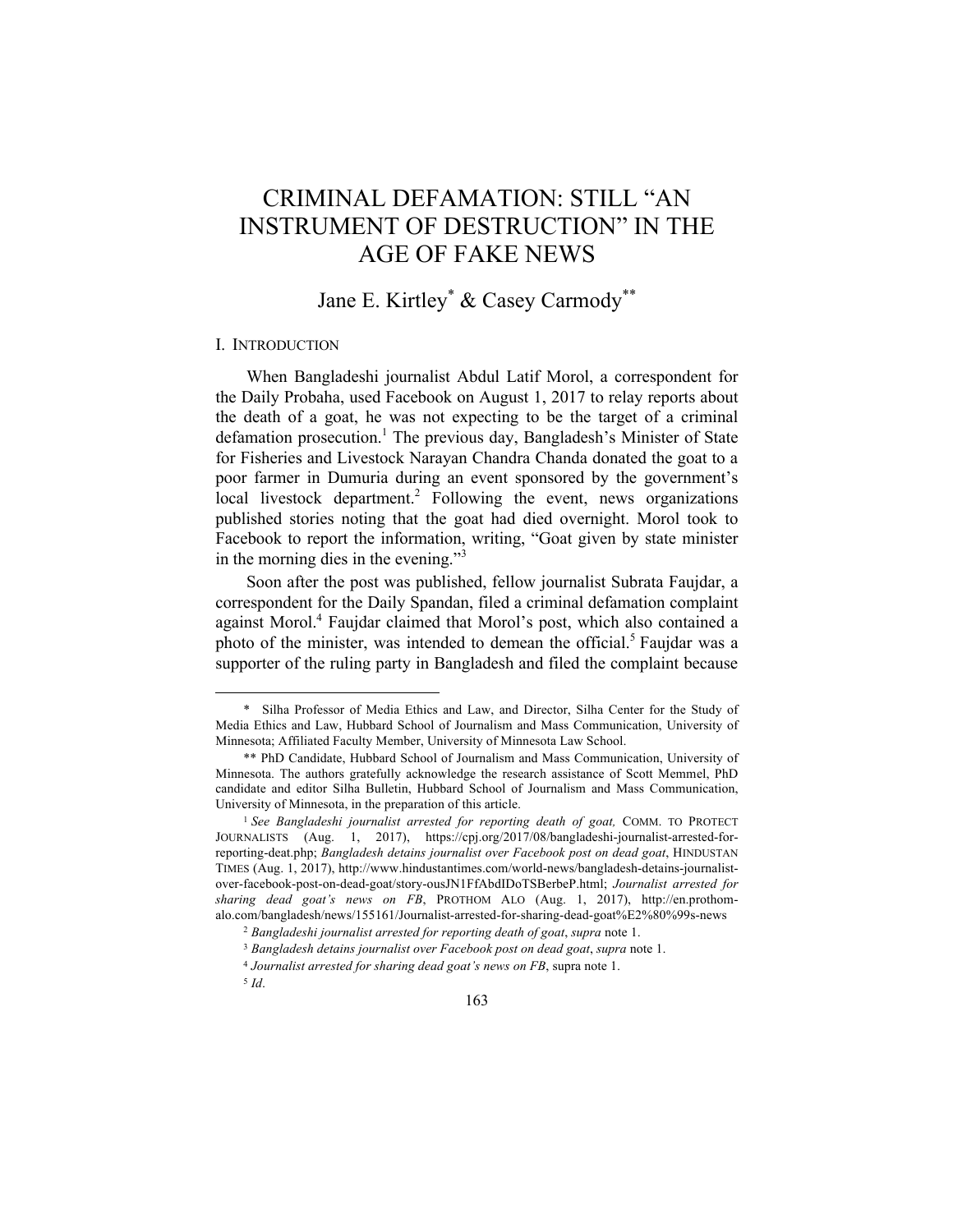# CRIMINAL DEFAMATION: STILL "AN INSTRUMENT OF DESTRUCTION" IN THE AGE OF FAKE NEWS

## Jane E. Kirtley\* & Casey Carmody\*\*

## I. INTRODUCTION

When Bangladeshi journalist Abdul Latif Morol, a correspondent for the Daily Probaha, used Facebook on August 1, 2017 to relay reports about the death of a goat, he was not expecting to be the target of a criminal defamation prosecution.<sup>1</sup> The previous day, Bangladesh's Minister of State for Fisheries and Livestock Narayan Chandra Chanda donated the goat to a poor farmer in Dumuria during an event sponsored by the government's local livestock department.<sup>2</sup> Following the event, news organizations published stories noting that the goat had died overnight. Morol took to Facebook to report the information, writing, "Goat given by state minister in the morning dies in the evening."<sup>3</sup>

Soon after the post was published, fellow journalist Subrata Faujdar, a correspondent for the Daily Spandan, filed a criminal defamation complaint against Morol.<sup>4</sup> Faujdar claimed that Morol's post, which also contained a photo of the minister, was intended to demean the official.<sup>5</sup> Faujdar was a supporter of the ruling party in Bangladesh and filed the complaint because

<sup>\*</sup> Silha Professor of Media Ethics and Law, and Director, Silha Center for the Study of Media Ethics and Law, Hubbard School of Journalism and Mass Communication, University of Minnesota; Affiliated Faculty Member, University of Minnesota Law School.

<sup>\*\*</sup> PhD Candidate, Hubbard School of Journalism and Mass Communication, University of Minnesota. The authors gratefully acknowledge the research assistance of Scott Memmel, PhD candidate and editor Silha Bulletin, Hubbard School of Journalism and Mass Communication, University of Minnesota, in the preparation of this article.

<sup>&</sup>lt;sup>1</sup> See Bangladeshi journalist arrested for reporting death of goat, COMM. TO PROTECT JOURNALISTS (Aug. 1, 2017), https://cpj.org/2017/08/bangladeshi-journalist-arrested-forreporting-deat.php; *Bangladesh detains journalist over Facebook post on dead goat*, HINDUSTAN TIMES (Aug. 1, 2017), http://www.hindustantimes.com/world-news/bangladesh-detains-journalistover-facebook-post-on-dead-goat/story-ousJN1FfAbdIDoTSBerbeP.html; *Journalist arrested for sharing dead goat's news on FB*, PROTHOM ALO (Aug. 1, 2017), http://en.prothomalo.com/bangladesh/news/155161/Journalist-arrested-for-sharing-dead-goat%E2%80%99s-news

<sup>2</sup> *Bangladeshi journalist arrested for reporting death of goat*, *supra* note 1.

<sup>3</sup> *Bangladesh detains journalist over Facebook post on dead goat*, *supra* note 1.

<sup>4</sup> *Journalist arrested for sharing dead goat's news on FB*, supra note 1.

<sup>5</sup> *Id*.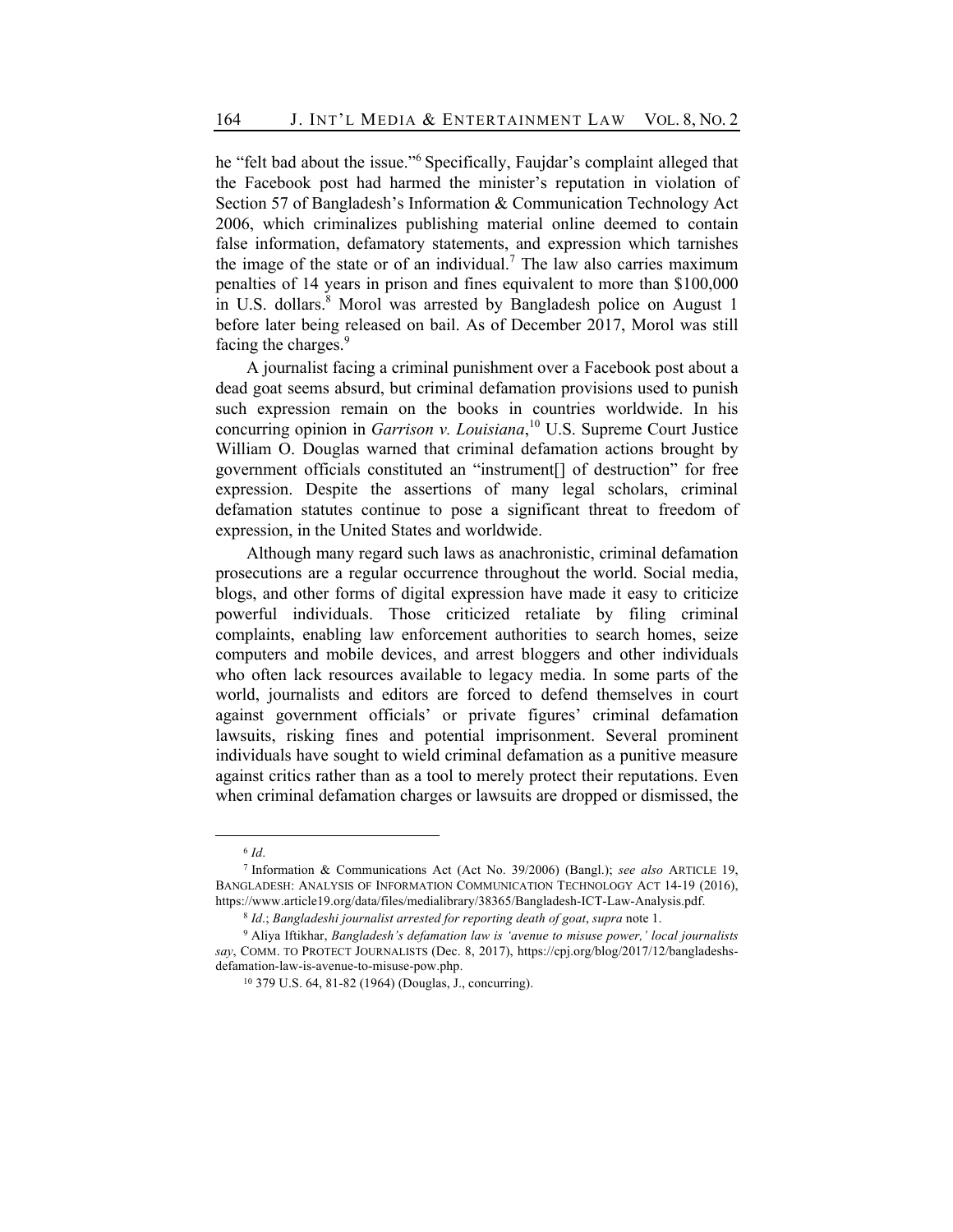he "felt bad about the issue."<sup>6</sup> Specifically, Faujdar's complaint alleged that the Facebook post had harmed the minister's reputation in violation of Section 57 of Bangladesh's Information & Communication Technology Act 2006, which criminalizes publishing material online deemed to contain false information, defamatory statements, and expression which tarnishes the image of the state or of an individual.<sup>7</sup> The law also carries maximum penalties of 14 years in prison and fines equivalent to more than \$100,000 in U.S. dollars.<sup>8</sup> Morol was arrested by Bangladesh police on August 1 before later being released on bail. As of December 2017, Morol was still facing the charges.<sup>9</sup>

A journalist facing a criminal punishment over a Facebook post about a dead goat seems absurd, but criminal defamation provisions used to punish such expression remain on the books in countries worldwide. In his concurring opinion in *Garrison v. Louisiana*, <sup>10</sup> U.S. Supreme Court Justice William O. Douglas warned that criminal defamation actions brought by government officials constituted an "instrument[] of destruction" for free expression. Despite the assertions of many legal scholars, criminal defamation statutes continue to pose a significant threat to freedom of expression, in the United States and worldwide.

Although many regard such laws as anachronistic, criminal defamation prosecutions are a regular occurrence throughout the world. Social media, blogs, and other forms of digital expression have made it easy to criticize powerful individuals. Those criticized retaliate by filing criminal complaints, enabling law enforcement authorities to search homes, seize computers and mobile devices, and arrest bloggers and other individuals who often lack resources available to legacy media. In some parts of the world, journalists and editors are forced to defend themselves in court against government officials' or private figures' criminal defamation lawsuits, risking fines and potential imprisonment. Several prominent individuals have sought to wield criminal defamation as a punitive measure against critics rather than as a tool to merely protect their reputations. Even when criminal defamation charges or lawsuits are dropped or dismissed, the

<sup>6</sup> *Id*.

<sup>7</sup> Information & Communications Act (Act No. 39/2006) (Bangl.); *see also* ARTICLE 19, BANGLADESH: ANALYSIS OF INFORMATION COMMUNICATION TECHNOLOGY ACT 14-19 (2016), https://www.article19.org/data/files/medialibrary/38365/Bangladesh-ICT-Law-Analysis.pdf.

<sup>8</sup> *Id*.; *Bangladeshi journalist arrested for reporting death of goat*, *supra* note 1.

<sup>9</sup> Aliya Iftikhar, *Bangladesh's defamation law is 'avenue to misuse power,' local journalists say*, COMM. TO PROTECT JOURNALISTS (Dec. 8, 2017), https://cpj.org/blog/2017/12/bangladeshsdefamation-law-is-avenue-to-misuse-pow.php.

<sup>10</sup> 379 U.S. 64, 81-82 (1964) (Douglas, J., concurring).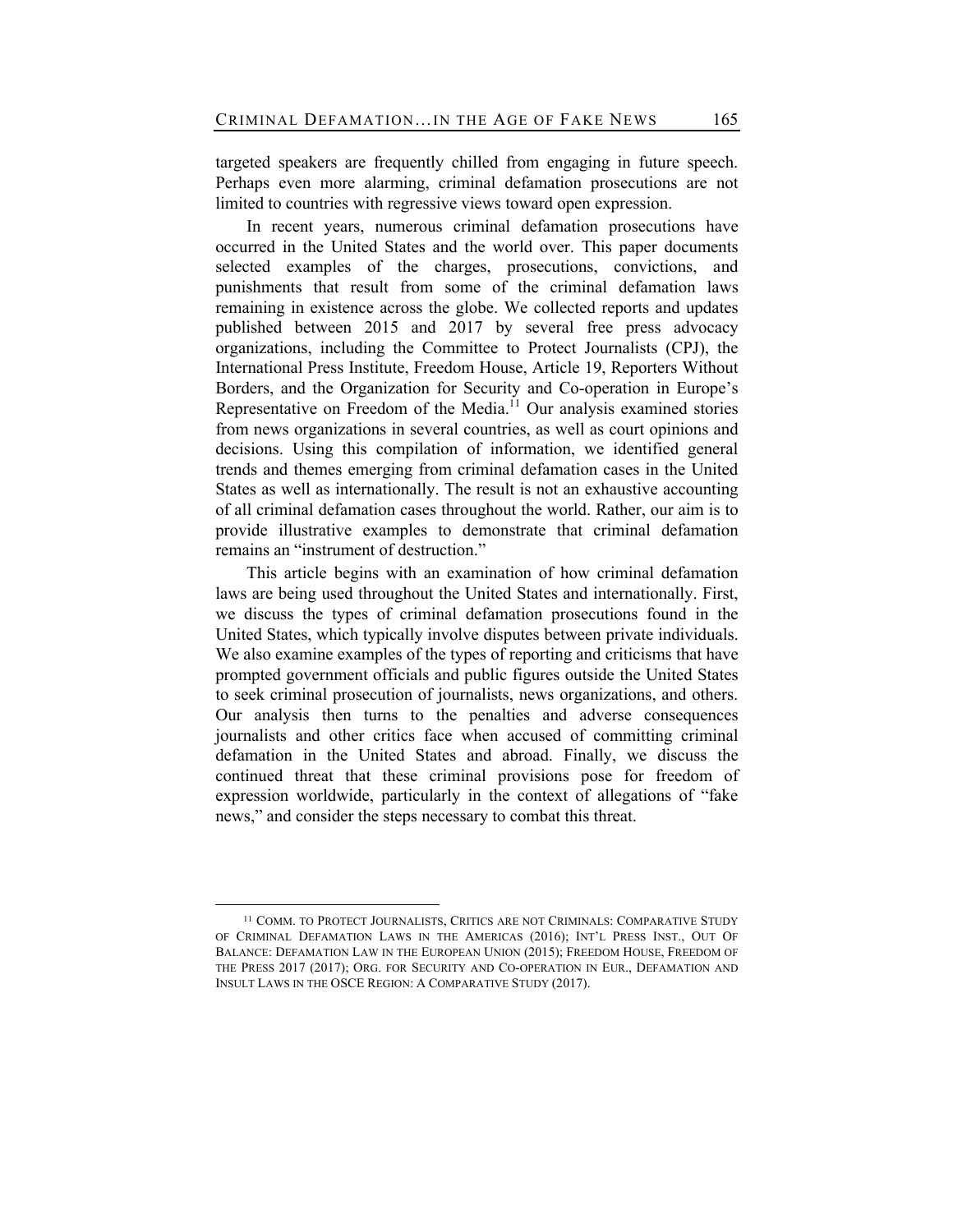targeted speakers are frequently chilled from engaging in future speech. Perhaps even more alarming, criminal defamation prosecutions are not limited to countries with regressive views toward open expression.

In recent years, numerous criminal defamation prosecutions have occurred in the United States and the world over. This paper documents selected examples of the charges, prosecutions, convictions, and punishments that result from some of the criminal defamation laws remaining in existence across the globe. We collected reports and updates published between 2015 and 2017 by several free press advocacy organizations, including the Committee to Protect Journalists (CPJ), the International Press Institute, Freedom House, Article 19, Reporters Without Borders, and the Organization for Security and Co-operation in Europe's Representative on Freedom of the Media.<sup>11</sup> Our analysis examined stories from news organizations in several countries, as well as court opinions and decisions. Using this compilation of information, we identified general trends and themes emerging from criminal defamation cases in the United States as well as internationally. The result is not an exhaustive accounting of all criminal defamation cases throughout the world. Rather, our aim is to provide illustrative examples to demonstrate that criminal defamation remains an "instrument of destruction."

This article begins with an examination of how criminal defamation laws are being used throughout the United States and internationally. First, we discuss the types of criminal defamation prosecutions found in the United States, which typically involve disputes between private individuals. We also examine examples of the types of reporting and criticisms that have prompted government officials and public figures outside the United States to seek criminal prosecution of journalists, news organizations, and others. Our analysis then turns to the penalties and adverse consequences journalists and other critics face when accused of committing criminal defamation in the United States and abroad. Finally, we discuss the continued threat that these criminal provisions pose for freedom of expression worldwide, particularly in the context of allegations of "fake news," and consider the steps necessary to combat this threat.

<sup>&</sup>lt;sup>11</sup> COMM. TO PROTECT JOURNALISTS, CRITICS ARE NOT CRIMINALS: COMPARATIVE STUDY OF CRIMINAL DEFAMATION LAWS IN THE AMERICAS (2016); INT'L PRESS INST., OUT OF BALANCE: DEFAMATION LAW IN THE EUROPEAN UNION (2015); FREEDOM HOUSE, FREEDOM OF THE PRESS 2017 (2017); ORG. FOR SECURITY AND CO-OPERATION IN EUR., DEFAMATION AND INSULT LAWS IN THE OSCE REGION: A COMPARATIVE STUDY (2017).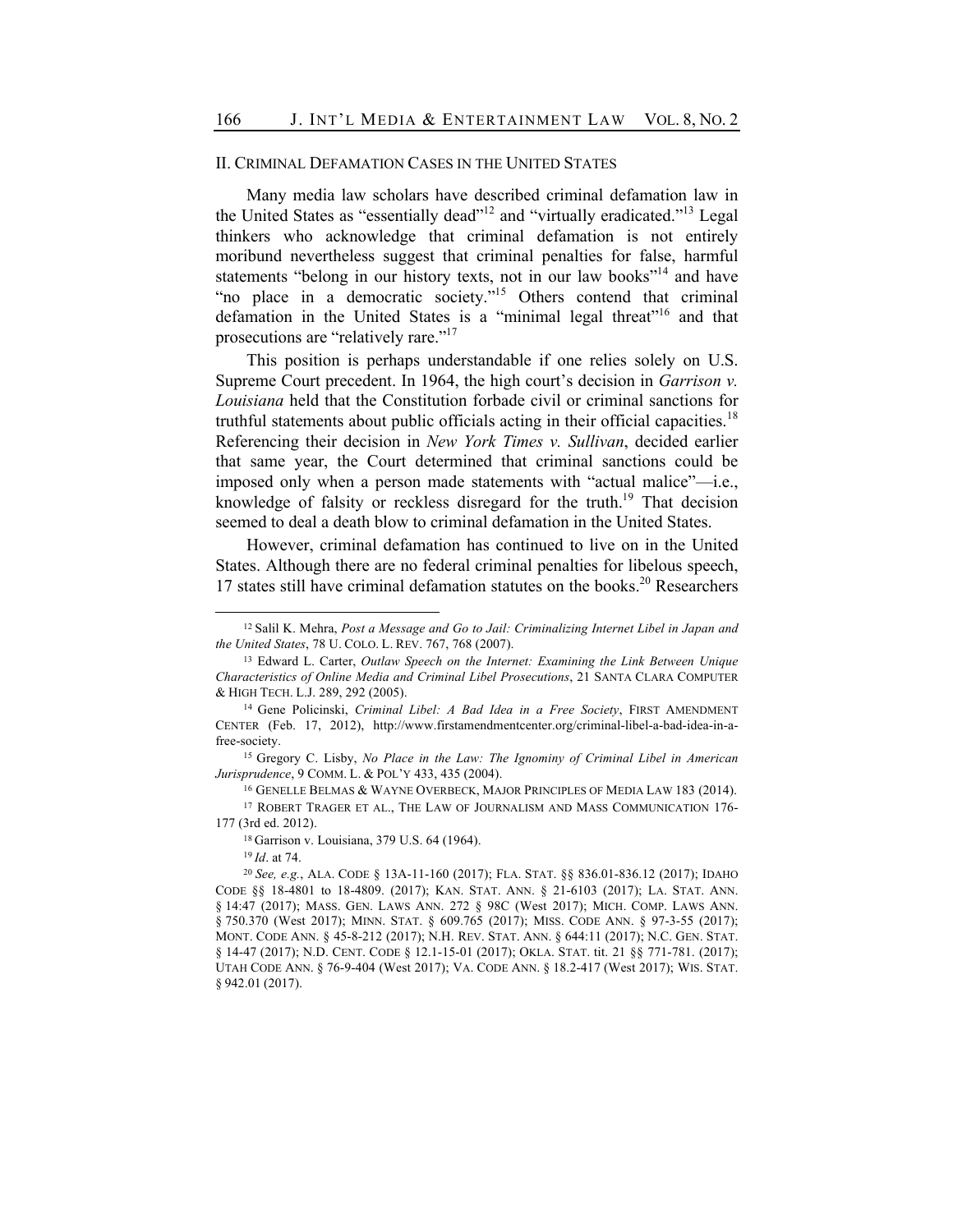## II. CRIMINAL DEFAMATION CASES IN THE UNITED STATES

Many media law scholars have described criminal defamation law in the United States as "essentially dead"<sup>12</sup> and "virtually eradicated."<sup>13</sup> Legal thinkers who acknowledge that criminal defamation is not entirely moribund nevertheless suggest that criminal penalties for false, harmful statements "belong in our history texts, not in our law books"<sup>14</sup> and have "no place in a democratic society."<sup>15</sup> Others contend that criminal defamation in the United States is a "minimal legal threat"<sup>16</sup> and that prosecutions are "relatively rare."<sup>17</sup>

This position is perhaps understandable if one relies solely on U.S. Supreme Court precedent. In 1964, the high court's decision in *Garrison v. Louisiana* held that the Constitution forbade civil or criminal sanctions for truthful statements about public officials acting in their official capacities.<sup>18</sup> Referencing their decision in *New York Times v. Sullivan*, decided earlier that same year, the Court determined that criminal sanctions could be imposed only when a person made statements with "actual malice"—i.e., knowledge of falsity or reckless disregard for the truth.<sup>19</sup> That decision seemed to deal a death blow to criminal defamation in the United States.

However, criminal defamation has continued to live on in the United States. Although there are no federal criminal penalties for libelous speech, 17 states still have criminal defamation statutes on the books.<sup>20</sup> Researchers

<sup>15</sup> Gregory C. Lisby, *No Place in the Law: The Ignominy of Criminal Libel in American Jurisprudence*, 9 COMM. L. & POL'Y 433, 435 (2004).

<sup>16</sup> GENELLE BELMAS & WAYNE OVERBECK, MAJOR PRINCIPLES OF MEDIA LAW 183 (2014). <sup>17</sup> ROBERT TRAGER ET AL., THE LAW OF JOURNALISM AND MASS COMMUNICATION 176-

177 (3rd ed. 2012).

<sup>18</sup> Garrison v. Louisiana, 379 U.S. 64 (1964).

<sup>19</sup> *Id*. at 74.

<sup>12</sup> Salil K. Mehra, *Post a Message and Go to Jail: Criminalizing Internet Libel in Japan and the United States*, 78 U. COLO. L. REV. 767, 768 (2007).

<sup>13</sup> Edward L. Carter, *Outlaw Speech on the Internet: Examining the Link Between Unique Characteristics of Online Media and Criminal Libel Prosecutions*, 21 SANTA CLARA COMPUTER & HIGH TECH. L.J. 289, 292 (2005).

<sup>14</sup> Gene Policinski, *Criminal Libel: A Bad Idea in a Free Society*, FIRST AMENDMENT CENTER (Feb. 17, 2012), http://www.firstamendmentcenter.org/criminal-libel-a-bad-idea-in-afree-society.

<sup>20</sup> *See, e.g.*, ALA. CODE § 13A-11-160 (2017); FLA. STAT. §§ 836.01-836.12 (2017); IDAHO CODE §§ 18-4801 to 18-4809. (2017); KAN. STAT. ANN. § 21-6103 (2017); LA. STAT. ANN. § 14:47 (2017); MASS. GEN. LAWS ANN. 272 § 98C (West 2017); MICH. COMP. LAWS ANN. § 750.370 (West 2017); MINN. STAT. § 609.765 (2017); MISS. CODE ANN. § 97-3-55 (2017); MONT. CODE ANN. § 45-8-212 (2017); N.H. REV. STAT. ANN. § 644:11 (2017); N.C. GEN. STAT. § 14-47 (2017); N.D. CENT. CODE § 12.1-15-01 (2017); OKLA. STAT. tit. 21 §§ 771-781. (2017); UTAH CODE ANN. § 76-9-404 (West 2017); VA. CODE ANN. § 18.2-417 (West 2017); WIS. STAT. § 942.01 (2017).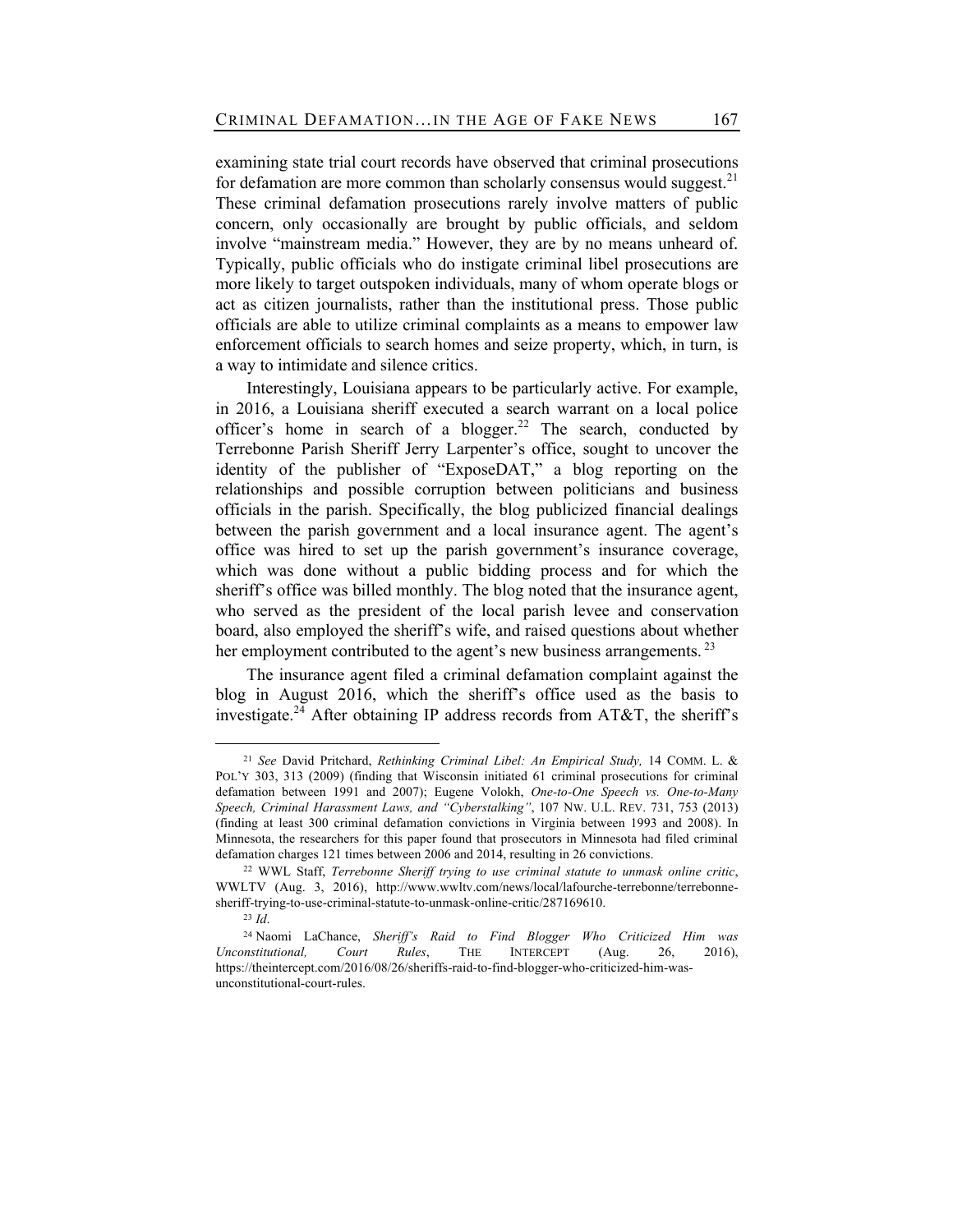examining state trial court records have observed that criminal prosecutions for defamation are more common than scholarly consensus would suggest.<sup>21</sup> These criminal defamation prosecutions rarely involve matters of public concern, only occasionally are brought by public officials, and seldom involve "mainstream media." However, they are by no means unheard of. Typically, public officials who do instigate criminal libel prosecutions are more likely to target outspoken individuals, many of whom operate blogs or act as citizen journalists, rather than the institutional press. Those public officials are able to utilize criminal complaints as a means to empower law enforcement officials to search homes and seize property, which, in turn, is a way to intimidate and silence critics.

Interestingly, Louisiana appears to be particularly active. For example, in 2016, a Louisiana sheriff executed a search warrant on a local police officer's home in search of a blogger.<sup>22</sup> The search, conducted by Terrebonne Parish Sheriff Jerry Larpenter's office, sought to uncover the identity of the publisher of "ExposeDAT," a blog reporting on the relationships and possible corruption between politicians and business officials in the parish. Specifically, the blog publicized financial dealings between the parish government and a local insurance agent. The agent's office was hired to set up the parish government's insurance coverage, which was done without a public bidding process and for which the sheriff's office was billed monthly. The blog noted that the insurance agent, who served as the president of the local parish levee and conservation board, also employed the sheriff's wife, and raised questions about whether her employment contributed to the agent's new business arrangements.<sup>23</sup>

The insurance agent filed a criminal defamation complaint against the blog in August 2016, which the sheriff's office used as the basis to investigate.<sup>24</sup> After obtaining IP address records from AT&T, the sheriff's

<sup>21</sup> *See* David Pritchard, *Rethinking Criminal Libel: An Empirical Study,* 14 COMM. L. & POL'Y 303, 313 (2009) (finding that Wisconsin initiated 61 criminal prosecutions for criminal defamation between 1991 and 2007); Eugene Volokh, *One-to-One Speech vs. One-to-Many Speech, Criminal Harassment Laws, and "Cyberstalking"*, 107 NW. U.L. REV. 731, 753 (2013) (finding at least 300 criminal defamation convictions in Virginia between 1993 and 2008). In Minnesota, the researchers for this paper found that prosecutors in Minnesota had filed criminal defamation charges 121 times between 2006 and 2014, resulting in 26 convictions.

<sup>22</sup> WWL Staff, *Terrebonne Sheriff trying to use criminal statute to unmask online critic*, WWLTV (Aug. 3, 2016), http://www.wwltv.com/news/local/lafourche-terrebonne/terrebonnesheriff-trying-to-use-criminal-statute-to-unmask-online-critic/287169610.

<sup>23</sup> *Id*.

<sup>24</sup> Naomi LaChance, *Sheriff's Raid to Find Blogger Who Criticized Him was Unconstitutional, Court Rules*, THE INTERCEPT (Aug. 26, 2016), https://theintercept.com/2016/08/26/sheriffs-raid-to-find-blogger-who-criticized-him-wasunconstitutional-court-rules.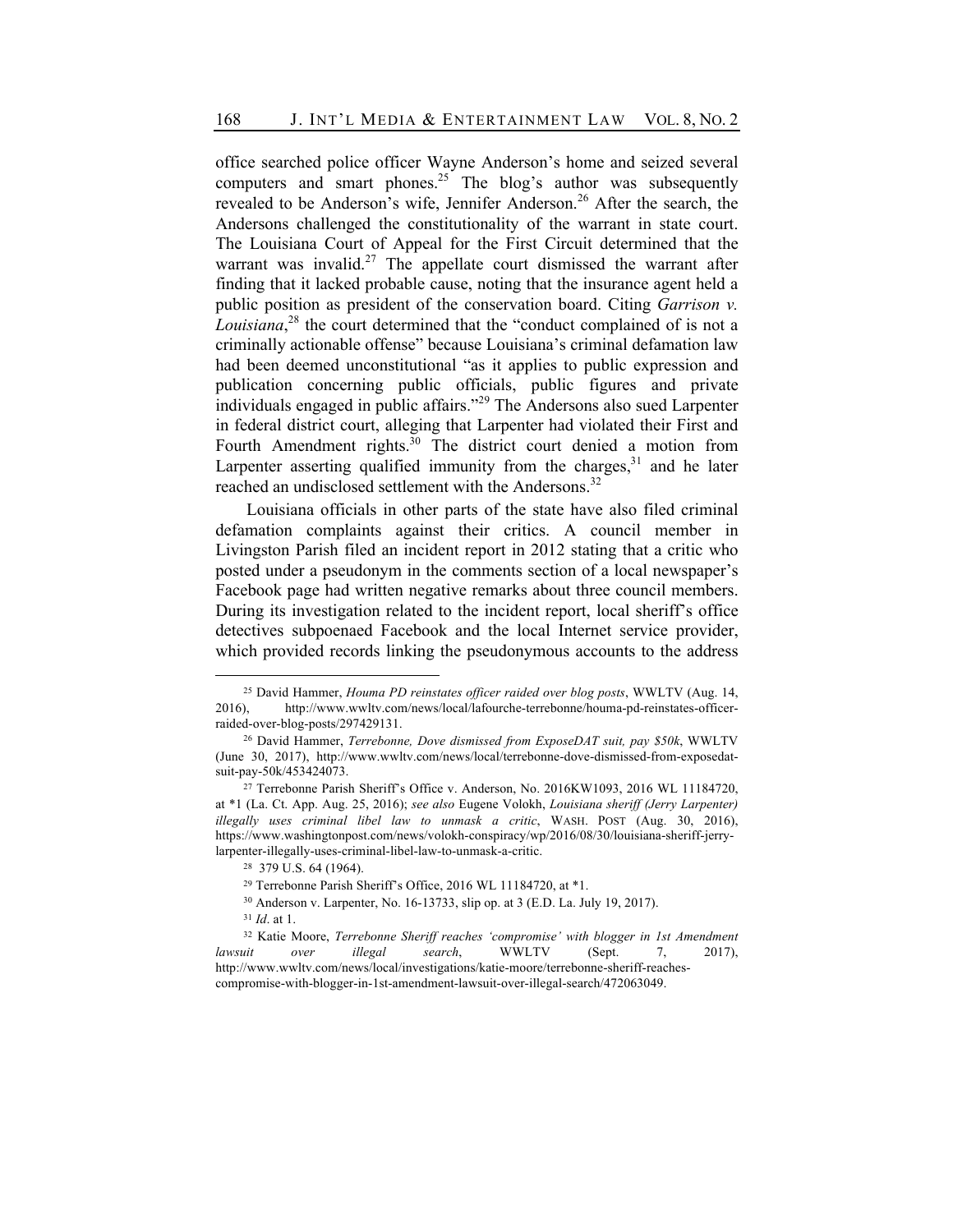office searched police officer Wayne Anderson's home and seized several computers and smart phones.<sup>25</sup> The blog's author was subsequently revealed to be Anderson's wife, Jennifer Anderson.<sup>26</sup> After the search, the Andersons challenged the constitutionality of the warrant in state court. The Louisiana Court of Appeal for the First Circuit determined that the warrant was invalid.<sup>27</sup> The appellate court dismissed the warrant after finding that it lacked probable cause, noting that the insurance agent held a public position as president of the conservation board. Citing *Garrison v. Louisiana*, <sup>28</sup> the court determined that the "conduct complained of is not a criminally actionable offense" because Louisiana's criminal defamation law had been deemed unconstitutional "as it applies to public expression and publication concerning public officials, public figures and private individuals engaged in public affairs."<sup>29</sup> The Andersons also sued Larpenter in federal district court, alleging that Larpenter had violated their First and Fourth Amendment rights.<sup>30</sup> The district court denied a motion from Larpenter asserting qualified immunity from the charges,  $31$  and he later reached an undisclosed settlement with the Andersons.<sup>32</sup>

Louisiana officials in other parts of the state have also filed criminal defamation complaints against their critics. A council member in Livingston Parish filed an incident report in 2012 stating that a critic who posted under a pseudonym in the comments section of a local newspaper's Facebook page had written negative remarks about three council members. During its investigation related to the incident report, local sheriff's office detectives subpoenaed Facebook and the local Internet service provider, which provided records linking the pseudonymous accounts to the address

<sup>25</sup> David Hammer, *Houma PD reinstates officer raided over blog posts*, WWLTV (Aug. 14, 2016), http://www.wwltv.com/news/local/lafourche-terrebonne/houma-pd-reinstates-officerraided-over-blog-posts/297429131.

<sup>26</sup> David Hammer, *Terrebonne, Dove dismissed from ExposeDAT suit, pay \$50k*, WWLTV (June 30, 2017), http://www.wwltv.com/news/local/terrebonne-dove-dismissed-from-exposedatsuit-pay-50k/453424073.

<sup>27</sup> Terrebonne Parish Sheriff's Office v. Anderson, No. 2016KW1093, 2016 WL 11184720, at \*1 (La. Ct. App. Aug. 25, 2016); *see also* Eugene Volokh, *Louisiana sheriff (Jerry Larpenter) illegally uses criminal libel law to unmask a critic*, WASH. POST (Aug. 30, 2016), https://www.washingtonpost.com/news/volokh-conspiracy/wp/2016/08/30/louisiana-sheriff-jerrylarpenter-illegally-uses-criminal-libel-law-to-unmask-a-critic.

<sup>28 379</sup> U.S. 64 (1964).

<sup>29</sup> Terrebonne Parish Sheriff's Office, 2016 WL 11184720, at \*1.

<sup>30</sup> Anderson v. Larpenter, No. 16-13733, slip op. at 3 (E.D. La. July 19, 2017).

<sup>31</sup> *Id*. at 1.

<sup>32</sup> Katie Moore, *Terrebonne Sheriff reaches 'compromise' with blogger in 1st Amendment lawsuit over illegal search*, WWLTV (Sept. 7, 2017), http://www.wwltv.com/news/local/investigations/katie-moore/terrebonne-sheriff-reachescompromise-with-blogger-in-1st-amendment-lawsuit-over-illegal-search/472063049.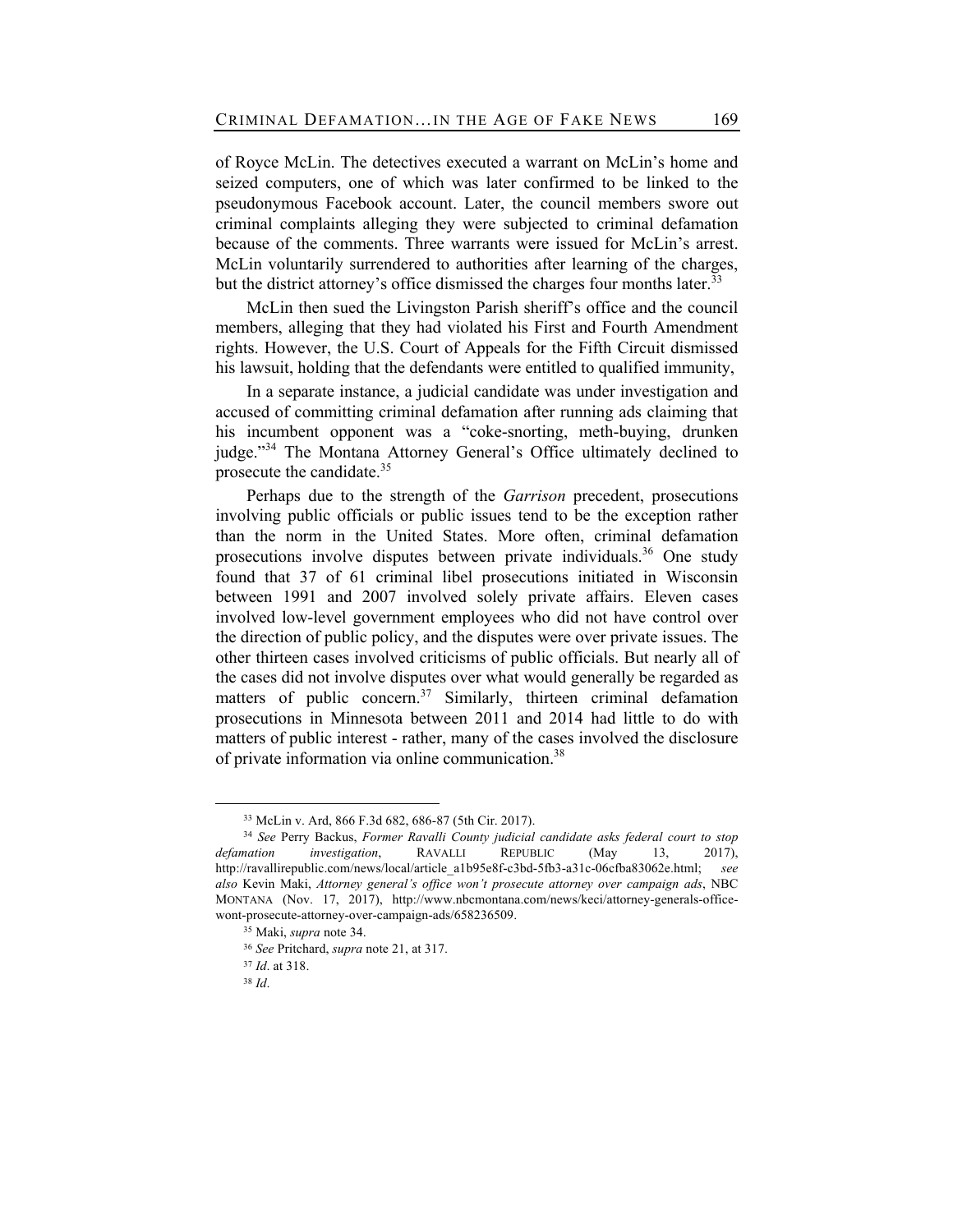of Royce McLin. The detectives executed a warrant on McLin's home and seized computers, one of which was later confirmed to be linked to the pseudonymous Facebook account. Later, the council members swore out criminal complaints alleging they were subjected to criminal defamation because of the comments. Three warrants were issued for McLin's arrest. McLin voluntarily surrendered to authorities after learning of the charges, but the district attorney's office dismissed the charges four months later.<sup>33</sup>

McLin then sued the Livingston Parish sheriff's office and the council members, alleging that they had violated his First and Fourth Amendment rights. However, the U.S. Court of Appeals for the Fifth Circuit dismissed his lawsuit, holding that the defendants were entitled to qualified immunity,

In a separate instance, a judicial candidate was under investigation and accused of committing criminal defamation after running ads claiming that his incumbent opponent was a "coke-snorting, meth-buying, drunken judge."<sup>34</sup> The Montana Attorney General's Office ultimately declined to prosecute the candidate.<sup>35</sup>

Perhaps due to the strength of the *Garrison* precedent, prosecutions involving public officials or public issues tend to be the exception rather than the norm in the United States. More often, criminal defamation prosecutions involve disputes between private individuals.<sup>36</sup> One study found that 37 of 61 criminal libel prosecutions initiated in Wisconsin between 1991 and 2007 involved solely private affairs. Eleven cases involved low-level government employees who did not have control over the direction of public policy, and the disputes were over private issues. The other thirteen cases involved criticisms of public officials. But nearly all of the cases did not involve disputes over what would generally be regarded as matters of public concern.<sup>37</sup> Similarly, thirteen criminal defamation prosecutions in Minnesota between 2011 and 2014 had little to do with matters of public interest - rather, many of the cases involved the disclosure of private information via online communication.<sup>38</sup>

<sup>33</sup> McLin v. Ard, 866 F.3d 682, 686-87 (5th Cir. 2017).

<sup>34</sup> *See* Perry Backus, *Former Ravalli County judicial candidate asks federal court to stop defamation investigation*, RAVALLI REPUBLIC (May 13, 2017), http://ravallirepublic.com/news/local/article\_a1b95e8f-c3bd-5fb3-a31c-06cfba83062e.html; *see also* Kevin Maki, *Attorney general's office won't prosecute attorney over campaign ads*, NBC MONTANA (Nov. 17, 2017), http://www.nbcmontana.com/news/keci/attorney-generals-officewont-prosecute-attorney-over-campaign-ads/658236509.

<sup>35</sup> Maki, *supra* note 34.

<sup>36</sup> *See* Pritchard, *supra* note 21, at 317.

<sup>37</sup> *Id*. at 318.

<sup>38</sup> *Id*.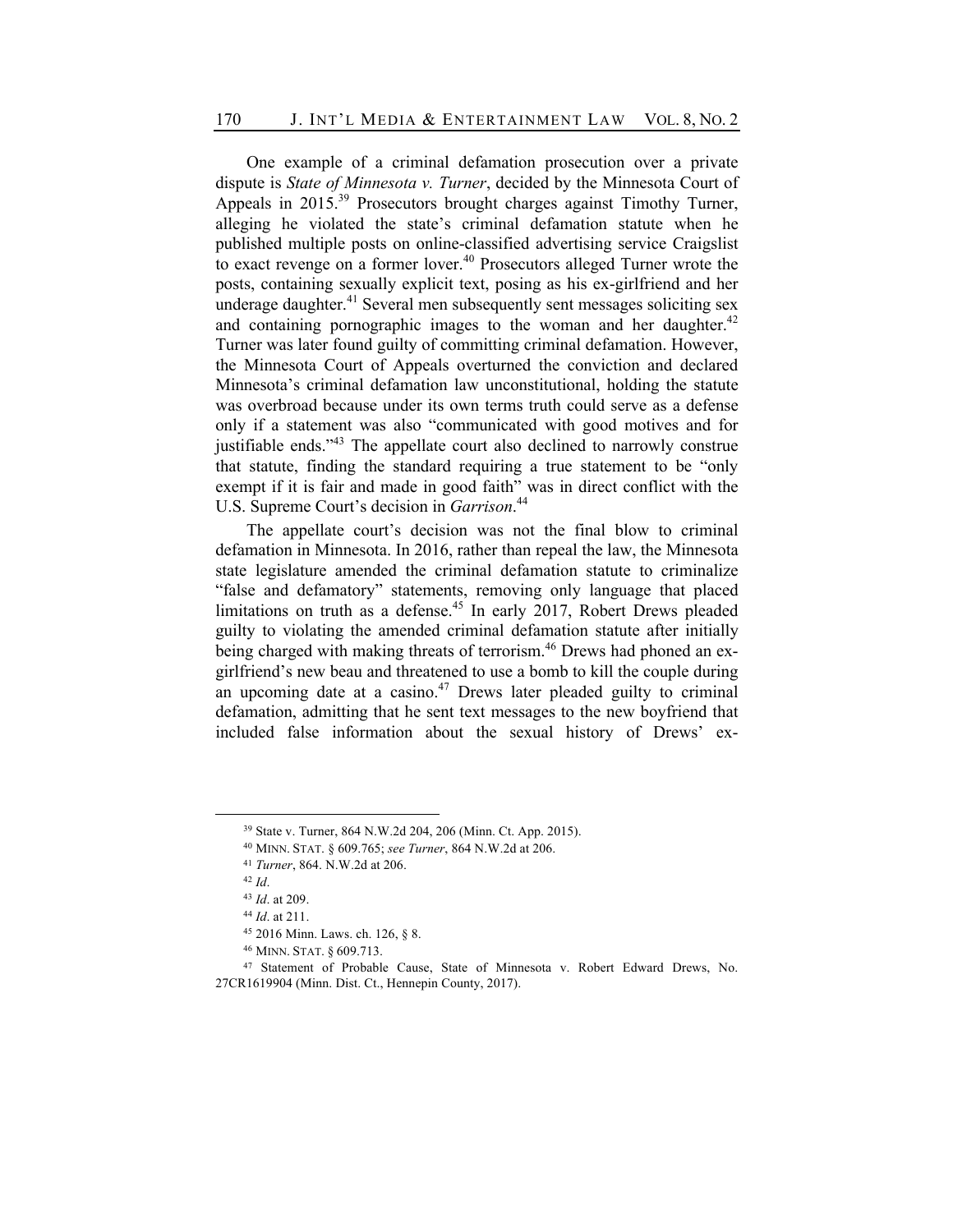One example of a criminal defamation prosecution over a private dispute is *State of Minnesota v. Turner*, decided by the Minnesota Court of Appeals in  $2015^{39}$  Prosecutors brought charges against Timothy Turner, alleging he violated the state's criminal defamation statute when he published multiple posts on online-classified advertising service Craigslist to exact revenge on a former lover.<sup>40</sup> Prosecutors alleged Turner wrote the posts, containing sexually explicit text, posing as his ex-girlfriend and her underage daughter.<sup>41</sup> Several men subsequently sent messages soliciting sex and containing pornographic images to the woman and her daughter.<sup>42</sup> Turner was later found guilty of committing criminal defamation. However, the Minnesota Court of Appeals overturned the conviction and declared Minnesota's criminal defamation law unconstitutional, holding the statute was overbroad because under its own terms truth could serve as a defense only if a statement was also "communicated with good motives and for justifiable ends."43 The appellate court also declined to narrowly construe that statute, finding the standard requiring a true statement to be "only exempt if it is fair and made in good faith" was in direct conflict with the U.S. Supreme Court's decision in *Garrison*. 44

The appellate court's decision was not the final blow to criminal defamation in Minnesota. In 2016, rather than repeal the law, the Minnesota state legislature amended the criminal defamation statute to criminalize "false and defamatory" statements, removing only language that placed limitations on truth as a defense.<sup>45</sup> In early 2017, Robert Drews pleaded guilty to violating the amended criminal defamation statute after initially being charged with making threats of terrorism.<sup>46</sup> Drews had phoned an exgirlfriend's new beau and threatened to use a bomb to kill the couple during an upcoming date at a casino.<sup>47</sup> Drews later pleaded guilty to criminal defamation, admitting that he sent text messages to the new boyfriend that included false information about the sexual history of Drews' ex-

<sup>40</sup> MINN. STAT. § 609.765; *see Turner*, 864 N.W.2d at 206.

<sup>39</sup> State v. Turner, 864 N.W.2d 204, 206 (Minn. Ct. App. 2015).

<sup>41</sup> *Turner*, 864. N.W.2d at 206.

<sup>42</sup> *Id*.

<sup>43</sup> *Id*. at 209.

<sup>44</sup> *Id*. at 211.

<sup>45</sup> 2016 Minn. Laws. ch. 126, § 8.

<sup>46</sup> MINN. STAT. § 609.713.

<sup>47</sup> Statement of Probable Cause, State of Minnesota v. Robert Edward Drews, No. 27CR1619904 (Minn. Dist. Ct., Hennepin County, 2017).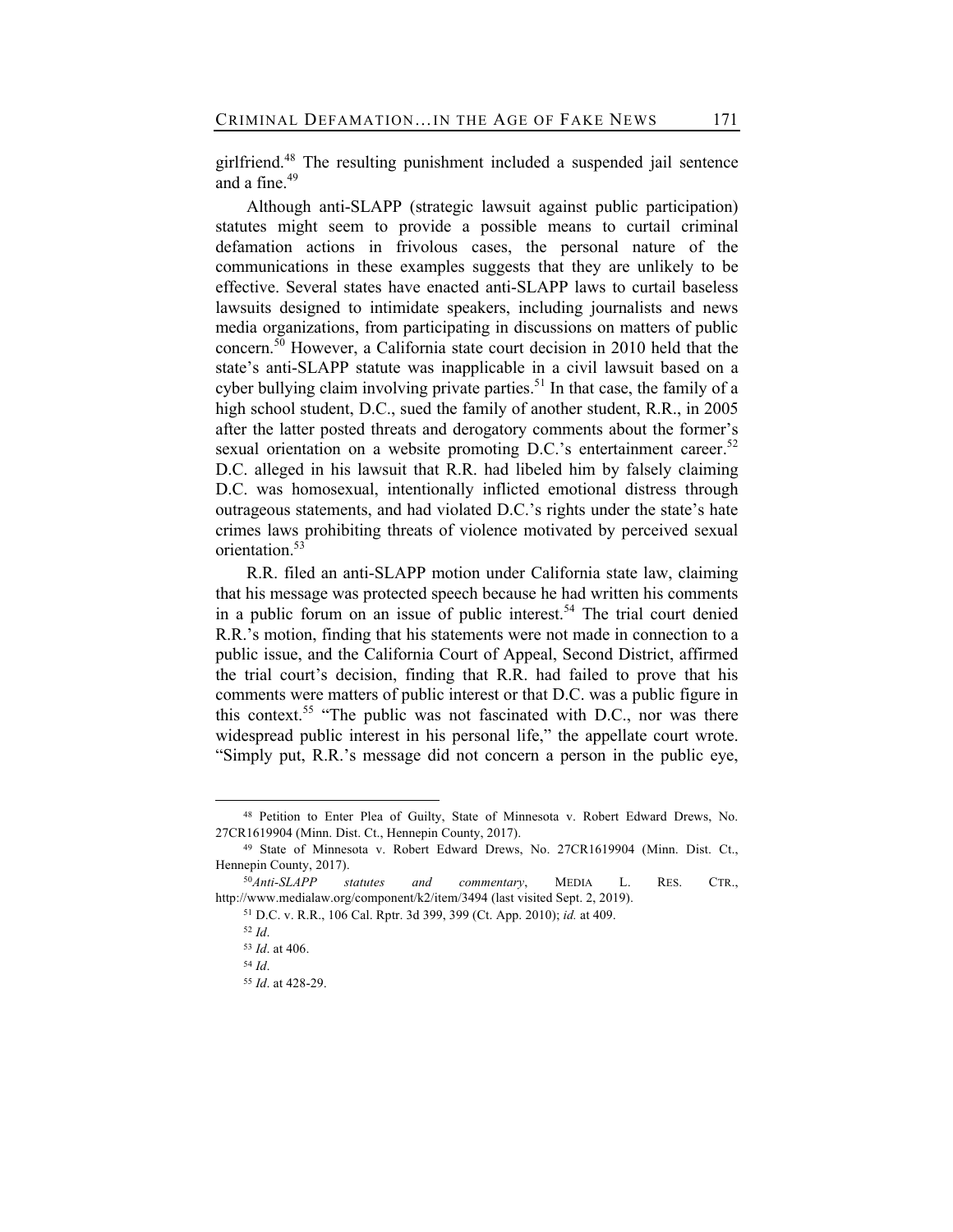girlfriend.<sup>48</sup> The resulting punishment included a suspended jail sentence and a fine.<sup>49</sup>

Although anti-SLAPP (strategic lawsuit against public participation) statutes might seem to provide a possible means to curtail criminal defamation actions in frivolous cases, the personal nature of the communications in these examples suggests that they are unlikely to be effective. Several states have enacted anti-SLAPP laws to curtail baseless lawsuits designed to intimidate speakers, including journalists and news media organizations, from participating in discussions on matters of public concern.<sup>50</sup> However, a California state court decision in 2010 held that the state's anti-SLAPP statute was inapplicable in a civil lawsuit based on a cyber bullying claim involving private parties.<sup>51</sup> In that case, the family of a high school student, D.C., sued the family of another student, R.R., in 2005 after the latter posted threats and derogatory comments about the former's sexual orientation on a website promoting D.C.'s entertainment career.<sup>52</sup> D.C. alleged in his lawsuit that R.R. had libeled him by falsely claiming D.C. was homosexual, intentionally inflicted emotional distress through outrageous statements, and had violated D.C.'s rights under the state's hate crimes laws prohibiting threats of violence motivated by perceived sexual orientation.<sup>53</sup>

R.R. filed an anti-SLAPP motion under California state law, claiming that his message was protected speech because he had written his comments in a public forum on an issue of public interest.<sup>54</sup> The trial court denied R.R.'s motion, finding that his statements were not made in connection to a public issue, and the California Court of Appeal, Second District, affirmed the trial court's decision, finding that R.R. had failed to prove that his comments were matters of public interest or that D.C. was a public figure in this context.<sup>55</sup> "The public was not fascinated with D.C., nor was there widespread public interest in his personal life," the appellate court wrote. "Simply put, R.R.'s message did not concern a person in the public eye,

<sup>48</sup> Petition to Enter Plea of Guilty, State of Minnesota v. Robert Edward Drews, No. 27CR1619904 (Minn. Dist. Ct., Hennepin County, 2017).

<sup>49</sup> State of Minnesota v. Robert Edward Drews, No. 27CR1619904 (Minn. Dist. Ct., Hennepin County, 2017).

<sup>50</sup>*Anti-SLAPP statutes and commentary*, MEDIA L. RES. CTR., http://www.medialaw.org/component/k2/item/3494 (last visited Sept. 2, 2019).

<sup>51</sup> D.C. v. R.R., 106 Cal. Rptr. 3d 399, 399 (Ct. App. 2010); *id.* at 409.

<sup>52</sup> *Id*.

<sup>53</sup> *Id*. at 406.

<sup>54</sup> *Id*.

<sup>55</sup> *Id*. at 428-29.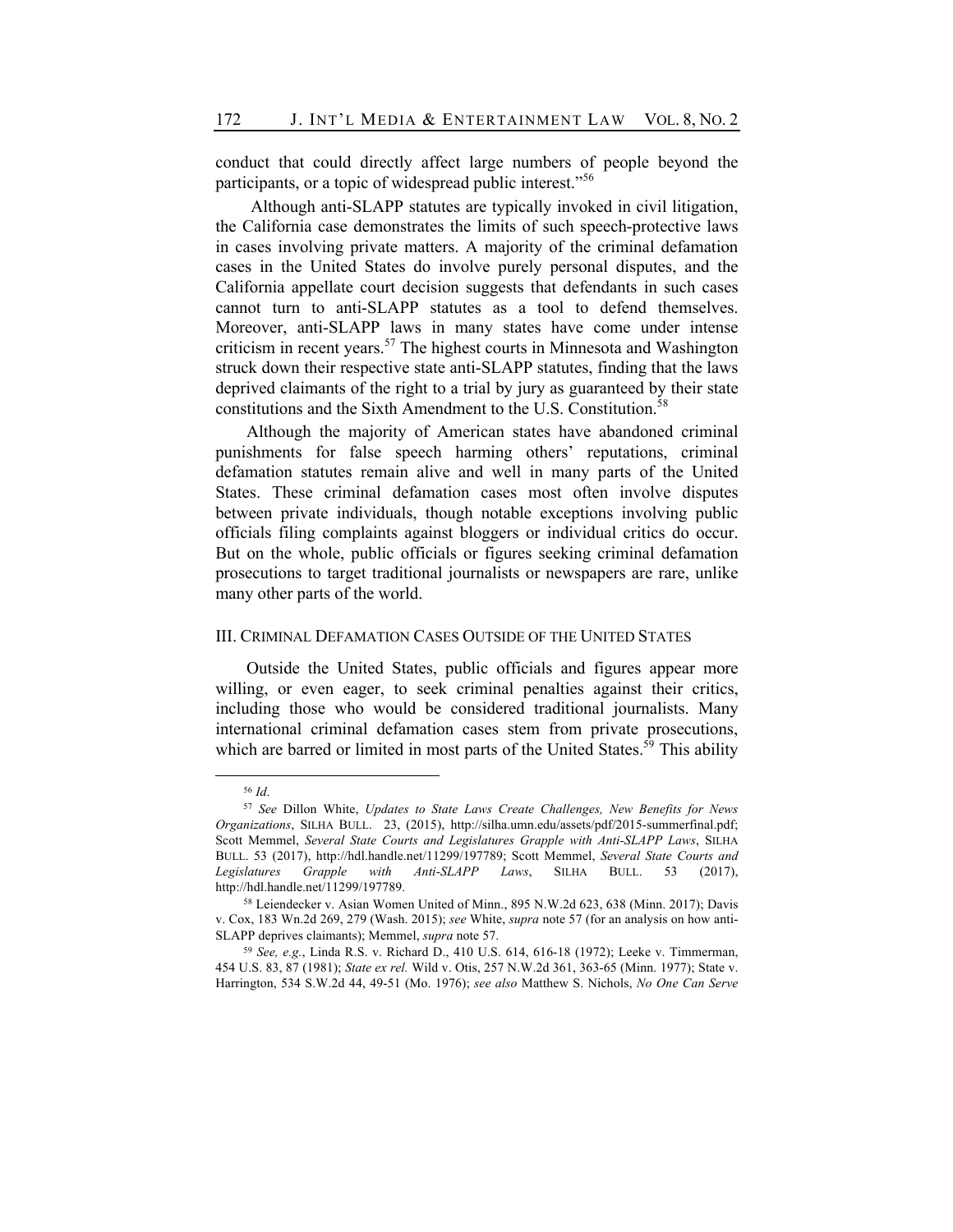conduct that could directly affect large numbers of people beyond the participants, or a topic of widespread public interest."<sup>56</sup>

Although anti-SLAPP statutes are typically invoked in civil litigation, the California case demonstrates the limits of such speech-protective laws in cases involving private matters. A majority of the criminal defamation cases in the United States do involve purely personal disputes, and the California appellate court decision suggests that defendants in such cases cannot turn to anti-SLAPP statutes as a tool to defend themselves. Moreover, anti-SLAPP laws in many states have come under intense criticism in recent years.<sup>57</sup> The highest courts in Minnesota and Washington struck down their respective state anti-SLAPP statutes, finding that the laws deprived claimants of the right to a trial by jury as guaranteed by their state constitutions and the Sixth Amendment to the U.S. Constitution.<sup>58</sup>

Although the majority of American states have abandoned criminal punishments for false speech harming others' reputations, criminal defamation statutes remain alive and well in many parts of the United States. These criminal defamation cases most often involve disputes between private individuals, though notable exceptions involving public officials filing complaints against bloggers or individual critics do occur. But on the whole, public officials or figures seeking criminal defamation prosecutions to target traditional journalists or newspapers are rare, unlike many other parts of the world.

### III. CRIMINAL DEFAMATION CASES OUTSIDE OF THE UNITED STATES

Outside the United States, public officials and figures appear more willing, or even eager, to seek criminal penalties against their critics, including those who would be considered traditional journalists. Many international criminal defamation cases stem from private prosecutions, which are barred or limited in most parts of the United States.<sup>59</sup> This ability

<sup>56</sup> *Id*.

<sup>57</sup> *See* Dillon White, *Updates to State Laws Create Challenges, New Benefits for News Organizations*, SILHA BULL. 23, (2015), http://silha.umn.edu/assets/pdf/2015-summerfinal.pdf; Scott Memmel, *Several State Courts and Legislatures Grapple with Anti-SLAPP Laws*, SILHA BULL. 53 (2017), http://hdl.handle.net/11299/197789; Scott Memmel, *Several State Courts and Legislatures Grapple with Anti-SLAPP Laws*, SILHA BULL. 53 (2017), http://hdl.handle.net/11299/197789.

<sup>58</sup> Leiendecker v. Asian Women United of Minn., 895 N.W.2d 623, 638 (Minn. 2017); Davis v. Cox, 183 Wn.2d 269, 279 (Wash. 2015); *see* White, *supra* note 57 (for an analysis on how anti-SLAPP deprives claimants); Memmel, *supra* note 57.

<sup>59</sup> *See, e.g.*, Linda R.S. v. Richard D., 410 U.S. 614, 616-18 (1972); Leeke v. Timmerman, 454 U.S. 83, 87 (1981); *State ex rel.* Wild v. Otis, 257 N.W.2d 361, 363-65 (Minn. 1977); State v. Harrington, 534 S.W.2d 44, 49-51 (Mo. 1976); *see also* Matthew S. Nichols, *No One Can Serve*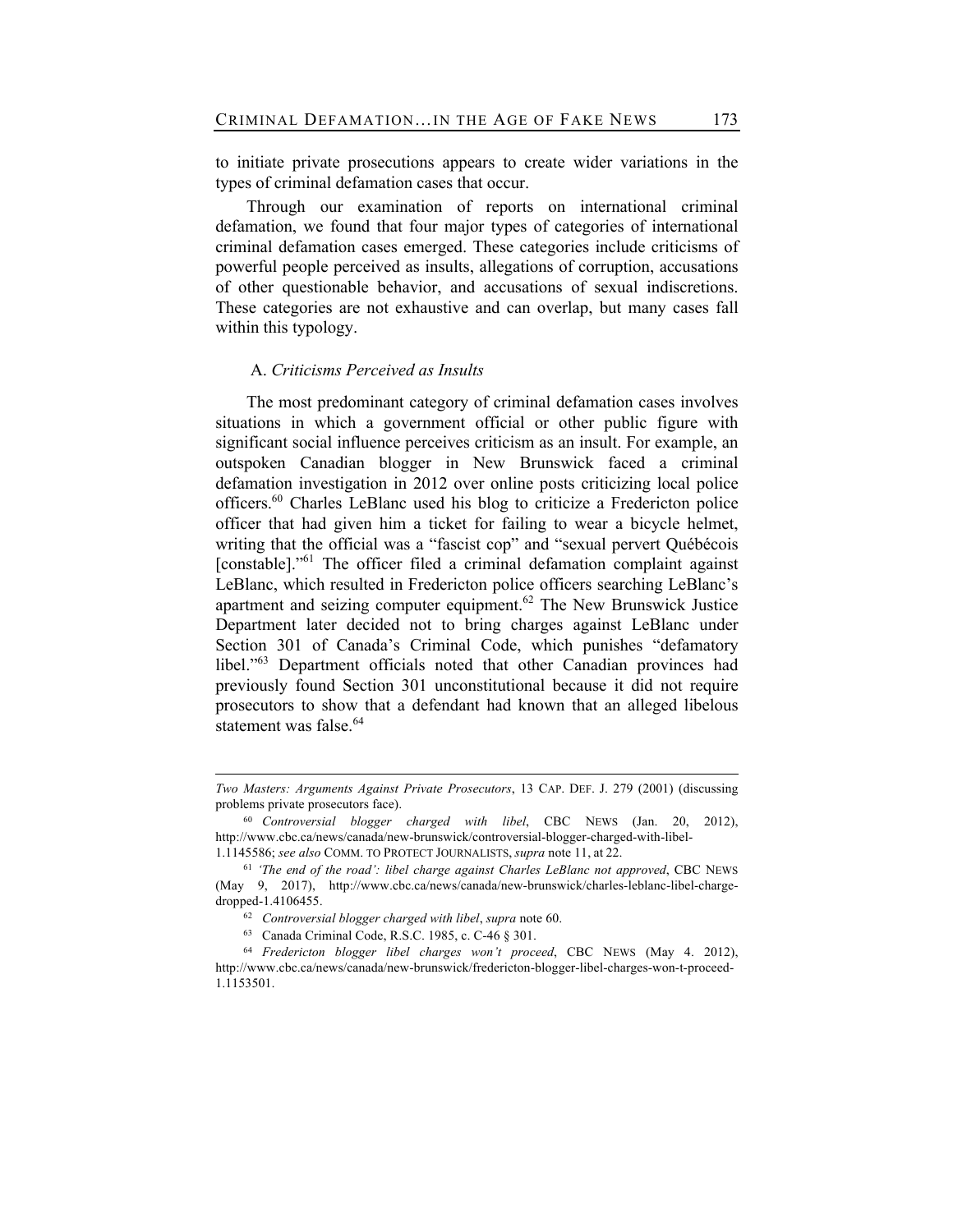to initiate private prosecutions appears to create wider variations in the types of criminal defamation cases that occur.

Through our examination of reports on international criminal defamation, we found that four major types of categories of international criminal defamation cases emerged. These categories include criticisms of powerful people perceived as insults, allegations of corruption, accusations of other questionable behavior, and accusations of sexual indiscretions. These categories are not exhaustive and can overlap, but many cases fall within this typology.

## A. *Criticisms Perceived as Insults*

The most predominant category of criminal defamation cases involves situations in which a government official or other public figure with significant social influence perceives criticism as an insult. For example, an outspoken Canadian blogger in New Brunswick faced a criminal defamation investigation in 2012 over online posts criticizing local police officers.60 Charles LeBlanc used his blog to criticize a Fredericton police officer that had given him a ticket for failing to wear a bicycle helmet, writing that the official was a "fascist cop" and "sexual pervert Québécois [constable]."<sup>61</sup> The officer filed a criminal defamation complaint against LeBlanc, which resulted in Fredericton police officers searching LeBlanc's apartment and seizing computer equipment.<sup>62</sup> The New Brunswick Justice Department later decided not to bring charges against LeBlanc under Section 301 of Canada's Criminal Code, which punishes "defamatory libel."<sup>63</sup> Department officials noted that other Canadian provinces had previously found Section 301 unconstitutional because it did not require prosecutors to show that a defendant had known that an alleged libelous statement was false.<sup>64</sup>

*Two Masters: Arguments Against Private Prosecutors*, 13 CAP. DEF. J. 279 (2001) (discussing problems private prosecutors face).

<sup>60</sup> *Controversial blogger charged with libel*, CBC NEWS (Jan. 20, 2012), http://www.cbc.ca/news/canada/new-brunswick/controversial-blogger-charged-with-libel-1.1145586; *see also* COMM. TO PROTECT JOURNALISTS, *supra* note 11, at 22.

<sup>61</sup> *'The end of the road': libel charge against Charles LeBlanc not approved*, CBC NEWS (May 9, 2017), http://www.cbc.ca/news/canada/new-brunswick/charles-leblanc-libel-chargedropped-1.4106455.

<sup>62</sup> *Controversial blogger charged with libel*, *supra* note 60.

<sup>63</sup> Canada Criminal Code, R.S.C. 1985, c. C-46 § 301.

<sup>64</sup> *Fredericton blogger libel charges won't proceed*, CBC NEWS (May 4. 2012), http://www.cbc.ca/news/canada/new-brunswick/fredericton-blogger-libel-charges-won-t-proceed-1.1153501.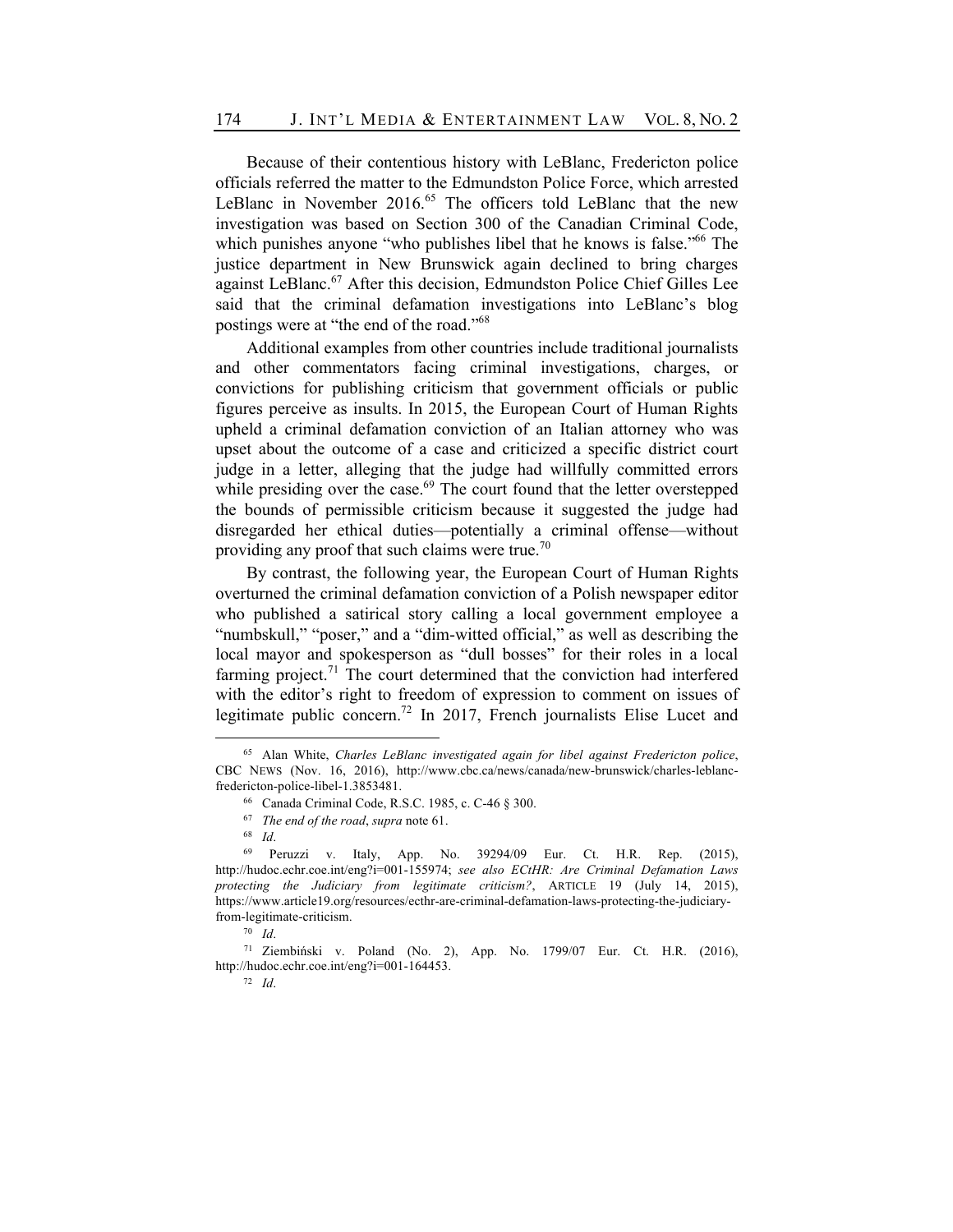Because of their contentious history with LeBlanc, Fredericton police officials referred the matter to the Edmundston Police Force, which arrested LeBlanc in November 2016.<sup>65</sup> The officers told LeBlanc that the new investigation was based on Section 300 of the Canadian Criminal Code, which punishes anyone "who publishes libel that he knows is false."<sup>66</sup> The justice department in New Brunswick again declined to bring charges against LeBlanc.<sup>67</sup> After this decision, Edmundston Police Chief Gilles Lee said that the criminal defamation investigations into LeBlanc's blog postings were at "the end of the road."68

Additional examples from other countries include traditional journalists and other commentators facing criminal investigations, charges, or convictions for publishing criticism that government officials or public figures perceive as insults. In 2015, the European Court of Human Rights upheld a criminal defamation conviction of an Italian attorney who was upset about the outcome of a case and criticized a specific district court judge in a letter, alleging that the judge had willfully committed errors while presiding over the case. $69$  The court found that the letter overstepped the bounds of permissible criticism because it suggested the judge had disregarded her ethical duties—potentially a criminal offense—without providing any proof that such claims were true.<sup>70</sup>

By contrast, the following year, the European Court of Human Rights overturned the criminal defamation conviction of a Polish newspaper editor who published a satirical story calling a local government employee a "numbskull," "poser," and a "dim-witted official," as well as describing the local mayor and spokesperson as "dull bosses" for their roles in a local farming project.<sup>71</sup> The court determined that the conviction had interfered with the editor's right to freedom of expression to comment on issues of legitimate public concern.<sup>72</sup> In 2017, French journalists Elise Lucet and

<sup>72</sup> *Id*.

<sup>65</sup> Alan White, *Charles LeBlanc investigated again for libel against Fredericton police*, CBC NEWS (Nov. 16, 2016), http://www.cbc.ca/news/canada/new-brunswick/charles-leblancfredericton-police-libel-1.3853481.

<sup>66</sup> Canada Criminal Code, R.S.C. 1985, c. C-46 § 300.

<sup>67</sup> *The end of the road*, *supra* note 61.

<sup>68</sup> *Id*.

<sup>69</sup> Peruzzi v. Italy, App. No. 39294/09 Eur. Ct. H.R. Rep. (2015), http://hudoc.echr.coe.int/eng?i=001-155974; *see also ECtHR: Are Criminal Defamation Laws protecting the Judiciary from legitimate criticism?*, ARTICLE 19 (July 14, 2015), https://www.article19.org/resources/ecthr-are-criminal-defamation-laws-protecting-the-judiciaryfrom-legitimate-criticism.

<sup>70</sup> *Id*.

<sup>71</sup> Ziembiński v. Poland (No. 2), App. No. 1799/07 Eur. Ct. H.R. (2016), http://hudoc.echr.coe.int/eng?i=001-164453.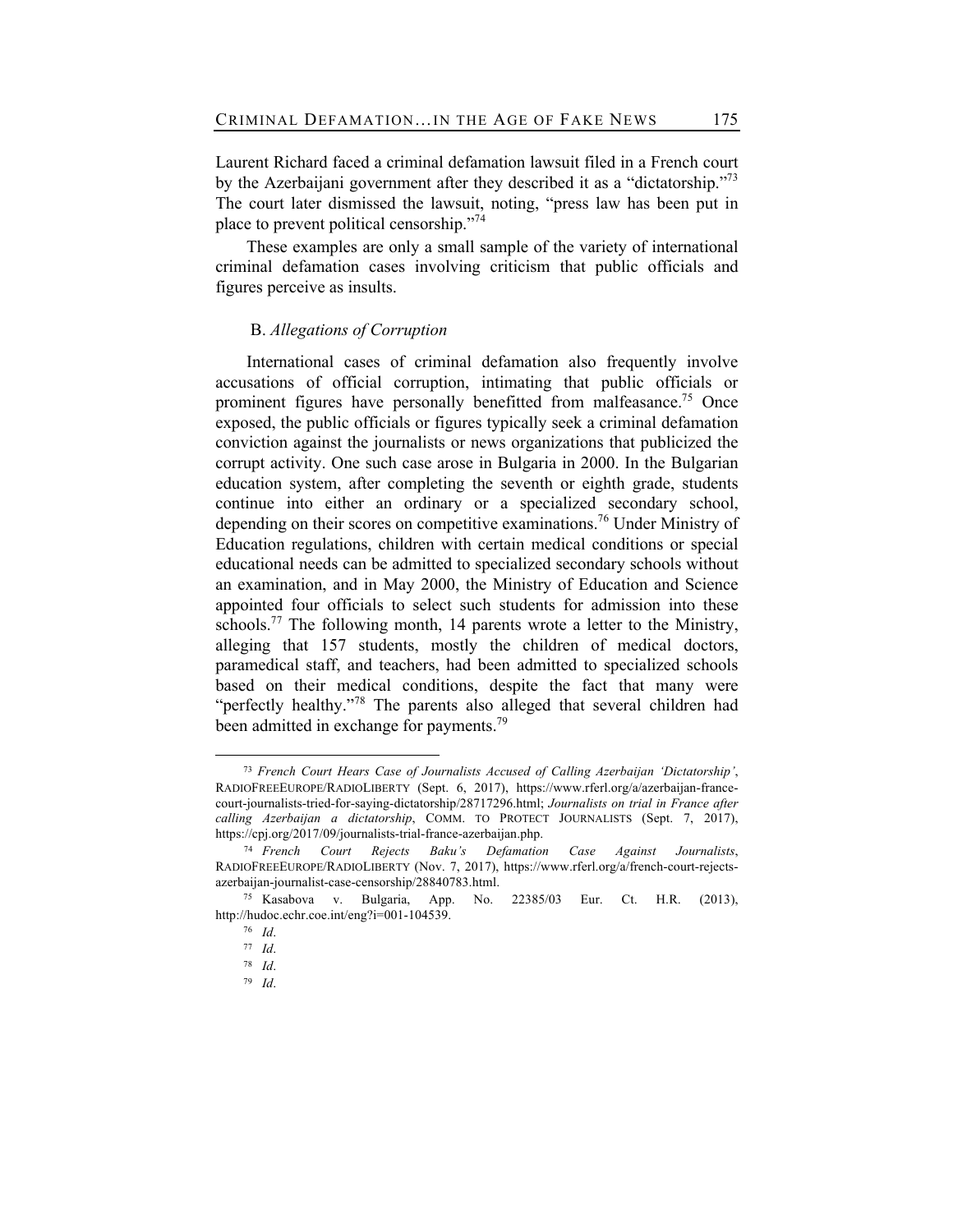Laurent Richard faced a criminal defamation lawsuit filed in a French court by the Azerbaijani government after they described it as a "dictatorship."<sup>73</sup> The court later dismissed the lawsuit, noting, "press law has been put in place to prevent political censorship."<sup>74</sup>

These examples are only a small sample of the variety of international criminal defamation cases involving criticism that public officials and figures perceive as insults.

## B. *Allegations of Corruption*

International cases of criminal defamation also frequently involve accusations of official corruption, intimating that public officials or prominent figures have personally benefitted from malfeasance.<sup>75</sup> Once exposed, the public officials or figures typically seek a criminal defamation conviction against the journalists or news organizations that publicized the corrupt activity. One such case arose in Bulgaria in 2000. In the Bulgarian education system, after completing the seventh or eighth grade, students continue into either an ordinary or a specialized secondary school, depending on their scores on competitive examinations.<sup>76</sup> Under Ministry of Education regulations, children with certain medical conditions or special educational needs can be admitted to specialized secondary schools without an examination, and in May 2000, the Ministry of Education and Science appointed four officials to select such students for admission into these schools.<sup>77</sup> The following month, 14 parents wrote a letter to the Ministry, alleging that 157 students, mostly the children of medical doctors, paramedical staff, and teachers, had been admitted to specialized schools based on their medical conditions, despite the fact that many were "perfectly healthy."<sup>78</sup> The parents also alleged that several children had been admitted in exchange for payments.<sup>79</sup>

<sup>73</sup> *French Court Hears Case of Journalists Accused of Calling Azerbaijan 'Dictatorship'*, RADIOFREEEUROPE/RADIOLIBERTY (Sept. 6, 2017), https://www.rferl.org/a/azerbaijan-francecourt-journalists-tried-for-saying-dictatorship/28717296.html; *Journalists on trial in France after calling Azerbaijan a dictatorship*, COMM. TO PROTECT JOURNALISTS (Sept. 7, 2017), https://cpj.org/2017/09/journalists-trial-france-azerbaijan.php.

<sup>74</sup> *French Court Rejects Baku's Defamation Case Against Journalists*, RADIOFREEEUROPE/RADIOLIBERTY (Nov. 7, 2017), https://www.rferl.org/a/french-court-rejectsazerbaijan-journalist-case-censorship/28840783.html.

<sup>75</sup> Kasabova v. Bulgaria, App. No. 22385/03 Eur. Ct. H.R. (2013), http://hudoc.echr.coe.int/eng?i=001-104539.

<sup>76</sup> *Id*.

<sup>77</sup> *Id*.

<sup>78</sup> *Id*.

<sup>79</sup> *Id*.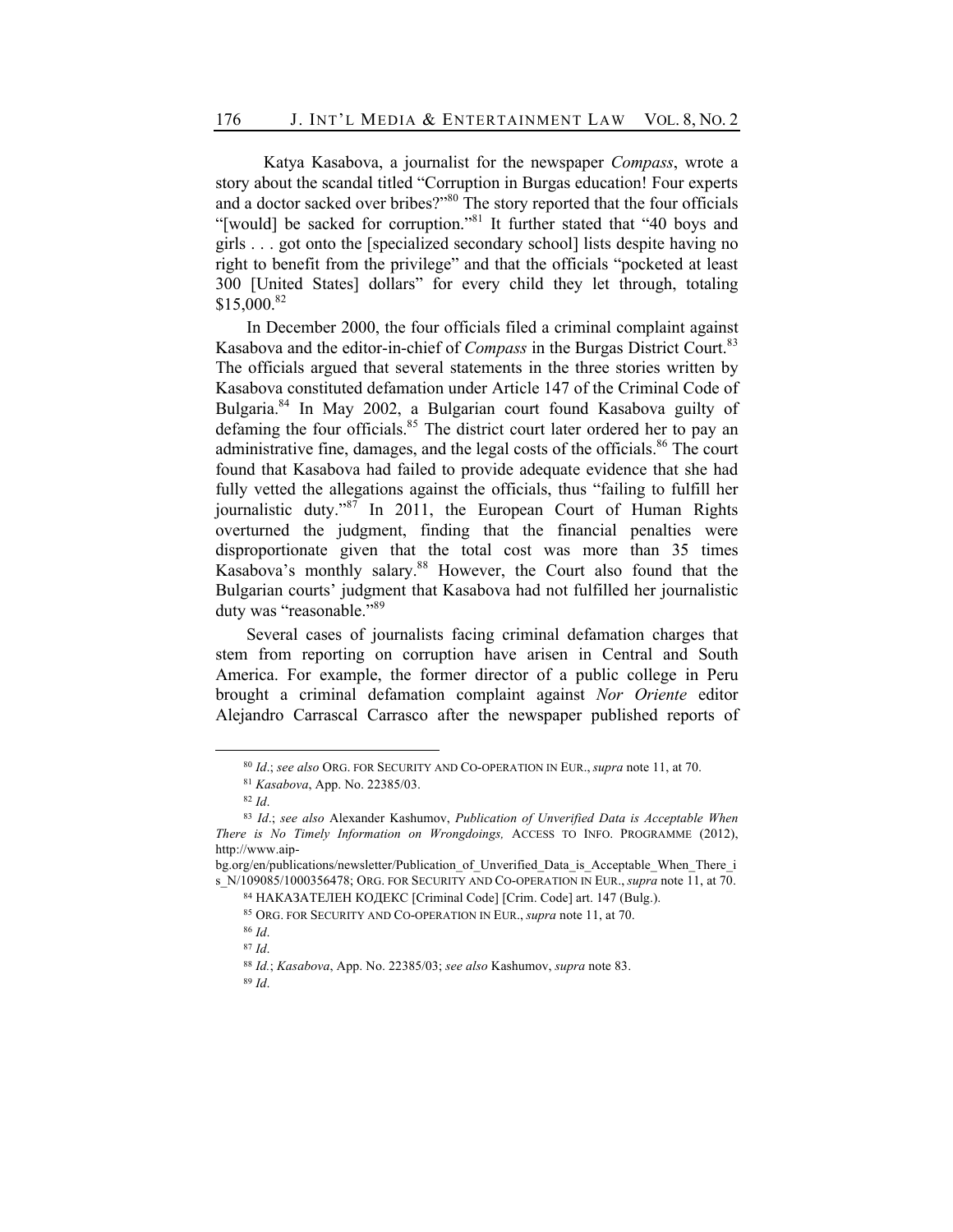Katya Kasabova, a journalist for the newspaper *Compass*, wrote a story about the scandal titled "Corruption in Burgas education! Four experts and a doctor sacked over bribes?"<sup>80</sup> The story reported that the four officials "[would] be sacked for corruption."81 It further stated that "40 boys and girls . . . got onto the [specialized secondary school] lists despite having no right to benefit from the privilege" and that the officials "pocketed at least 300 [United States] dollars" for every child they let through, totaling \$15,000.82

In December 2000, the four officials filed a criminal complaint against Kasabova and the editor-in-chief of *Compass* in the Burgas District Court.<sup>83</sup> The officials argued that several statements in the three stories written by Kasabova constituted defamation under Article 147 of the Criminal Code of Bulgaria.<sup>84</sup> In May 2002, a Bulgarian court found Kasabova guilty of defaming the four officials.<sup>85</sup> The district court later ordered her to pay an administrative fine, damages, and the legal costs of the officials.<sup>86</sup> The court found that Kasabova had failed to provide adequate evidence that she had fully vetted the allegations against the officials, thus "failing to fulfill her journalistic duty."<sup>87</sup> In 2011, the European Court of Human Rights overturned the judgment, finding that the financial penalties were disproportionate given that the total cost was more than 35 times Kasabova's monthly salary.<sup>88</sup> However, the Court also found that the Bulgarian courts' judgment that Kasabova had not fulfilled her journalistic duty was "reasonable."<sup>89</sup>

Several cases of journalists facing criminal defamation charges that stem from reporting on corruption have arisen in Central and South America. For example, the former director of a public college in Peru brought a criminal defamation complaint against *Nor Oriente* editor Alejandro Carrascal Carrasco after the newspaper published reports of

<sup>80</sup> *Id*.; *see also* ORG. FOR SECURITY AND CO-OPERATION IN EUR., *supra* note 11, at 70.

<sup>81</sup> *Kasabova*, App. No. 22385/03.

<sup>82</sup> *Id*.

<sup>83</sup> *Id*.; *see also* Alexander Kashumov, *Publication of Unverified Data is Acceptable When There is No Timely Information on Wrongdoings,* ACCESS TO INFO. PROGRAMME (2012), http://www.aip-

bg.org/en/publications/newsletter/Publication of Unverified Data is Acceptable When There i s\_N/109085/1000356478; ORG. FOR SECURITY AND CO-OPERATION IN EUR., *supra* note 11, at 70.

<sup>84</sup> НАКАЗАТЕЛЕН КОДЕКС [Criminal Code] [Crim. Code] art. 147 (Bulg.).

<sup>85</sup> ORG. FOR SECURITY AND CO-OPERATION IN EUR., *supra* note 11, at 70.

<sup>86</sup> *Id*.

<sup>87</sup> *Id*.

<sup>88</sup> *Id.*; *Kasabova*, App. No. 22385/03; *see also* Kashumov, *supra* note 83.

<sup>89</sup> *Id*.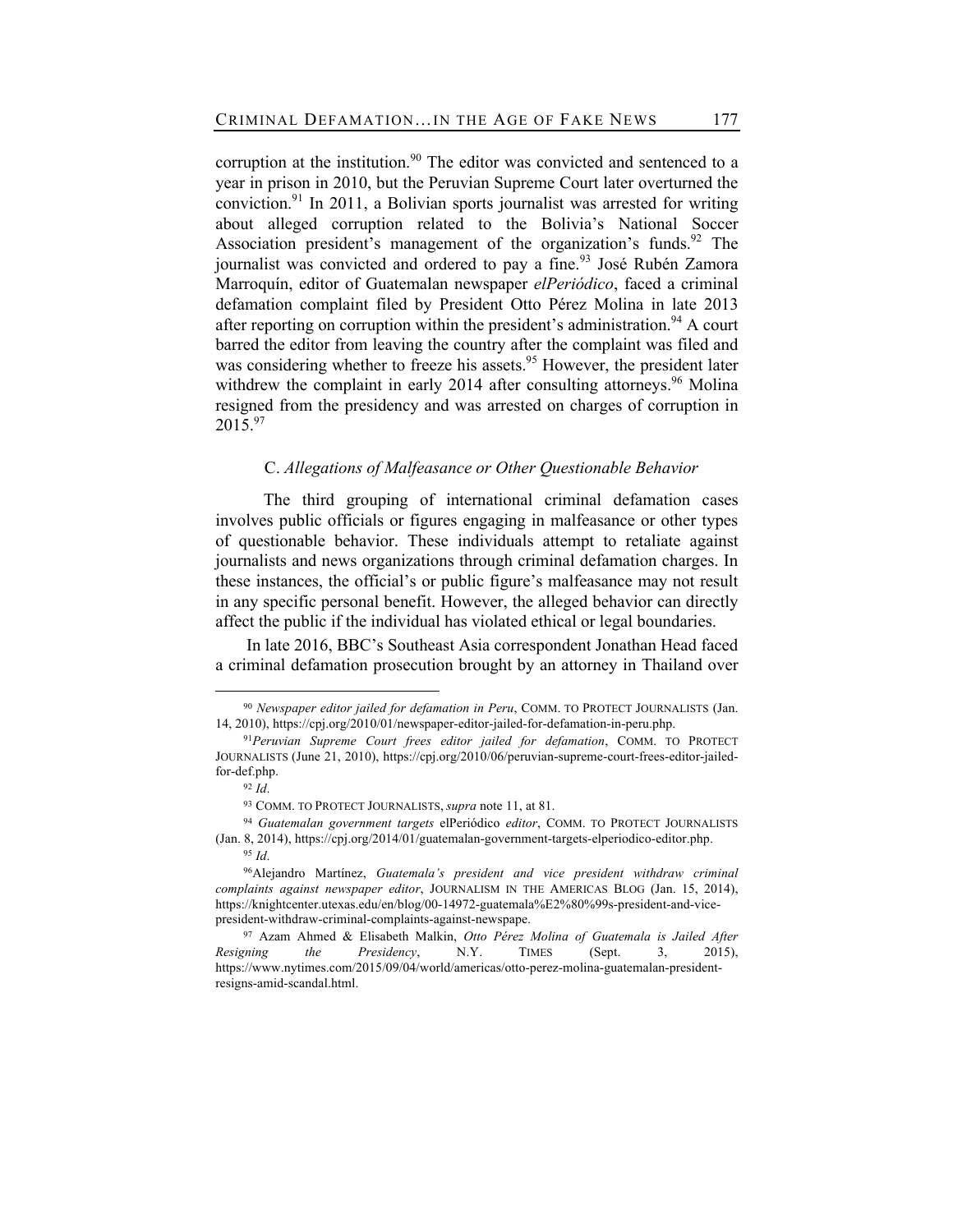corruption at the institution.<sup>90</sup> The editor was convicted and sentenced to a year in prison in 2010, but the Peruvian Supreme Court later overturned the conviction.<sup>91</sup> In 2011, a Bolivian sports journalist was arrested for writing about alleged corruption related to the Bolivia's National Soccer Association president's management of the organization's funds.<sup>92</sup> The journalist was convicted and ordered to pay a fine.<sup>93</sup> José Rubén Zamora Marroquín, editor of Guatemalan newspaper *elPeriódico*, faced a criminal defamation complaint filed by President Otto Pérez Molina in late 2013 after reporting on corruption within the president's administration.<sup>94</sup> A court barred the editor from leaving the country after the complaint was filed and was considering whether to freeze his assets.<sup>95</sup> However, the president later withdrew the complaint in early 2014 after consulting attorneys.<sup>96</sup> Molina resigned from the presidency and was arrested on charges of corruption in  $2015.<sup>97</sup>$ 

#### C. *Allegations of Malfeasance or Other Questionable Behavior*

The third grouping of international criminal defamation cases involves public officials or figures engaging in malfeasance or other types of questionable behavior. These individuals attempt to retaliate against journalists and news organizations through criminal defamation charges. In these instances, the official's or public figure's malfeasance may not result in any specific personal benefit. However, the alleged behavior can directly affect the public if the individual has violated ethical or legal boundaries.

In late 2016, BBC's Southeast Asia correspondent Jonathan Head faced a criminal defamation prosecution brought by an attorney in Thailand over

<sup>90</sup> *Newspaper editor jailed for defamation in Peru*, COMM. TO PROTECT JOURNALISTS (Jan. 14, 2010), https://cpj.org/2010/01/newspaper-editor-jailed-for-defamation-in-peru.php.

<sup>91</sup>*Peruvian Supreme Court frees editor jailed for defamation*, COMM. TO PROTECT JOURNALISTS (June 21, 2010), https://cpj.org/2010/06/peruvian-supreme-court-frees-editor-jailedfor-def.php.

<sup>92</sup> *Id*.

<sup>93</sup> COMM. TO PROTECT JOURNALISTS, *supra* note 11, at 81.

<sup>94</sup> *Guatemalan government targets* elPeriódico *editor*, COMM. TO PROTECT JOURNALISTS (Jan. 8, 2014), https://cpj.org/2014/01/guatemalan-government-targets-elperiodico-editor.php. <sup>95</sup> *Id*.

<sup>96</sup>Alejandro Martínez, *Guatemala's president and vice president withdraw criminal complaints against newspaper editor*, JOURNALISM IN THE AMERICAS BLOG (Jan. 15, 2014), https://knightcenter.utexas.edu/en/blog/00-14972-guatemala%E2%80%99s-president-and-vicepresident-withdraw-criminal-complaints-against-newspape.

<sup>97</sup> Azam Ahmed & Elisabeth Malkin, *Otto Pérez Molina of Guatemala is Jailed After Resigning the Presidency*, N.Y. TIMES (Sept. 3, 2015), https://www.nytimes.com/2015/09/04/world/americas/otto-perez-molina-guatemalan-presidentresigns-amid-scandal.html.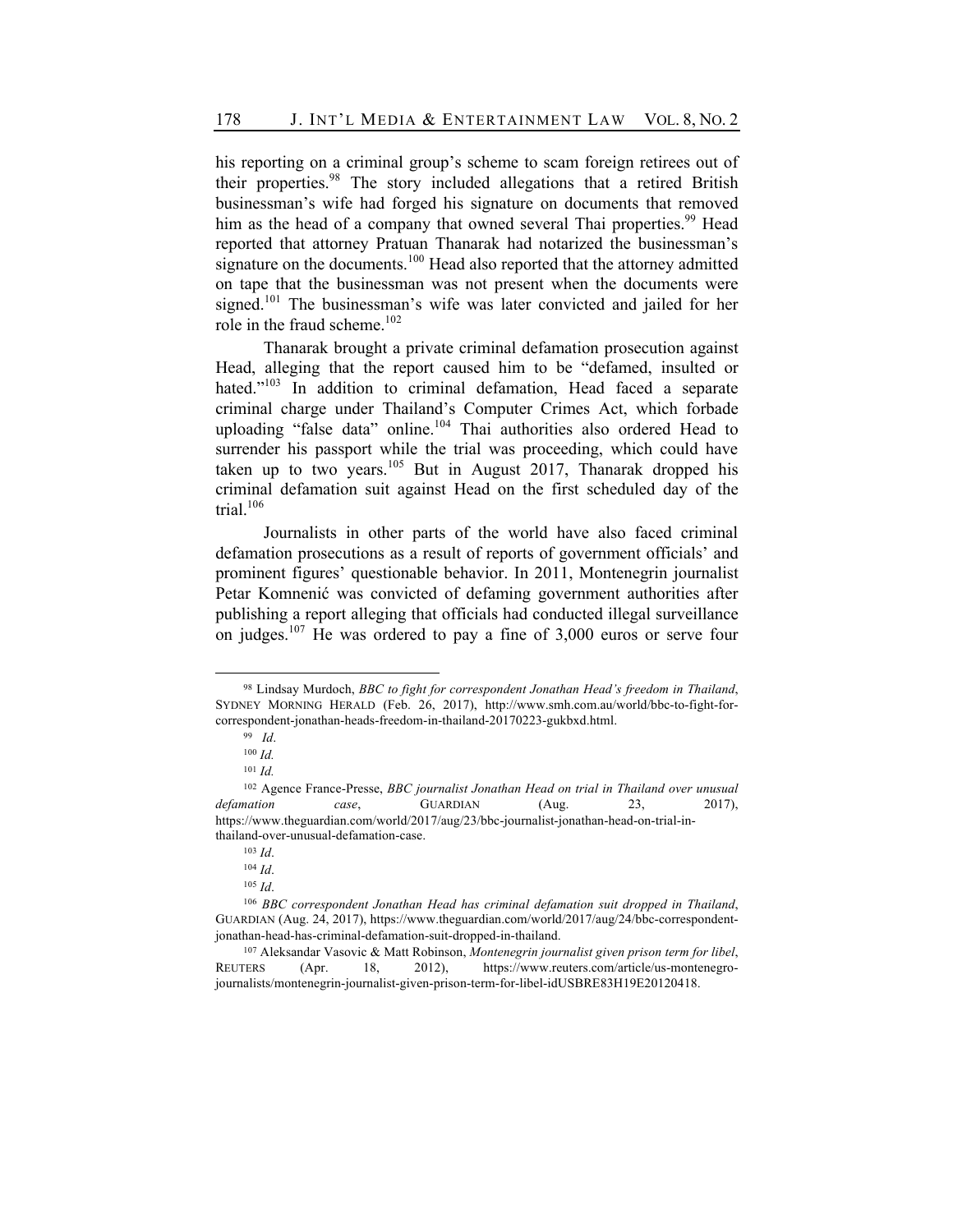his reporting on a criminal group's scheme to scam foreign retirees out of their properties.<sup>98</sup> The story included allegations that a retired British businessman's wife had forged his signature on documents that removed him as the head of a company that owned several Thai properties.<sup>99</sup> Head reported that attorney Pratuan Thanarak had notarized the businessman's signature on the documents. $100$  Head also reported that the attorney admitted on tape that the businessman was not present when the documents were signed.<sup>101</sup> The businessman's wife was later convicted and jailed for her role in the fraud scheme.<sup>102</sup>

Thanarak brought a private criminal defamation prosecution against Head, alleging that the report caused him to be "defamed, insulted or hated."<sup>103</sup> In addition to criminal defamation, Head faced a separate criminal charge under Thailand's Computer Crimes Act, which forbade uploading "false data" online.<sup>104</sup> Thai authorities also ordered Head to surrender his passport while the trial was proceeding, which could have taken up to two years.<sup>105</sup> But in August 2017, Thanarak dropped his criminal defamation suit against Head on the first scheduled day of the trial. $106$ 

Journalists in other parts of the world have also faced criminal defamation prosecutions as a result of reports of government officials' and prominent figures' questionable behavior. In 2011, Montenegrin journalist Petar Komnenić was convicted of defaming government authorities after publishing a report alleging that officials had conducted illegal surveillance on judges.<sup>107</sup> He was ordered to pay a fine of 3,000 euros or serve four

<sup>98</sup> Lindsay Murdoch, *BBC to fight for correspondent Jonathan Head's freedom in Thailand*, SYDNEY MORNING HERALD (Feb. 26, 2017), http://www.smh.com.au/world/bbc-to-fight-forcorrespondent-jonathan-heads-freedom-in-thailand-20170223-gukbxd.html.

<sup>99</sup> *Id*.

<sup>100</sup> *Id.*

 $101$  *Id.* 

<sup>102</sup> Agence France-Presse, *BBC journalist Jonathan Head on trial in Thailand over unusual*  defamation case, GUARDIAN (Aug. 23, 2017), https://www.theguardian.com/world/2017/aug/23/bbc-journalist-jonathan-head-on-trial-inthailand-over-unusual-defamation-case.

<sup>103</sup> *Id*.

<sup>104</sup> *Id*.

<sup>105</sup> *Id*.

<sup>106</sup> *BBC correspondent Jonathan Head has criminal defamation suit dropped in Thailand*, GUARDIAN (Aug. 24, 2017), https://www.theguardian.com/world/2017/aug/24/bbc-correspondentjonathan-head-has-criminal-defamation-suit-dropped-in-thailand.

<sup>107</sup> Aleksandar Vasovic & Matt Robinson, *Montenegrin journalist given prison term for libel*, REUTERS (Apr. 18, 2012), https://www.reuters.com/article/us-montenegrojournalists/montenegrin-journalist-given-prison-term-for-libel-idUSBRE83H19E20120418.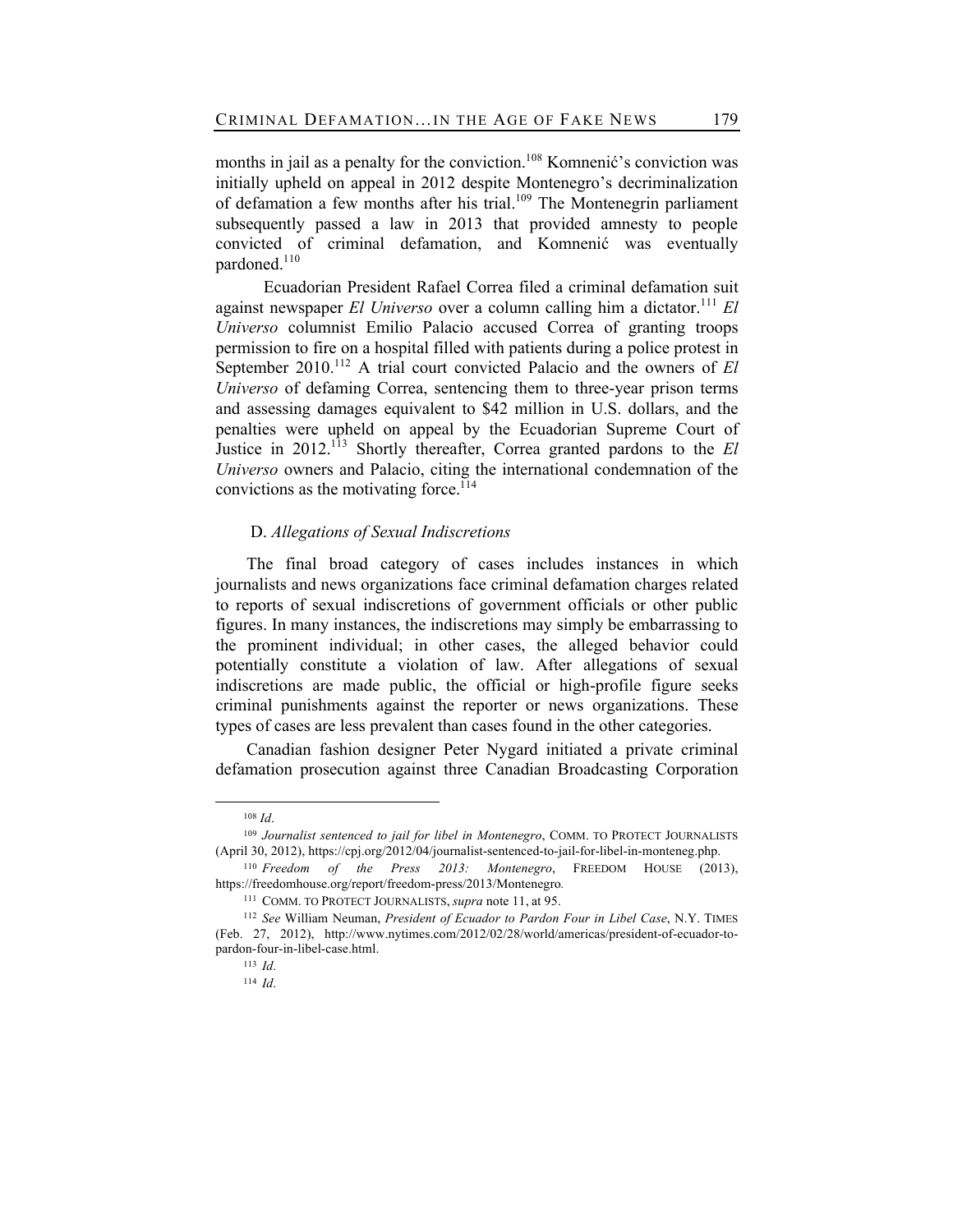months in jail as a penalty for the conviction.<sup>108</sup> Komnenić's conviction was initially upheld on appeal in 2012 despite Montenegro's decriminalization of defamation a few months after his trial.<sup>109</sup> The Montenegrin parliament subsequently passed a law in 2013 that provided amnesty to people convicted of criminal defamation, and Komnenić was eventually pardoned.<sup>110</sup>

Ecuadorian President Rafael Correa filed a criminal defamation suit against newspaper *El Universo* over a column calling him a dictator.<sup>111</sup> *El Universo* columnist Emilio Palacio accused Correa of granting troops permission to fire on a hospital filled with patients during a police protest in September 2010.<sup>112</sup> A trial court convicted Palacio and the owners of *El Universo* of defaming Correa, sentencing them to three-year prison terms and assessing damages equivalent to \$42 million in U.S. dollars, and the penalties were upheld on appeal by the Ecuadorian Supreme Court of Justice in 2012.113 Shortly thereafter, Correa granted pardons to the *El Universo* owners and Palacio, citing the international condemnation of the convictions as the motivating force.<sup> $114$ </sup>

## D. *Allegations of Sexual Indiscretions*

The final broad category of cases includes instances in which journalists and news organizations face criminal defamation charges related to reports of sexual indiscretions of government officials or other public figures. In many instances, the indiscretions may simply be embarrassing to the prominent individual; in other cases, the alleged behavior could potentially constitute a violation of law. After allegations of sexual indiscretions are made public, the official or high-profile figure seeks criminal punishments against the reporter or news organizations. These types of cases are less prevalent than cases found in the other categories.

Canadian fashion designer Peter Nygard initiated a private criminal defamation prosecution against three Canadian Broadcasting Corporation

<sup>108</sup> *Id*.

<sup>109</sup> *Journalist sentenced to jail for libel in Montenegro*, COMM. TO PROTECT JOURNALISTS (April 30, 2012), https://cpj.org/2012/04/journalist-sentenced-to-jail-for-libel-in-monteneg.php.

<sup>110</sup> *Freedom of the Press 2013: Montenegro*, FREEDOM HOUSE (2013), https://freedomhouse.org/report/freedom-press/2013/Montenegro*.*

<sup>111</sup> COMM. TO PROTECT JOURNALISTS, *supra* note 11, at 95.

<sup>112</sup> *See* William Neuman, *President of Ecuador to Pardon Four in Libel Case*, N.Y. TIMES (Feb. 27, 2012), http://www.nytimes.com/2012/02/28/world/americas/president-of-ecuador-topardon-four-in-libel-case.html.

<sup>113</sup> *Id*.

<sup>114</sup> *Id*.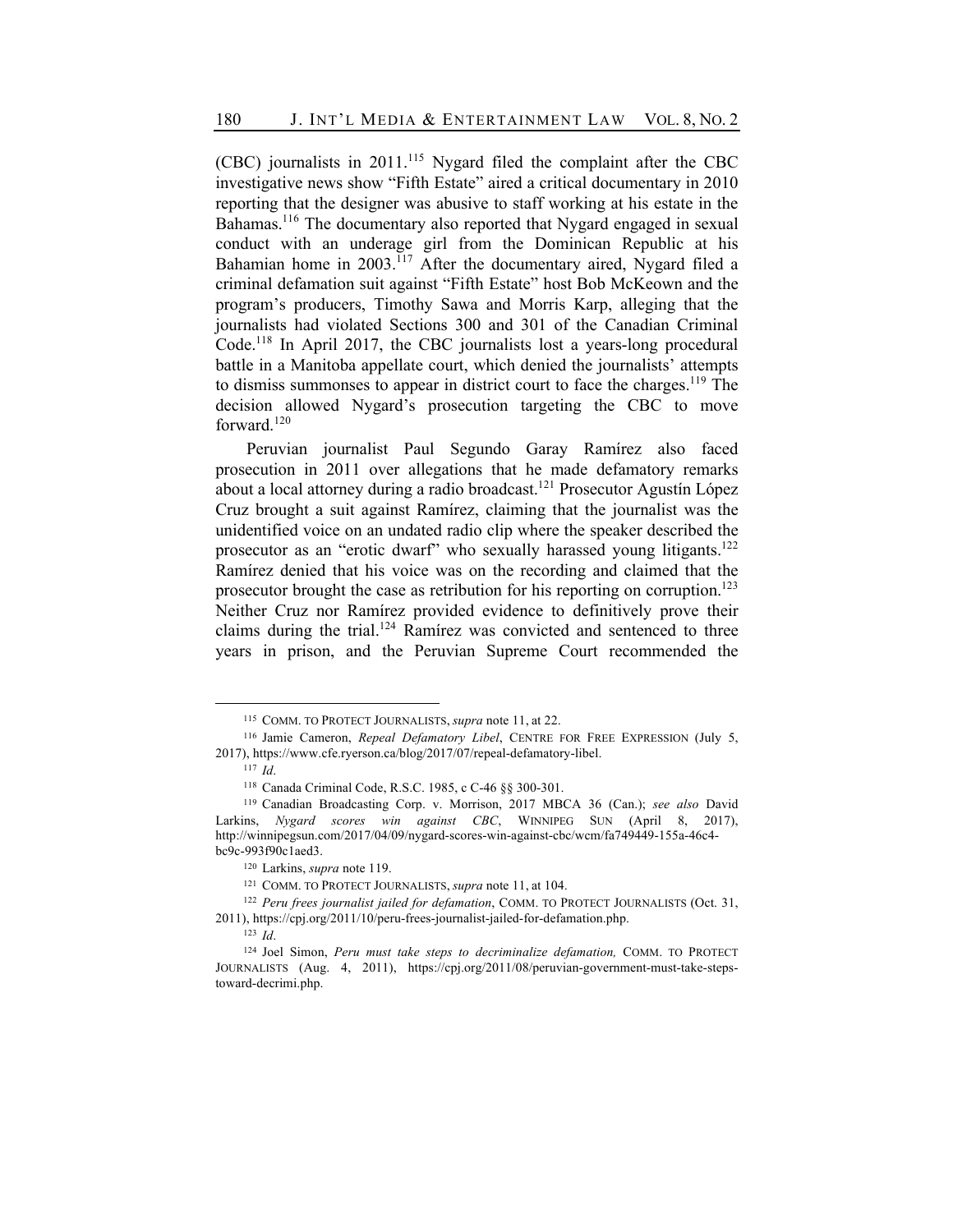(CBC) journalists in 2011.115 Nygard filed the complaint after the CBC investigative news show "Fifth Estate" aired a critical documentary in 2010 reporting that the designer was abusive to staff working at his estate in the Bahamas.<sup>116</sup> The documentary also reported that Nygard engaged in sexual conduct with an underage girl from the Dominican Republic at his Bahamian home in 2003.<sup>117</sup> After the documentary aired, Nygard filed a criminal defamation suit against "Fifth Estate" host Bob McKeown and the program's producers, Timothy Sawa and Morris Karp, alleging that the journalists had violated Sections 300 and 301 of the Canadian Criminal Code.<sup>118</sup> In April 2017, the CBC journalists lost a years-long procedural battle in a Manitoba appellate court, which denied the journalists' attempts to dismiss summonses to appear in district court to face the charges.<sup>119</sup> The decision allowed Nygard's prosecution targeting the CBC to move forward.<sup>120</sup>

Peruvian journalist Paul Segundo Garay Ramírez also faced prosecution in 2011 over allegations that he made defamatory remarks about a local attorney during a radio broadcast.<sup>121</sup> Prosecutor Agustín López Cruz brought a suit against Ramírez, claiming that the journalist was the unidentified voice on an undated radio clip where the speaker described the prosecutor as an "erotic dwarf" who sexually harassed young litigants.<sup>122</sup> Ramírez denied that his voice was on the recording and claimed that the prosecutor brought the case as retribution for his reporting on corruption.<sup>123</sup> Neither Cruz nor Ramírez provided evidence to definitively prove their claims during the trial.<sup>124</sup> Ramírez was convicted and sentenced to three years in prison, and the Peruvian Supreme Court recommended the

<sup>115</sup> COMM. TO PROTECT JOURNALISTS, *supra* note 11, at 22.

<sup>116</sup> Jamie Cameron, *Repeal Defamatory Libel*, CENTRE FOR FREE EXPRESSION (July 5, 2017), https://www.cfe.ryerson.ca/blog/2017/07/repeal-defamatory-libel.

<sup>117</sup> *Id*.

<sup>118</sup> Canada Criminal Code, R.S.C. 1985, c C-46 §§ 300-301.

<sup>119</sup> Canadian Broadcasting Corp. v. Morrison, 2017 MBCA 36 (Can.); *see also* David Larkins, *Nygard scores win against CBC*, WINNIPEG SUN (April 8, 2017), http://winnipegsun.com/2017/04/09/nygard-scores-win-against-cbc/wcm/fa749449-155a-46c4 bc9c-993f90c1aed3.

<sup>120</sup> Larkins, *supra* note 119.

<sup>121</sup> COMM. TO PROTECT JOURNALISTS, *supra* note 11, at 104.

<sup>122</sup> *Peru frees journalist jailed for defamation*, COMM. TO PROTECT JOURNALISTS (Oct. 31, 2011), https://cpj.org/2011/10/peru-frees-journalist-jailed-for-defamation.php.

<sup>123</sup> *Id*.

<sup>124</sup> Joel Simon, *Peru must take steps to decriminalize defamation,* COMM. TO PROTECT JOURNALISTS (Aug. 4, 2011), https://cpj.org/2011/08/peruvian-government-must-take-stepstoward-decrimi.php.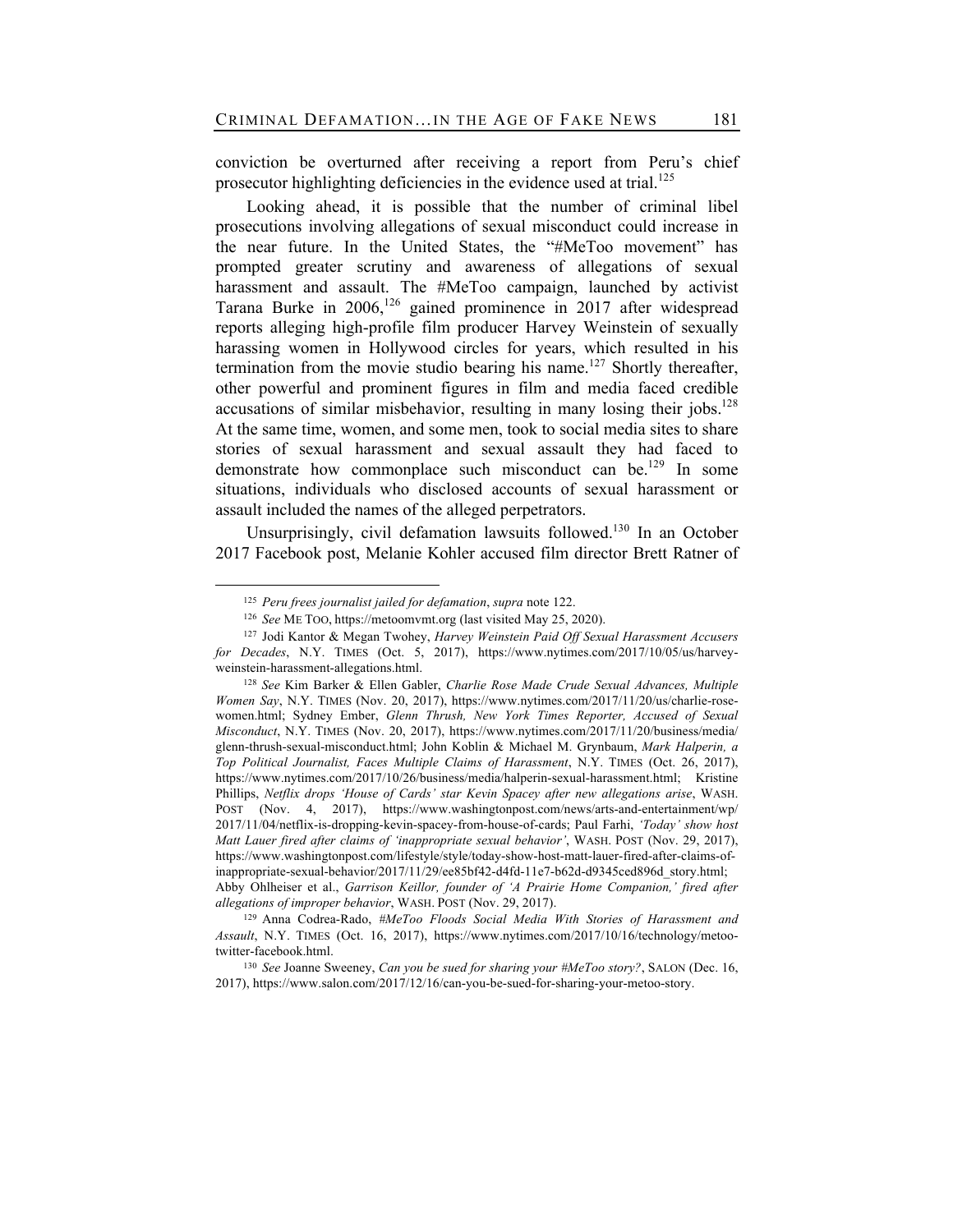conviction be overturned after receiving a report from Peru's chief prosecutor highlighting deficiencies in the evidence used at trial.<sup>125</sup>

Looking ahead, it is possible that the number of criminal libel prosecutions involving allegations of sexual misconduct could increase in the near future. In the United States, the "#MeToo movement" has prompted greater scrutiny and awareness of allegations of sexual harassment and assault. The #MeToo campaign, launched by activist Tarana Burke in  $2006$ ,  $126$  gained prominence in 2017 after widespread reports alleging high-profile film producer Harvey Weinstein of sexually harassing women in Hollywood circles for years, which resulted in his termination from the movie studio bearing his name.<sup>127</sup> Shortly thereafter, other powerful and prominent figures in film and media faced credible accusations of similar misbehavior, resulting in many losing their jobs.<sup>128</sup> At the same time, women, and some men, took to social media sites to share stories of sexual harassment and sexual assault they had faced to demonstrate how commonplace such misconduct can be.<sup>129</sup> In some situations, individuals who disclosed accounts of sexual harassment or assault included the names of the alleged perpetrators.

Unsurprisingly, civil defamation lawsuits followed.<sup>130</sup> In an October 2017 Facebook post, Melanie Kohler accused film director Brett Ratner of

<sup>125</sup> *Peru frees journalist jailed for defamation*, *supra* note 122.

<sup>126</sup> *See* ME TOO, https://metoomvmt.org (last visited May 25, 2020).

<sup>127</sup> Jodi Kantor & Megan Twohey, *Harvey Weinstein Paid Off Sexual Harassment Accusers for Decades*, N.Y. TIMES (Oct. 5, 2017), https://www.nytimes.com/2017/10/05/us/harveyweinstein-harassment-allegations.html.

<sup>128</sup> *See* Kim Barker & Ellen Gabler, *Charlie Rose Made Crude Sexual Advances, Multiple Women Say*, N.Y. TIMES (Nov. 20, 2017), https://www.nytimes.com/2017/11/20/us/charlie-rosewomen.html; Sydney Ember, *Glenn Thrush, New York Times Reporter, Accused of Sexual Misconduct*, N.Y. TIMES (Nov. 20, 2017), https://www.nytimes.com/2017/11/20/business/media/ glenn-thrush-sexual-misconduct.html; John Koblin & Michael M. Grynbaum, *Mark Halperin, a Top Political Journalist, Faces Multiple Claims of Harassment*, N.Y. TIMES (Oct. 26, 2017), https://www.nytimes.com/2017/10/26/business/media/halperin-sexual-harassment.html; Kristine Phillips, *Netflix drops 'House of Cards' star Kevin Spacey after new allegations arise*, WASH. POST (Nov. 4, 2017), https://www.washingtonpost.com/news/arts-and-entertainment/wp/ 2017/11/04/netflix-is-dropping-kevin-spacey-from-house-of-cards; Paul Farhi, *'Today' show host Matt Lauer fired after claims of 'inappropriate sexual behavior'*, WASH. POST (Nov. 29, 2017), https://www.washingtonpost.com/lifestyle/style/today-show-host-matt-lauer-fired-after-claims-ofinappropriate-sexual-behavior/2017/11/29/ee85bf42-d4fd-11e7-b62d-d9345ced896d\_story.html; Abby Ohlheiser et al., *Garrison Keillor, founder of 'A Prairie Home Companion,' fired after allegations of improper behavior*, WASH. POST (Nov. 29, 2017).

<sup>129</sup> Anna Codrea-Rado, *#MeToo Floods Social Media With Stories of Harassment and Assault*, N.Y. TIMES (Oct. 16, 2017), https://www.nytimes.com/2017/10/16/technology/metootwitter-facebook.html.

<sup>130</sup> *See* Joanne Sweeney, *Can you be sued for sharing your #MeToo story?*, SALON (Dec. 16, 2017), https://www.salon.com/2017/12/16/can-you-be-sued-for-sharing-your-metoo-story.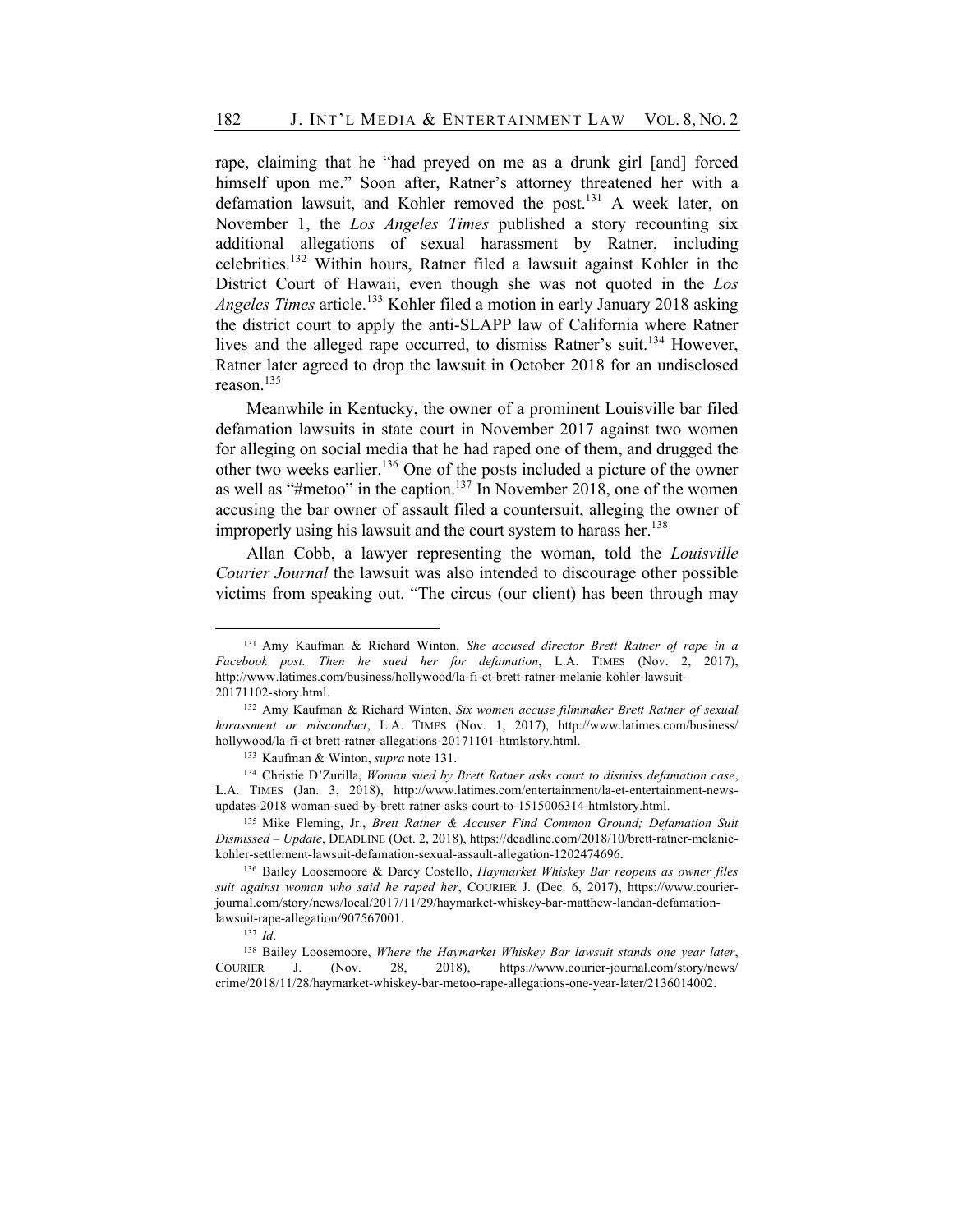rape, claiming that he "had preyed on me as a drunk girl [and] forced himself upon me." Soon after, Ratner's attorney threatened her with a defamation lawsuit, and Kohler removed the post.<sup>131</sup> A week later, on November 1, the *Los Angeles Times* published a story recounting six additional allegations of sexual harassment by Ratner, including celebrities.<sup>132</sup> Within hours, Ratner filed a lawsuit against Kohler in the District Court of Hawaii, even though she was not quoted in the *Los Angeles Times* article.<sup>133</sup> Kohler filed a motion in early January 2018 asking the district court to apply the anti-SLAPP law of California where Ratner lives and the alleged rape occurred, to dismiss Ratner's suit.<sup>134</sup> However, Ratner later agreed to drop the lawsuit in October 2018 for an undisclosed reason.<sup>135</sup>

Meanwhile in Kentucky, the owner of a prominent Louisville bar filed defamation lawsuits in state court in November 2017 against two women for alleging on social media that he had raped one of them, and drugged the other two weeks earlier.136 One of the posts included a picture of the owner as well as "#metoo" in the caption.<sup>137</sup> In November 2018, one of the women accusing the bar owner of assault filed a countersuit, alleging the owner of improperly using his lawsuit and the court system to harass her.<sup>138</sup>

Allan Cobb, a lawyer representing the woman, told the *Louisville Courier Journal* the lawsuit was also intended to discourage other possible victims from speaking out. "The circus (our client) has been through may

<sup>131</sup> Amy Kaufman & Richard Winton, *She accused director Brett Ratner of rape in a Facebook post. Then he sued her for defamation*, L.A. TIMES (Nov. 2, 2017), http://www.latimes.com/business/hollywood/la-fi-ct-brett-ratner-melanie-kohler-lawsuit-20171102-story.html.

<sup>132</sup> Amy Kaufman & Richard Winton, *Six women accuse filmmaker Brett Ratner of sexual harassment or misconduct*, L.A. TIMES (Nov. 1, 2017), http://www.latimes.com/business/ hollywood/la-fi-ct-brett-ratner-allegations-20171101-htmlstory.html.

<sup>133</sup> Kaufman & Winton, *supra* note 131.

<sup>134</sup> Christie D'Zurilla, *Woman sued by Brett Ratner asks court to dismiss defamation case*, L.A. TIMES (Jan. 3, 2018), http://www.latimes.com/entertainment/la-et-entertainment-newsupdates-2018-woman-sued-by-brett-ratner-asks-court-to-1515006314-htmlstory.html.

<sup>135</sup> Mike Fleming, Jr., *Brett Ratner & Accuser Find Common Ground; Defamation Suit Dismissed – Update*, DEADLINE (Oct. 2, 2018), https://deadline.com/2018/10/brett-ratner-melaniekohler-settlement-lawsuit-defamation-sexual-assault-allegation-1202474696.

<sup>136</sup> Bailey Loosemoore & Darcy Costello, *Haymarket Whiskey Bar reopens as owner files suit against woman who said he raped her*, COURIER J. (Dec. 6, 2017), https://www.courierjournal.com/story/news/local/2017/11/29/haymarket-whiskey-bar-matthew-landan-defamationlawsuit-rape-allegation/907567001.

<sup>137</sup> *Id*.

<sup>138</sup> Bailey Loosemoore, *Where the Haymarket Whiskey Bar lawsuit stands one year later*, COURIER J. (Nov. 28, 2018), https://www.courier-journal.com/story/news/ crime/2018/11/28/haymarket-whiskey-bar-metoo-rape-allegations-one-year-later/2136014002.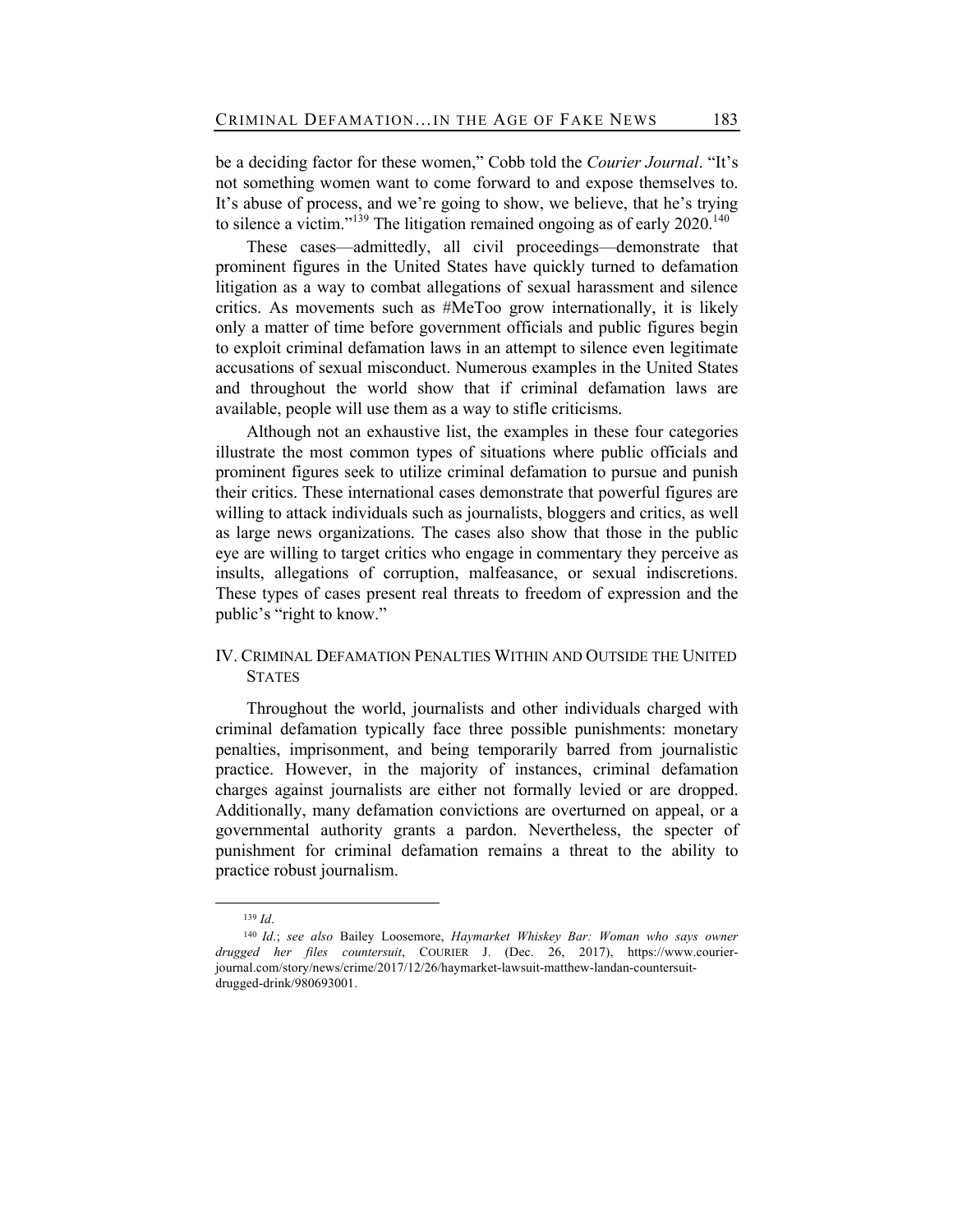be a deciding factor for these women," Cobb told the *Courier Journal*. "It's not something women want to come forward to and expose themselves to. It's abuse of process, and we're going to show, we believe, that he's trying to silence a victim."<sup>139</sup> The litigation remained ongoing as of early  $2020$ .<sup>140</sup>

These cases—admittedly, all civil proceedings—demonstrate that prominent figures in the United States have quickly turned to defamation litigation as a way to combat allegations of sexual harassment and silence critics. As movements such as #MeToo grow internationally, it is likely only a matter of time before government officials and public figures begin to exploit criminal defamation laws in an attempt to silence even legitimate accusations of sexual misconduct. Numerous examples in the United States and throughout the world show that if criminal defamation laws are available, people will use them as a way to stifle criticisms.

Although not an exhaustive list, the examples in these four categories illustrate the most common types of situations where public officials and prominent figures seek to utilize criminal defamation to pursue and punish their critics. These international cases demonstrate that powerful figures are willing to attack individuals such as journalists, bloggers and critics, as well as large news organizations. The cases also show that those in the public eye are willing to target critics who engage in commentary they perceive as insults, allegations of corruption, malfeasance, or sexual indiscretions. These types of cases present real threats to freedom of expression and the public's "right to know."

## IV. CRIMINAL DEFAMATION PENALTIES WITHIN AND OUTSIDE THE UNITED **STATES**

Throughout the world, journalists and other individuals charged with criminal defamation typically face three possible punishments: monetary penalties, imprisonment, and being temporarily barred from journalistic practice. However, in the majority of instances, criminal defamation charges against journalists are either not formally levied or are dropped. Additionally, many defamation convictions are overturned on appeal, or a governmental authority grants a pardon. Nevertheless, the specter of punishment for criminal defamation remains a threat to the ability to practice robust journalism.

<sup>139</sup> *Id*.

<sup>140</sup> *Id*.; *see also* Bailey Loosemore, *Haymarket Whiskey Bar: Woman who says owner drugged her files countersuit*, COURIER J. (Dec. 26, 2017), https://www.courierjournal.com/story/news/crime/2017/12/26/haymarket-lawsuit-matthew-landan-countersuitdrugged-drink/980693001.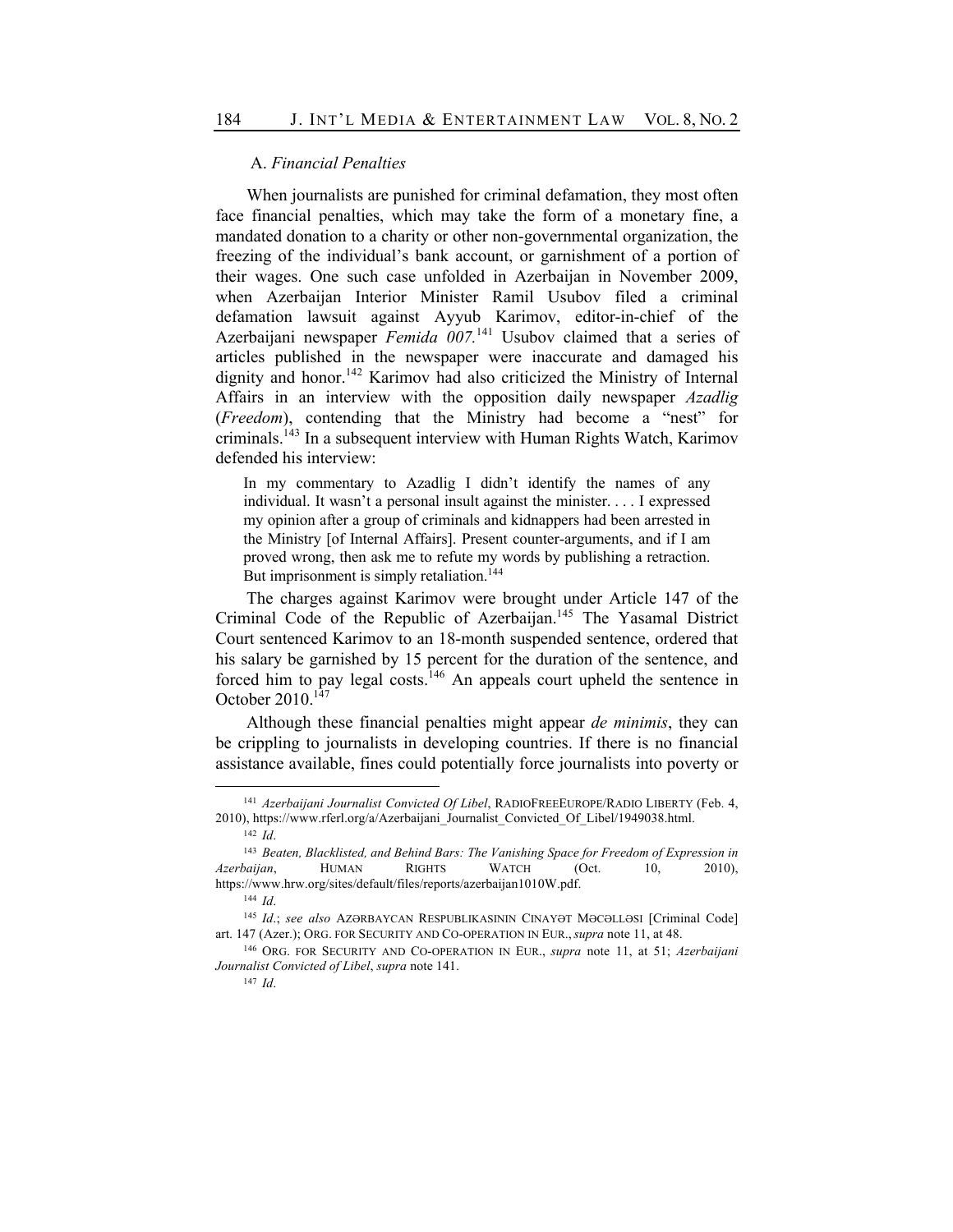## A. *Financial Penalties*

When journalists are punished for criminal defamation, they most often face financial penalties, which may take the form of a monetary fine, a mandated donation to a charity or other non-governmental organization, the freezing of the individual's bank account, or garnishment of a portion of their wages. One such case unfolded in Azerbaijan in November 2009, when Azerbaijan Interior Minister Ramil Usubov filed a criminal defamation lawsuit against Ayyub Karimov, editor-in-chief of the Azerbaijani newspaper *Femida 007*.<sup>141</sup> Usubov claimed that a series of articles published in the newspaper were inaccurate and damaged his dignity and honor.<sup>142</sup> Karimov had also criticized the Ministry of Internal Affairs in an interview with the opposition daily newspaper *Azadlig* (*Freedom*), contending that the Ministry had become a "nest" for criminals.143 In a subsequent interview with Human Rights Watch, Karimov defended his interview:

In my commentary to Azadlig I didn't identify the names of any individual. It wasn't a personal insult against the minister. . . . I expressed my opinion after a group of criminals and kidnappers had been arrested in the Ministry [of Internal Affairs]. Present counter-arguments, and if I am proved wrong, then ask me to refute my words by publishing a retraction. But imprisonment is simply retaliation.<sup>144</sup>

The charges against Karimov were brought under Article 147 of the Criminal Code of the Republic of Azerbaijan.<sup>145</sup> The Yasamal District Court sentenced Karimov to an 18-month suspended sentence, ordered that his salary be garnished by 15 percent for the duration of the sentence, and forced him to pay legal costs.<sup>146</sup> An appeals court upheld the sentence in October  $2010^{147}$ 

Although these financial penalties might appear *de minimis*, they can be crippling to journalists in developing countries. If there is no financial assistance available, fines could potentially force journalists into poverty or

<sup>147</sup> *Id*.

<sup>141</sup> *Azerbaijani Journalist Convicted Of Libel*, RADIOFREEEUROPE/RADIO LIBERTY (Feb. 4, 2010), https://www.rferl.org/a/Azerbaijani\_Journalist\_Convicted\_Of\_Libel/1949038.html.

<sup>142</sup> *Id*.

<sup>143</sup> *Beaten, Blacklisted, and Behind Bars: The Vanishing Space for Freedom of Expression in Azerbaijan*, HUMAN RIGHTS WATCH (Oct. 10, 2010), https://www.hrw.org/sites/default/files/reports/azerbaijan1010W.pdf.

<sup>144</sup> *Id*.

<sup>145</sup> *Id*.; *see also* AZƏRBAYCAN RESPUBLIKASININ CINAYƏT MƏCƏLLƏSI [Criminal Code] art. 147 (Azer.); ORG. FOR SECURITY AND CO-OPERATION IN EUR.,*supra* note 11, at 48.

<sup>146</sup> ORG. FOR SECURITY AND CO-OPERATION IN EUR., *supra* note 11, at 51; *Azerbaijani Journalist Convicted of Libel*, *supra* note 141.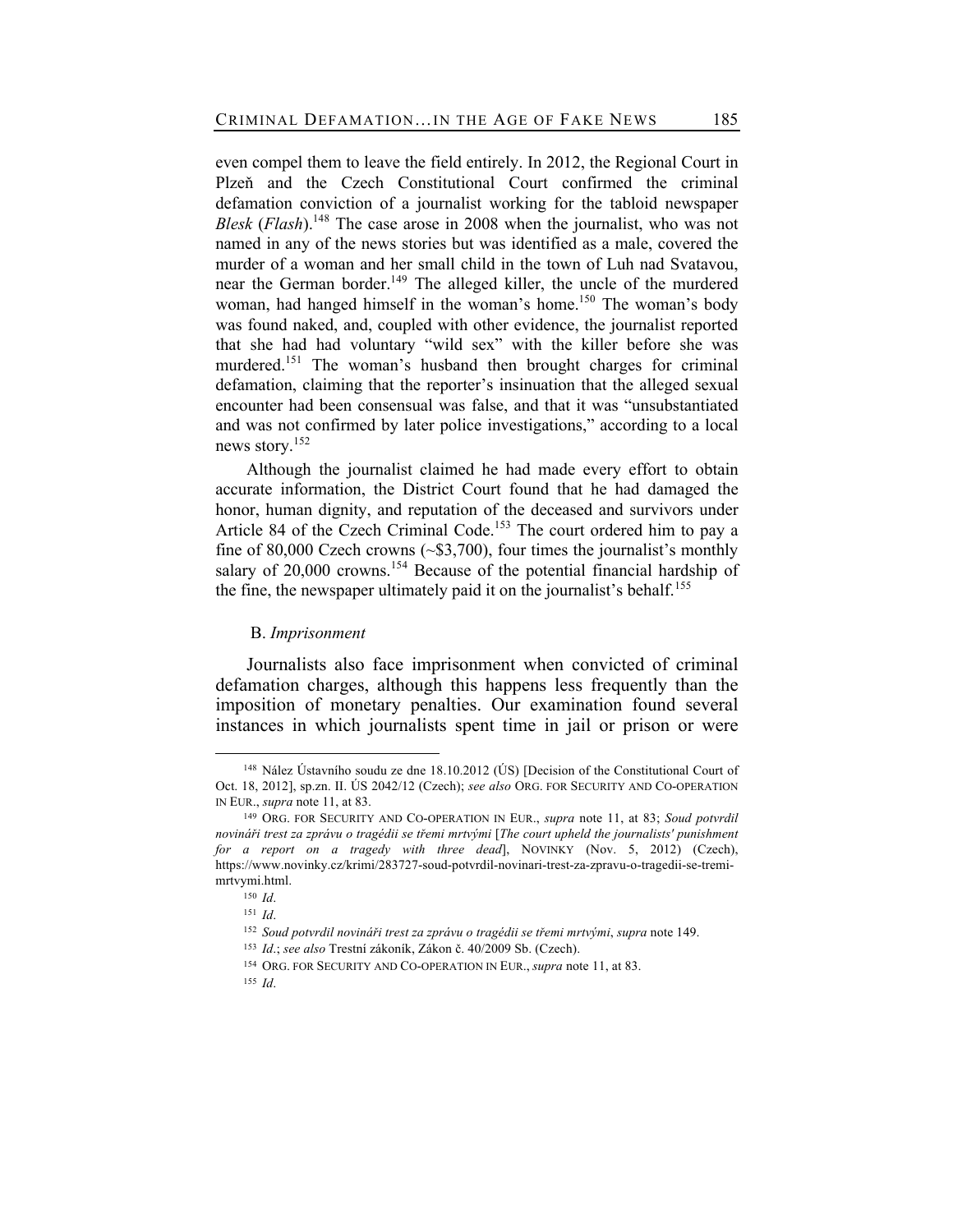even compel them to leave the field entirely. In 2012, the Regional Court in Plzeň and the Czech Constitutional Court confirmed the criminal defamation conviction of a journalist working for the tabloid newspaper *Blesk* (*Flash*).<sup>148</sup> The case arose in 2008 when the journalist, who was not named in any of the news stories but was identified as a male, covered the murder of a woman and her small child in the town of Luh nad Svatavou, near the German border.<sup>149</sup> The alleged killer, the uncle of the murdered woman, had hanged himself in the woman's home.<sup>150</sup> The woman's body was found naked, and, coupled with other evidence, the journalist reported that she had had voluntary "wild sex" with the killer before she was murdered.<sup>151</sup> The woman's husband then brought charges for criminal defamation, claiming that the reporter's insinuation that the alleged sexual encounter had been consensual was false, and that it was "unsubstantiated and was not confirmed by later police investigations," according to a local news story.<sup>152</sup>

Although the journalist claimed he had made every effort to obtain accurate information, the District Court found that he had damaged the honor, human dignity, and reputation of the deceased and survivors under Article 84 of the Czech Criminal Code.<sup>153</sup> The court ordered him to pay a fine of 80,000 Czech crowns  $(-\$3,700)$ , four times the journalist's monthly salary of  $20,000$  crowns.<sup>154</sup> Because of the potential financial hardship of the fine, the newspaper ultimately paid it on the journalist's behalf.<sup>155</sup>

## B. *Imprisonment*

Journalists also face imprisonment when convicted of criminal defamation charges, although this happens less frequently than the imposition of monetary penalties. Our examination found several instances in which journalists spent time in jail or prison or were

<sup>148</sup> Nález Ústavního soudu ze dne 18.10.2012 (ÚS) [Decision of the Constitutional Court of Oct. 18, 2012], sp.zn. II. ÚS 2042/12 (Czech); *see also* ORG. FOR SECURITY AND CO-OPERATION IN EUR., *supra* note 11, at 83.

<sup>149</sup> ORG. FOR SECURITY AND CO-OPERATION IN EUR., *supra* note 11, at 83; *Soud potvrdil novináři trest za zprávu o tragédii se třemi mrtvými* [*The court upheld the journalists' punishment for a report on a tragedy with three dead*], NOVINKY (Nov. 5, 2012) (Czech), https://www.novinky.cz/krimi/283727-soud-potvrdil-novinari-trest-za-zpravu-o-tragedii-se-tremimrtvymi.html.

<sup>150</sup> *Id*.

<sup>151</sup> *Id*.

<sup>152</sup> *Soud potvrdil novináři trest za zprávu o tragédii se třemi mrtvými*, *supra* note 149. <sup>153</sup> *Id*.; *see also* Trestní zákoník, Zákon č. 40/2009 Sb. (Czech).

<sup>154</sup> ORG. FOR SECURITY AND CO-OPERATION IN EUR., *supra* note 11, at 83.

<sup>155</sup> *Id*.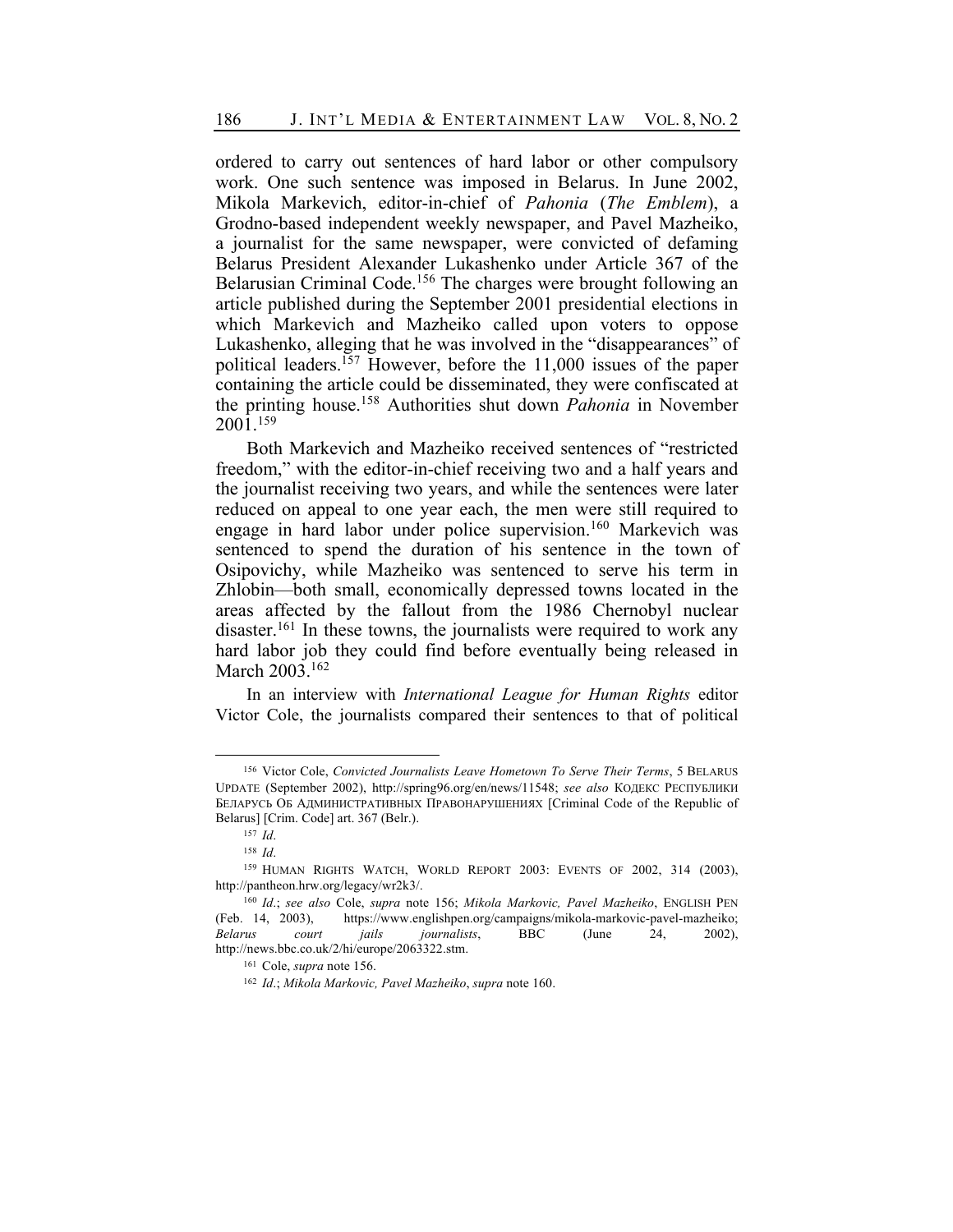ordered to carry out sentences of hard labor or other compulsory work. One such sentence was imposed in Belarus. In June 2002, Mikola Markevich, editor-in-chief of *Pahonia* (*The Emblem*), a Grodno-based independent weekly newspaper, and Pavel Mazheiko, a journalist for the same newspaper, were convicted of defaming Belarus President Alexander Lukashenko under Article 367 of the Belarusian Criminal Code.<sup>156</sup> The charges were brought following an article published during the September 2001 presidential elections in which Markevich and Mazheiko called upon voters to oppose Lukashenko, alleging that he was involved in the "disappearances" of political leaders.<sup>157</sup> However, before the 11,000 issues of the paper containing the article could be disseminated, they were confiscated at the printing house.158 Authorities shut down *Pahonia* in November 2001.159

Both Markevich and Mazheiko received sentences of "restricted freedom," with the editor-in-chief receiving two and a half years and the journalist receiving two years, and while the sentences were later reduced on appeal to one year each, the men were still required to engage in hard labor under police supervision.<sup>160</sup> Markevich was sentenced to spend the duration of his sentence in the town of Osipovichy, while Mazheiko was sentenced to serve his term in Zhlobin—both small, economically depressed towns located in the areas affected by the fallout from the 1986 Chernobyl nuclear disaster.<sup>161</sup> In these towns, the journalists were required to work any hard labor job they could find before eventually being released in March 2003.<sup>162</sup>

In an interview with *International League for Human Rights* editor Victor Cole, the journalists compared their sentences to that of political

<sup>156</sup> Victor Cole, *Convicted Journalists Leave Hometown To Serve Their Terms*, 5 BELARUS UPDATE (September 2002), http://spring96.org/en/news/11548; *see also* КОДЕКС РЕСПУБЛИКИ БЕЛАРУСЬ ОБ АДМИНИСТРАТИВНЫХ ПРАВОНАРУШЕНИЯХ [Criminal Code of the Republic of Belarus] [Crim. Code] art. 367 (Belr.).

<sup>157</sup> *Id*.

<sup>158</sup> *Id*.

<sup>&</sup>lt;sup>159</sup> HUMAN RIGHTS WATCH, WORLD REPORT 2003: EVENTS OF 2002, 314 (2003), http://pantheon.hrw.org/legacy/wr2k3/.

<sup>160</sup> *Id*.; *see also* Cole, *supra* note 156; *Mikola Markovic, Pavel Mazheiko*, ENGLISH PEN (Feb. 14, 2003), https://www.englishpen.org/campaigns/mikola-markovic-pavel-mazheiko; *Belarus court jails journalists*, BBC (June 24, 2002), http://news.bbc.co.uk/2/hi/europe/2063322.stm.

<sup>161</sup> Cole, *supra* note 156.

<sup>162</sup> *Id*.; *Mikola Markovic, Pavel Mazheiko*, *supra* note 160.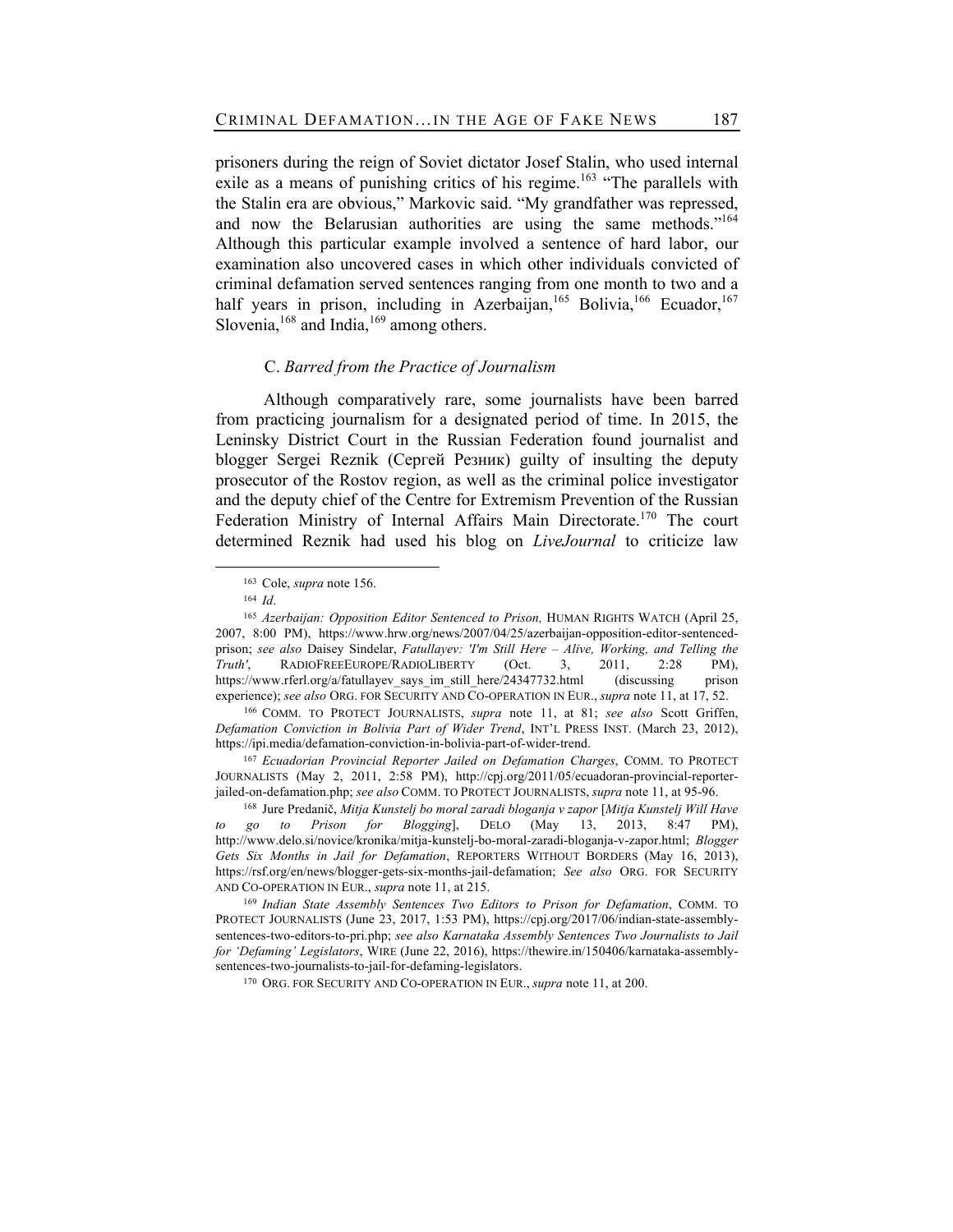prisoners during the reign of Soviet dictator Josef Stalin, who used internal exile as a means of punishing critics of his regime.<sup>163</sup> "The parallels with the Stalin era are obvious," Markovic said. "My grandfather was repressed, and now the Belarusian authorities are using the same methods."164 Although this particular example involved a sentence of hard labor, our examination also uncovered cases in which other individuals convicted of criminal defamation served sentences ranging from one month to two and a half years in prison, including in Azerbaijan,<sup>165</sup> Bolivia,<sup>166</sup> Ecuador,<sup>167</sup> Slovenia,  $168$  and India,  $169$  among others.

## C. *Barred from the Practice of Journalism*

Although comparatively rare, some journalists have been barred from practicing journalism for a designated period of time. In 2015, the Leninsky District Court in the Russian Federation found journalist and blogger Sergei Reznik (Сергей Резник) guilty of insulting the deputy prosecutor of the Rostov region, as well as the criminal police investigator and the deputy chief of the Centre for Extremism Prevention of the Russian Federation Ministry of Internal Affairs Main Directorate.<sup>170</sup> The court determined Reznik had used his blog on *LiveJournal* to criticize law

<sup>167</sup> *Ecuadorian Provincial Reporter Jailed on Defamation Charges*, COMM. TO PROTECT JOURNALISTS (May 2, 2011, 2:58 PM), http://cpj.org/2011/05/ecuadoran-provincial-reporterjailed-on-defamation.php; *see also* COMM. TO PROTECT JOURNALISTS, *supra* note 11, at 95-96.

<sup>163</sup> Cole, *supra* note 156.

<sup>164</sup> *Id*.

<sup>&</sup>lt;sup>165</sup> *Azerbaijan: Opposition Editor Sentenced to Prison, HUMAN RIGHTS WATCH (April 25,* 2007, 8:00 PM), https://www.hrw.org/news/2007/04/25/azerbaijan-opposition-editor-sentencedprison; *see also* Daisey Sindelar, *Fatullayev: 'I'm Still Here – Alive, Working, and Telling the Truth'*, RADIOFREEEUROPE/RADIOLIBERTY (Oct. 3, 2011, 2:28 PM), https://www.rferl.org/a/fatullayev\_says\_im\_still\_here/24347732.html (discussing prison experience); *see also* ORG. FOR SECURITY AND CO-OPERATION IN EUR., *supra* note 11, at 17, 52.

<sup>166</sup> COMM. TO PROTECT JOURNALISTS, *supra* note 11, at 81; *see also* Scott Griffen, *Defamation Conviction in Bolivia Part of Wider Trend*, INT'L PRESS INST. (March 23, 2012), https://ipi.media/defamation-conviction-in-bolivia-part-of-wider-trend.

<sup>168</sup> Jure Predanič, *Mitja Kunstelj bo moral zaradi bloganja v zapor* [*Mitja Kunstelj Will Have to go to Prison for Blogging*], DELO (May 13, 2013, 8:47 PM), http://www.delo.si/novice/kronika/mitja-kunstelj-bo-moral-zaradi-bloganja-v-zapor.html; *Blogger Gets Six Months in Jail for Defamation*, REPORTERS WITHOUT BORDERS (May 16, 2013), https://rsf.org/en/news/blogger-gets-six-months-jail-defamation; *See also* ORG. FOR SECURITY AND CO-OPERATION IN EUR., *supra* note 11, at 215.

<sup>169</sup> *Indian State Assembly Sentences Two Editors to Prison for Defamation*, COMM. TO PROTECT JOURNALISTS (June 23, 2017, 1:53 PM), https://cpj.org/2017/06/indian-state-assemblysentences-two-editors-to-pri.php; *see also Karnataka Assembly Sentences Two Journalists to Jail for 'Defaming' Legislators*, WIRE (June 22, 2016), https://thewire.in/150406/karnataka-assemblysentences-two-journalists-to-jail-for-defaming-legislators.

<sup>170</sup> ORG. FOR SECURITY AND CO-OPERATION IN EUR., *supra* note 11, at 200.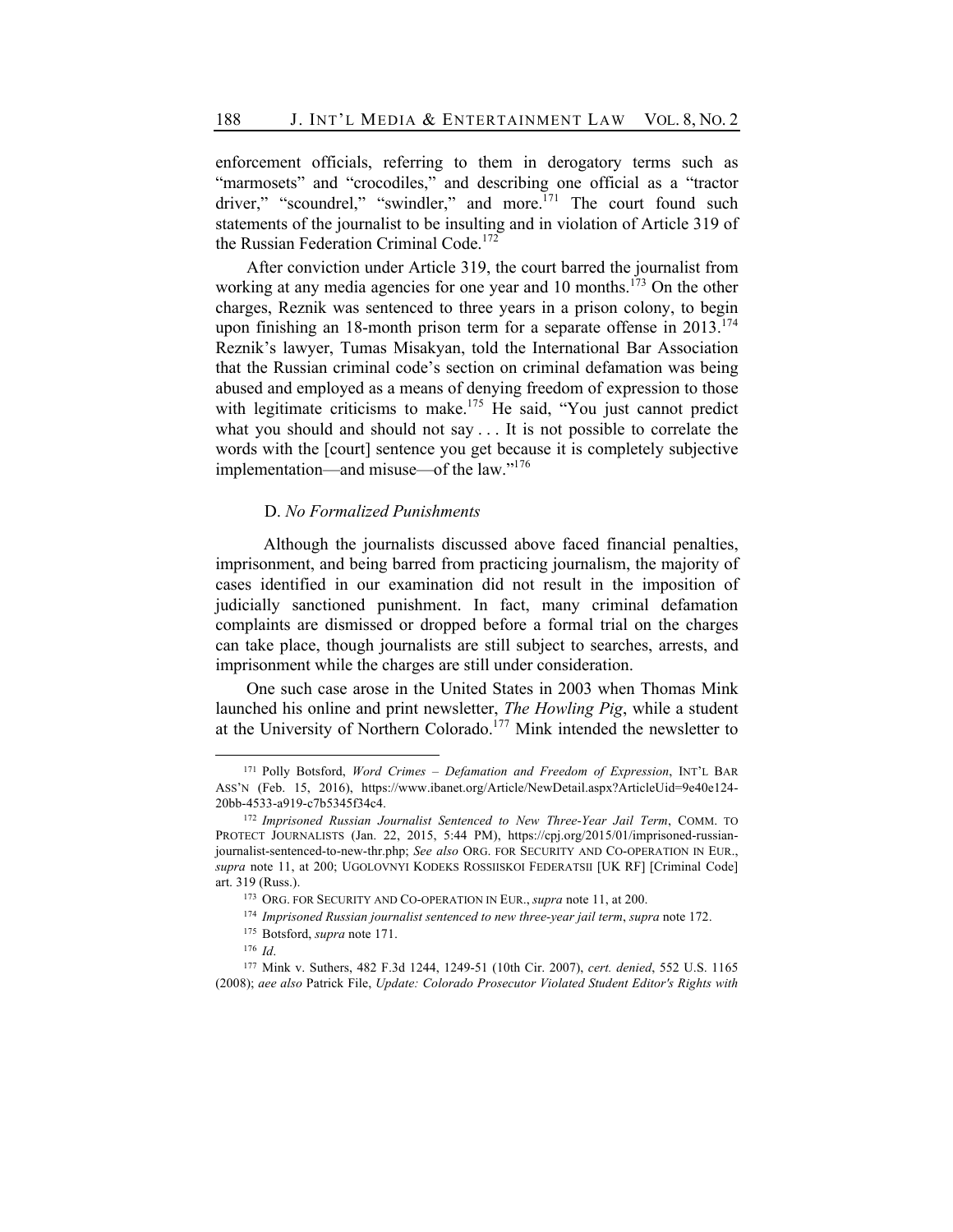enforcement officials, referring to them in derogatory terms such as "marmosets" and "crocodiles," and describing one official as a "tractor driver," "scoundrel," "swindler," and more.<sup>171</sup> The court found such statements of the journalist to be insulting and in violation of Article 319 of the Russian Federation Criminal Code.<sup>172</sup>

After conviction under Article 319, the court barred the journalist from working at any media agencies for one year and 10 months.<sup>173</sup> On the other charges, Reznik was sentenced to three years in a prison colony, to begin upon finishing an 18-month prison term for a separate offense in  $2013$ <sup>174</sup> Reznik's lawyer, Tumas Misakyan, told the International Bar Association that the Russian criminal code's section on criminal defamation was being abused and employed as a means of denying freedom of expression to those with legitimate criticisms to make.<sup>175</sup> He said, "You just cannot predict what you should and should not say . . . It is not possible to correlate the words with the [court] sentence you get because it is completely subjective implementation—and misuse—of the law."176

## D. *No Formalized Punishments*

Although the journalists discussed above faced financial penalties, imprisonment, and being barred from practicing journalism, the majority of cases identified in our examination did not result in the imposition of judicially sanctioned punishment. In fact, many criminal defamation complaints are dismissed or dropped before a formal trial on the charges can take place, though journalists are still subject to searches, arrests, and imprisonment while the charges are still under consideration.

One such case arose in the United States in 2003 when Thomas Mink launched his online and print newsletter, *The Howling Pig*, while a student at the University of Northern Colorado.<sup>177</sup> Mink intended the newsletter to

<sup>171</sup> Polly Botsford, *Word Crimes – Defamation and Freedom of Expression*, INT'L BAR ASS'N (Feb. 15, 2016), https://www.ibanet.org/Article/NewDetail.aspx?ArticleUid=9e40e124- 20bb-4533-a919-c7b5345f34c4.

<sup>172</sup> *Imprisoned Russian Journalist Sentenced to New Three-Year Jail Term*, COMM. TO PROTECT JOURNALISTS (Jan. 22, 2015, 5:44 PM), https://cpj.org/2015/01/imprisoned-russianjournalist-sentenced-to-new-thr.php; *See also* ORG. FOR SECURITY AND CO-OPERATION IN EUR., *supra* note 11, at 200; UGOLOVNYI KODEKS ROSSIISKOI FEDERATSII [UK RF] [Criminal Code] art. 319 (Russ.).

<sup>173</sup> ORG. FOR SECURITY AND CO-OPERATION IN EUR., *supra* note 11, at 200.

<sup>174</sup> *Imprisoned Russian journalist sentenced to new three-year jail term*, *supra* note 172.

<sup>175</sup> Botsford, *supra* note 171.

<sup>176</sup> *Id*.

<sup>177</sup> Mink v. Suthers, 482 F.3d 1244, 1249-51 (10th Cir. 2007), *cert. denied*, 552 U.S. 1165 (2008); *aee also* Patrick File, *Update: Colorado Prosecutor Violated Student Editor's Rights with*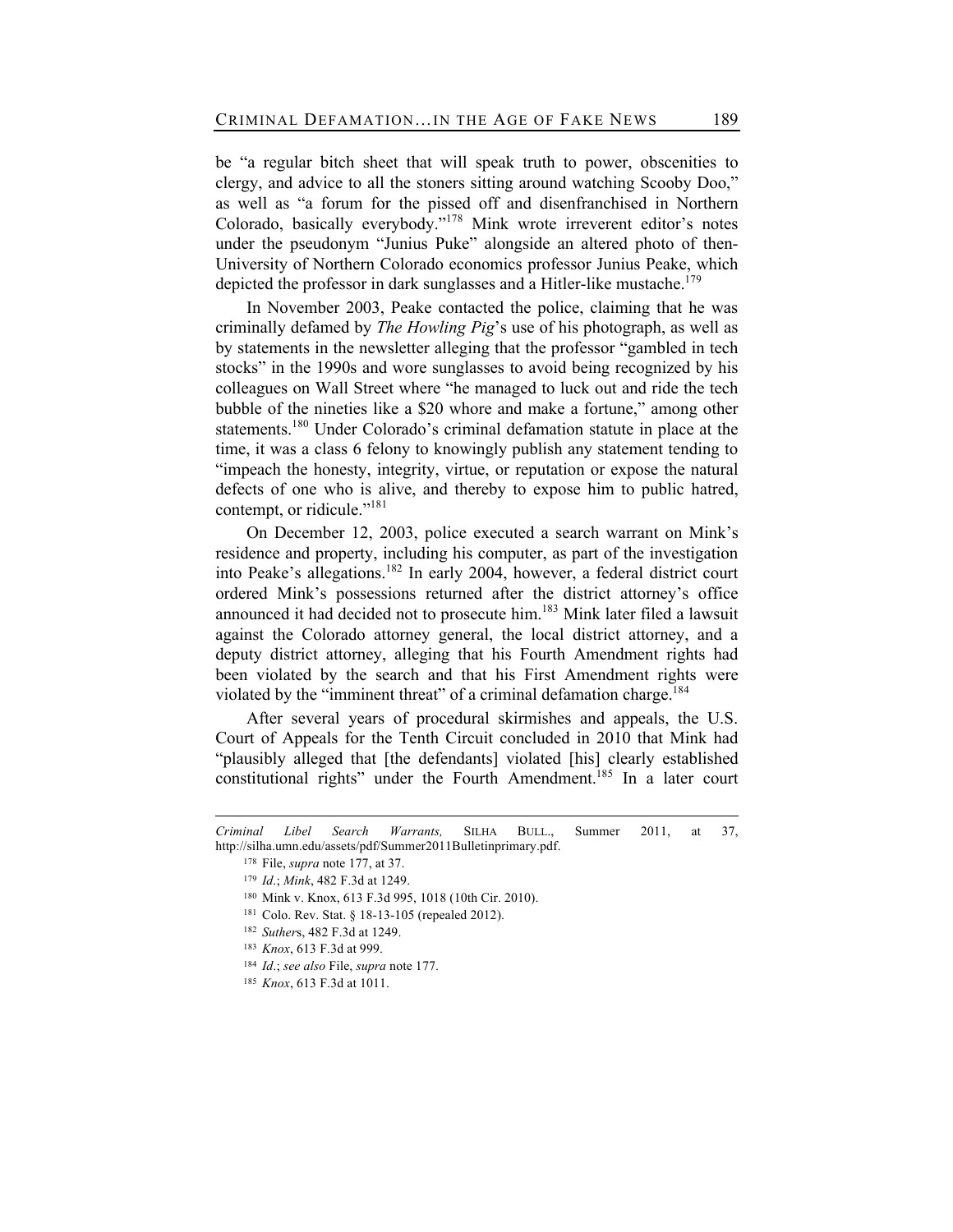be "a regular bitch sheet that will speak truth to power, obscenities to clergy, and advice to all the stoners sitting around watching Scooby Doo," as well as "a forum for the pissed off and disenfranchised in Northern Colorado, basically everybody."<sup>178</sup> Mink wrote irreverent editor's notes under the pseudonym "Junius Puke" alongside an altered photo of then-University of Northern Colorado economics professor Junius Peake, which depicted the professor in dark sunglasses and a Hitler-like mustache.<sup>179</sup>

In November 2003, Peake contacted the police, claiming that he was criminally defamed by *The Howling Pig*'s use of his photograph, as well as by statements in the newsletter alleging that the professor "gambled in tech stocks" in the 1990s and wore sunglasses to avoid being recognized by his colleagues on Wall Street where "he managed to luck out and ride the tech bubble of the nineties like a \$20 whore and make a fortune," among other statements.<sup>180</sup> Under Colorado's criminal defamation statute in place at the time, it was a class 6 felony to knowingly publish any statement tending to "impeach the honesty, integrity, virtue, or reputation or expose the natural defects of one who is alive, and thereby to expose him to public hatred, contempt, or ridicule." $181$ 

On December 12, 2003, police executed a search warrant on Mink's residence and property, including his computer, as part of the investigation into Peake's allegations.<sup>182</sup> In early 2004, however, a federal district court ordered Mink's possessions returned after the district attorney's office announced it had decided not to prosecute him.<sup>183</sup> Mink later filed a lawsuit against the Colorado attorney general, the local district attorney, and a deputy district attorney, alleging that his Fourth Amendment rights had been violated by the search and that his First Amendment rights were violated by the "imminent threat" of a criminal defamation charge.<sup>184</sup>

After several years of procedural skirmishes and appeals, the U.S. Court of Appeals for the Tenth Circuit concluded in 2010 that Mink had "plausibly alleged that [the defendants] violated [his] clearly established constitutional rights" under the Fourth Amendment.<sup>185</sup> In a later court

*Criminal Libel Search Warrants,* SILHA BULL., Summer 2011, at 37, http://silha.umn.edu/assets/pdf/Summer2011Bulletinprimary.pdf.

<sup>178</sup> File, *supra* note 177, at 37.

<sup>179</sup> *Id*.; *Mink*, 482 F.3d at 1249.

<sup>180</sup> Mink v. Knox, 613 F.3d 995, 1018 (10th Cir. 2010).

<sup>181</sup> Colo. Rev. Stat. § 18-13-105 (repealed 2012).

<sup>182</sup> *Suther*s, 482 F.3d at 1249.

<sup>183</sup> *Knox*, 613 F.3d at 999.

<sup>184</sup> *Id*.; *see also* File, *supra* note 177.

<sup>185</sup> *Knox*, 613 F.3d at 1011.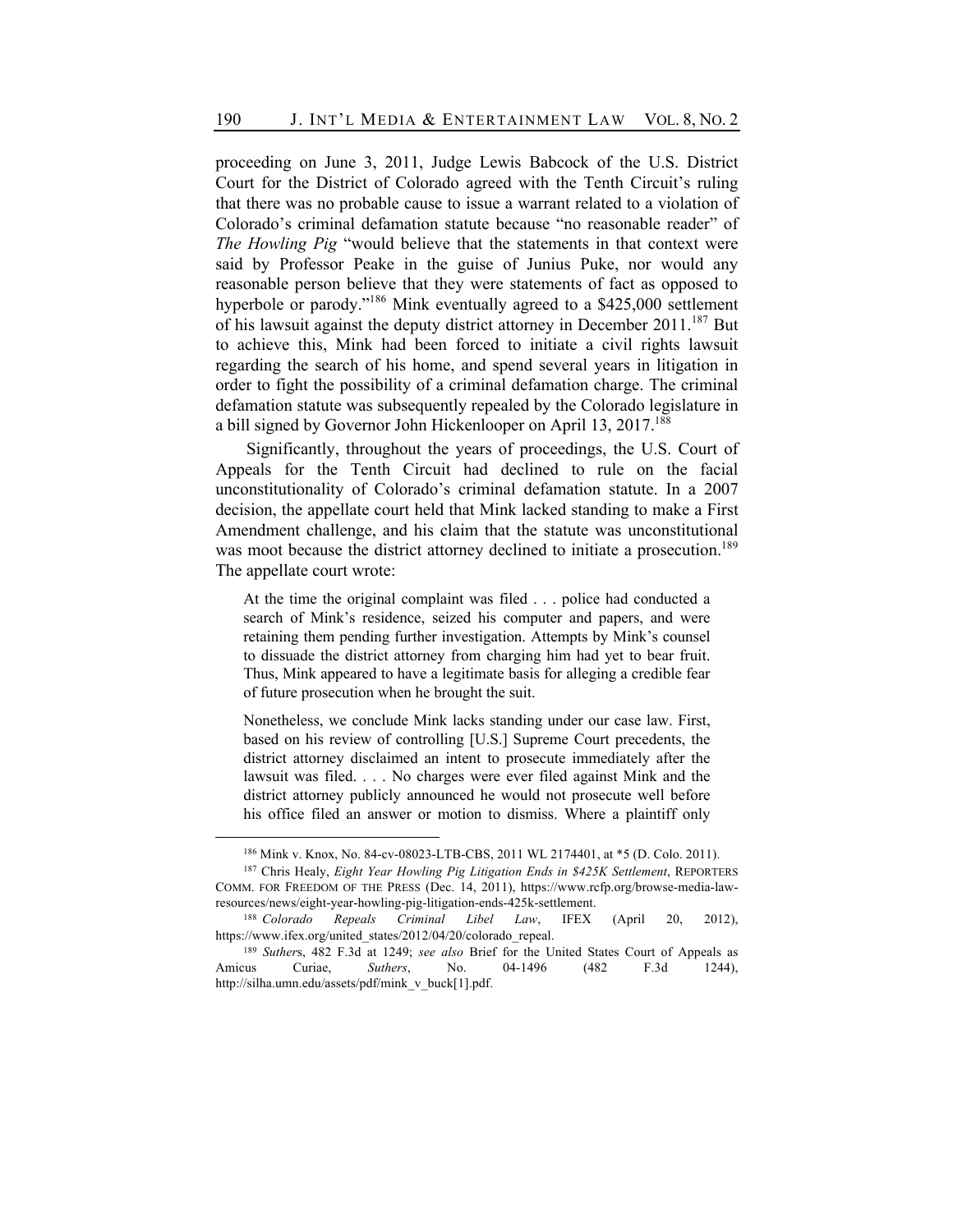proceeding on June 3, 2011, Judge Lewis Babcock of the U.S. District Court for the District of Colorado agreed with the Tenth Circuit's ruling that there was no probable cause to issue a warrant related to a violation of Colorado's criminal defamation statute because "no reasonable reader" of *The Howling Pig* "would believe that the statements in that context were said by Professor Peake in the guise of Junius Puke, nor would any reasonable person believe that they were statements of fact as opposed to hyperbole or parody."<sup>186</sup> Mink eventually agreed to a \$425,000 settlement of his lawsuit against the deputy district attorney in December  $2011$ <sup>187</sup> But to achieve this, Mink had been forced to initiate a civil rights lawsuit regarding the search of his home, and spend several years in litigation in order to fight the possibility of a criminal defamation charge. The criminal defamation statute was subsequently repealed by the Colorado legislature in a bill signed by Governor John Hickenlooper on April 13, 2017.<sup>188</sup>

Significantly, throughout the years of proceedings, the U.S. Court of Appeals for the Tenth Circuit had declined to rule on the facial unconstitutionality of Colorado's criminal defamation statute. In a 2007 decision, the appellate court held that Mink lacked standing to make a First Amendment challenge, and his claim that the statute was unconstitutional was moot because the district attorney declined to initiate a prosecution.<sup>189</sup> The appellate court wrote:

At the time the original complaint was filed . . . police had conducted a search of Mink's residence, seized his computer and papers, and were retaining them pending further investigation. Attempts by Mink's counsel to dissuade the district attorney from charging him had yet to bear fruit. Thus, Mink appeared to have a legitimate basis for alleging a credible fear of future prosecution when he brought the suit.

Nonetheless, we conclude Mink lacks standing under our case law. First, based on his review of controlling [U.S.] Supreme Court precedents, the district attorney disclaimed an intent to prosecute immediately after the lawsuit was filed. . . . No charges were ever filed against Mink and the district attorney publicly announced he would not prosecute well before his office filed an answer or motion to dismiss. Where a plaintiff only

<sup>186</sup> Mink v. Knox, No. 84-cv-08023-LTB-CBS, 2011 WL 2174401, at \*5 (D. Colo. 2011).

<sup>&</sup>lt;sup>187</sup> Chris Healy, *Eight Year Howling Pig Litigation Ends in \$425K Settlement*, REPORTERS COMM. FOR FREEDOM OF THE PRESS (Dec. 14, 2011), https://www.rcfp.org/browse-media-lawresources/news/eight-year-howling-pig-litigation-ends-425k-settlement.

<sup>188</sup> *Colorado Repeals Criminal Libel Law*, IFEX (April 20, 2012), https://www.ifex.org/united\_states/2012/04/20/colorado\_repeal.

<sup>189</sup> *Suther*s, 482 F.3d at 1249; *see also* Brief for the United States Court of Appeals as Amicus Curiae, *Suthers*, No. 04-1496 (482 F.3d 1244), http://silha.umn.edu/assets/pdf/mink\_v\_buck[1].pdf.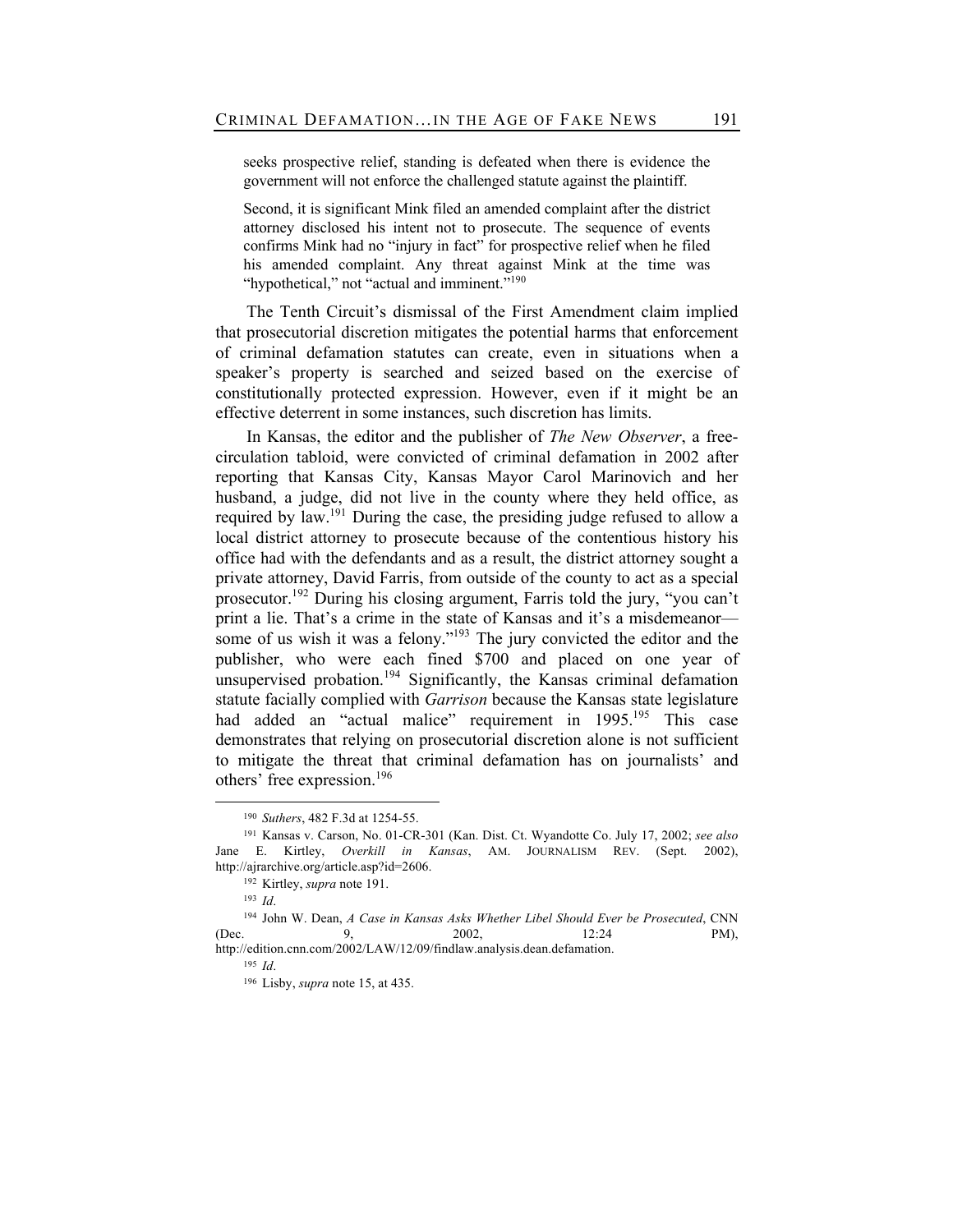seeks prospective relief, standing is defeated when there is evidence the government will not enforce the challenged statute against the plaintiff.

Second, it is significant Mink filed an amended complaint after the district attorney disclosed his intent not to prosecute. The sequence of events confirms Mink had no "injury in fact" for prospective relief when he filed his amended complaint. Any threat against Mink at the time was "hypothetical," not "actual and imminent."<sup>190</sup>

The Tenth Circuit's dismissal of the First Amendment claim implied that prosecutorial discretion mitigates the potential harms that enforcement of criminal defamation statutes can create, even in situations when a speaker's property is searched and seized based on the exercise of constitutionally protected expression. However, even if it might be an effective deterrent in some instances, such discretion has limits.

In Kansas, the editor and the publisher of *The New Observer*, a freecirculation tabloid, were convicted of criminal defamation in 2002 after reporting that Kansas City, Kansas Mayor Carol Marinovich and her husband, a judge, did not live in the county where they held office, as required by law.<sup>191</sup> During the case, the presiding judge refused to allow a local district attorney to prosecute because of the contentious history his office had with the defendants and as a result, the district attorney sought a private attorney, David Farris, from outside of the county to act as a special prosecutor. <sup>192</sup> During his closing argument, Farris told the jury, "you can't print a lie. That's a crime in the state of Kansas and it's a misdemeanor some of us wish it was a felony."<sup>193</sup> The jury convicted the editor and the publisher, who were each fined \$700 and placed on one year of unsupervised probation.<sup>194</sup> Significantly, the Kansas criminal defamation statute facially complied with *Garrison* because the Kansas state legislature had added an "actual malice" requirement in 1995.<sup>195</sup> This case demonstrates that relying on prosecutorial discretion alone is not sufficient to mitigate the threat that criminal defamation has on journalists' and others' free expression.<sup>196</sup>

<sup>190</sup> *Suthers*, 482 F.3d at 1254-55.

<sup>191</sup> Kansas v. Carson, No. 01-CR-301 (Kan. Dist. Ct. Wyandotte Co. July 17, 2002; *see also* Jane E. Kirtley, *Overkill in Kansas*, AM. JOURNALISM REV. (Sept. 2002), http://ajrarchive.org/article.asp?id=2606.

<sup>192</sup> Kirtley, *supra* note 191.

<sup>193</sup> *Id*.

<sup>194</sup> John W. Dean, *A Case in Kansas Asks Whether Libel Should Ever be Prosecuted*, CNN (Dec. 9, 2002, 12:24 PM), http://edition.cnn.com/2002/LAW/12/09/findlaw.analysis.dean.defamation.

<sup>195</sup> *Id*.

<sup>196</sup> Lisby, *supra* note 15, at 435.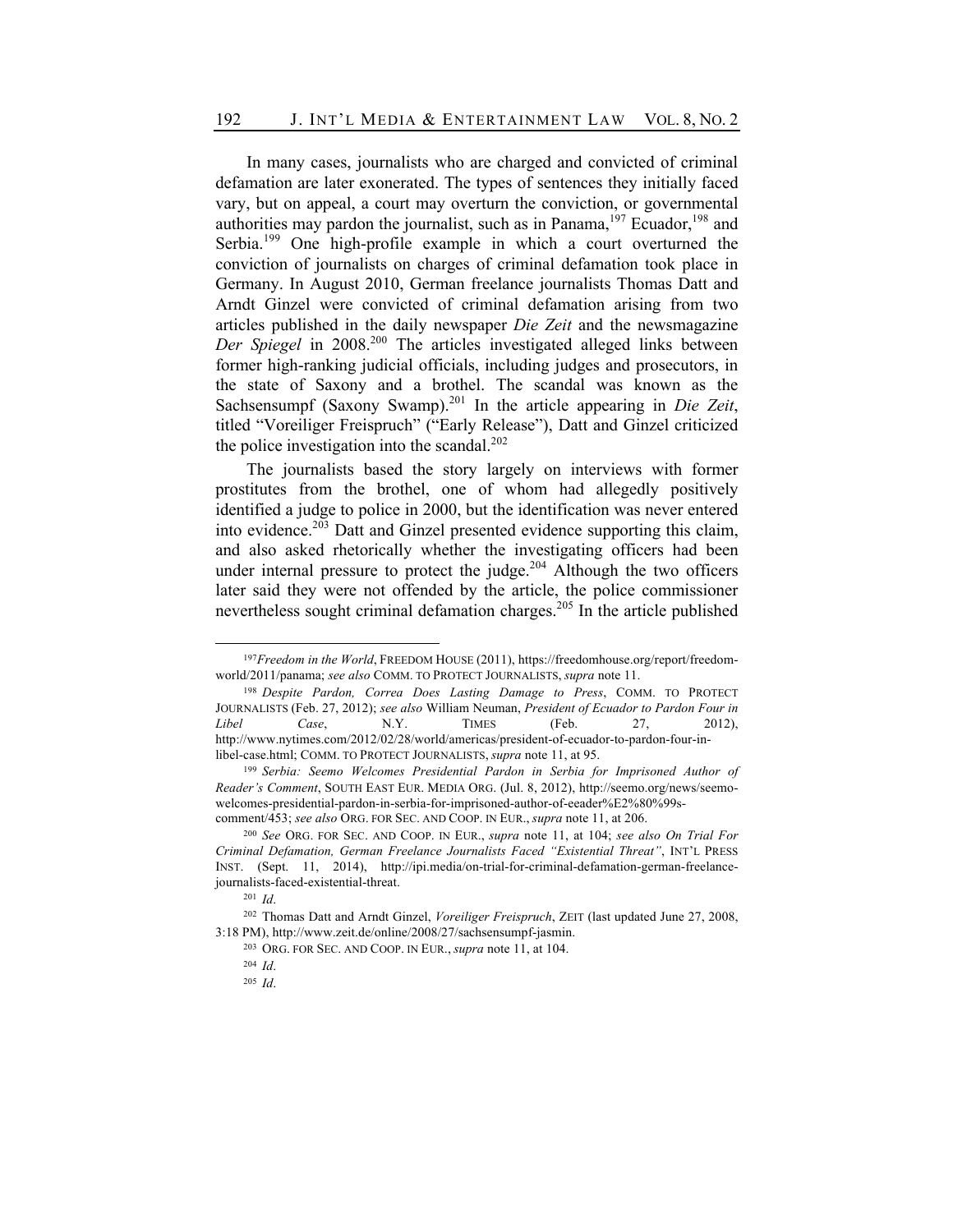In many cases, journalists who are charged and convicted of criminal defamation are later exonerated. The types of sentences they initially faced vary, but on appeal, a court may overturn the conviction, or governmental authorities may pardon the journalist, such as in Panama,  $197$  Ecuador,  $198$  and Serbia.<sup>199</sup> One high-profile example in which a court overturned the conviction of journalists on charges of criminal defamation took place in Germany. In August 2010, German freelance journalists Thomas Datt and Arndt Ginzel were convicted of criminal defamation arising from two articles published in the daily newspaper *Die Zeit* and the newsmagazine *Der Spiegel* in 2008.200 The articles investigated alleged links between former high-ranking judicial officials, including judges and prosecutors, in the state of Saxony and a brothel. The scandal was known as the Sachsensumpf (Saxony Swamp).<sup>201</sup> In the article appearing in *Die Zeit*, titled "Voreiliger Freispruch" ("Early Release"), Datt and Ginzel criticized the police investigation into the scandal. $202$ 

The journalists based the story largely on interviews with former prostitutes from the brothel, one of whom had allegedly positively identified a judge to police in 2000, but the identification was never entered into evidence. $203$  Datt and Ginzel presented evidence supporting this claim, and also asked rhetorically whether the investigating officers had been under internal pressure to protect the judge.<sup>204</sup> Although the two officers later said they were not offended by the article, the police commissioner nevertheless sought criminal defamation charges.<sup>205</sup> In the article published

<sup>197</sup>*Freedom in the World*, FREEDOM HOUSE (2011), https://freedomhouse.org/report/freedomworld/2011/panama; *see also* COMM. TO PROTECT JOURNALISTS, *supra* note 11.

<sup>198</sup> *Despite Pardon, Correa Does Lasting Damage to Press*, COMM. TO PROTECT JOURNALISTS (Feb. 27, 2012); *see also* William Neuman, *President of Ecuador to Pardon Four in Libel Case*, N.Y. TIMES (Feb. 27, 2012), http://www.nytimes.com/2012/02/28/world/americas/president-of-ecuador-to-pardon-four-inlibel-case.html; COMM. TO PROTECT JOURNALISTS, *supra* note 11, at 95.

<sup>199</sup> *Serbia: Seemo Welcomes Presidential Pardon in Serbia for Imprisoned Author of Reader's Comment*, SOUTH EAST EUR. MEDIA ORG. (Jul. 8, 2012), http://seemo.org/news/seemowelcomes-presidential-pardon-in-serbia-for-imprisoned-author-of-eeader%E2%80%99scomment/453; *see also* ORG. FOR SEC. AND COOP. IN EUR., *supra* note 11, at 206.

<sup>200</sup> *See* ORG. FOR SEC. AND COOP. IN EUR., *supra* note 11, at 104; *see also On Trial For Criminal Defamation, German Freelance Journalists Faced "Existential Threat"*, INT'L PRESS INST. (Sept. 11, 2014), http://ipi.media/on-trial-for-criminal-defamation-german-freelancejournalists-faced-existential-threat.

<sup>201</sup> *Id*.

<sup>202</sup> Thomas Datt and Arndt Ginzel, *Voreiliger Freispruch*, ZEIT (last updated June 27, 2008, 3:18 PM), http://www.zeit.de/online/2008/27/sachsensumpf-jasmin.

<sup>203</sup> ORG. FOR SEC. AND COOP. IN EUR., *supra* note 11, at 104.

<sup>204</sup> *Id*.

<sup>205</sup> *Id*.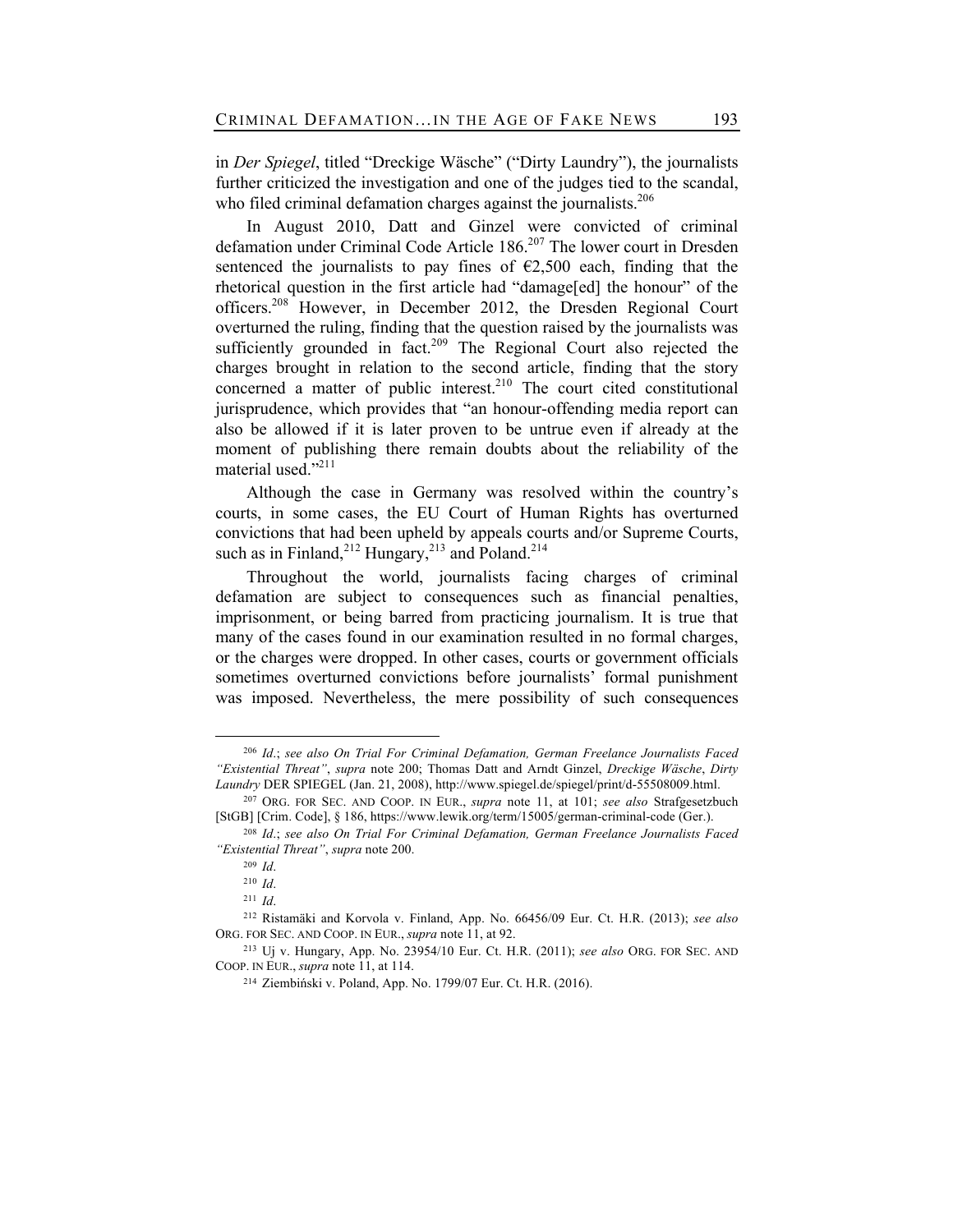in *Der Spiegel*, titled "Dreckige Wäsche" ("Dirty Laundry"), the journalists further criticized the investigation and one of the judges tied to the scandal, who filed criminal defamation charges against the journalists.<sup>206</sup>

In August 2010, Datt and Ginzel were convicted of criminal defamation under Criminal Code Article 186.<sup>207</sup> The lower court in Dresden sentenced the journalists to pay fines of  $\epsilon$ 2,500 each, finding that the rhetorical question in the first article had "damage[ed] the honour" of the officers.<sup>208</sup> However, in December 2012, the Dresden Regional Court overturned the ruling, finding that the question raised by the journalists was sufficiently grounded in fact.<sup>209</sup> The Regional Court also rejected the charges brought in relation to the second article, finding that the story concerned a matter of public interest.<sup>210</sup> The court cited constitutional jurisprudence, which provides that "an honour-offending media report can also be allowed if it is later proven to be untrue even if already at the moment of publishing there remain doubts about the reliability of the material used."<sup>211</sup>

Although the case in Germany was resolved within the country's courts, in some cases, the EU Court of Human Rights has overturned convictions that had been upheld by appeals courts and/or Supreme Courts, such as in Finland, $^{212}$  Hungary, $^{213}$  and Poland. $^{214}$ 

Throughout the world, journalists facing charges of criminal defamation are subject to consequences such as financial penalties, imprisonment, or being barred from practicing journalism. It is true that many of the cases found in our examination resulted in no formal charges, or the charges were dropped. In other cases, courts or government officials sometimes overturned convictions before journalists' formal punishment was imposed. Nevertheless, the mere possibility of such consequences

<sup>206</sup> *Id*.; *see also On Trial For Criminal Defamation, German Freelance Journalists Faced "Existential Threat"*, *supra* note 200; Thomas Datt and Arndt Ginzel, *Dreckige Wäsche*, *Dirty Laundry* DER SPIEGEL (Jan. 21, 2008), http://www.spiegel.de/spiegel/print/d-55508009.html.

<sup>207</sup> ORG. FOR SEC. AND COOP. IN EUR., *supra* note 11, at 101; *see also* Strafgesetzbuch [StGB] [Crim. Code], § 186, https://www.lewik.org/term/15005/german-criminal-code (Ger.).

<sup>208</sup> *Id*.; *see also On Trial For Criminal Defamation, German Freelance Journalists Faced "Existential Threat"*, *supra* note 200.

<sup>209</sup> *Id*.

<sup>210</sup> *Id*.

<sup>211</sup> *Id*.

<sup>212</sup> Ristamäki and Korvola v. Finland, App. No. 66456/09 Eur. Ct. H.R. (2013); *see also*  ORG. FOR SEC. AND COOP. IN EUR., *supra* note 11, at 92.

<sup>213</sup> Uj v. Hungary, App. No. 23954/10 Eur. Ct. H.R. (2011); *see also* ORG. FOR SEC. AND COOP. IN EUR., *supra* note 11, at 114.

<sup>214</sup> Ziembiński v. Poland, App. No. 1799/07 Eur. Ct. H.R. (2016).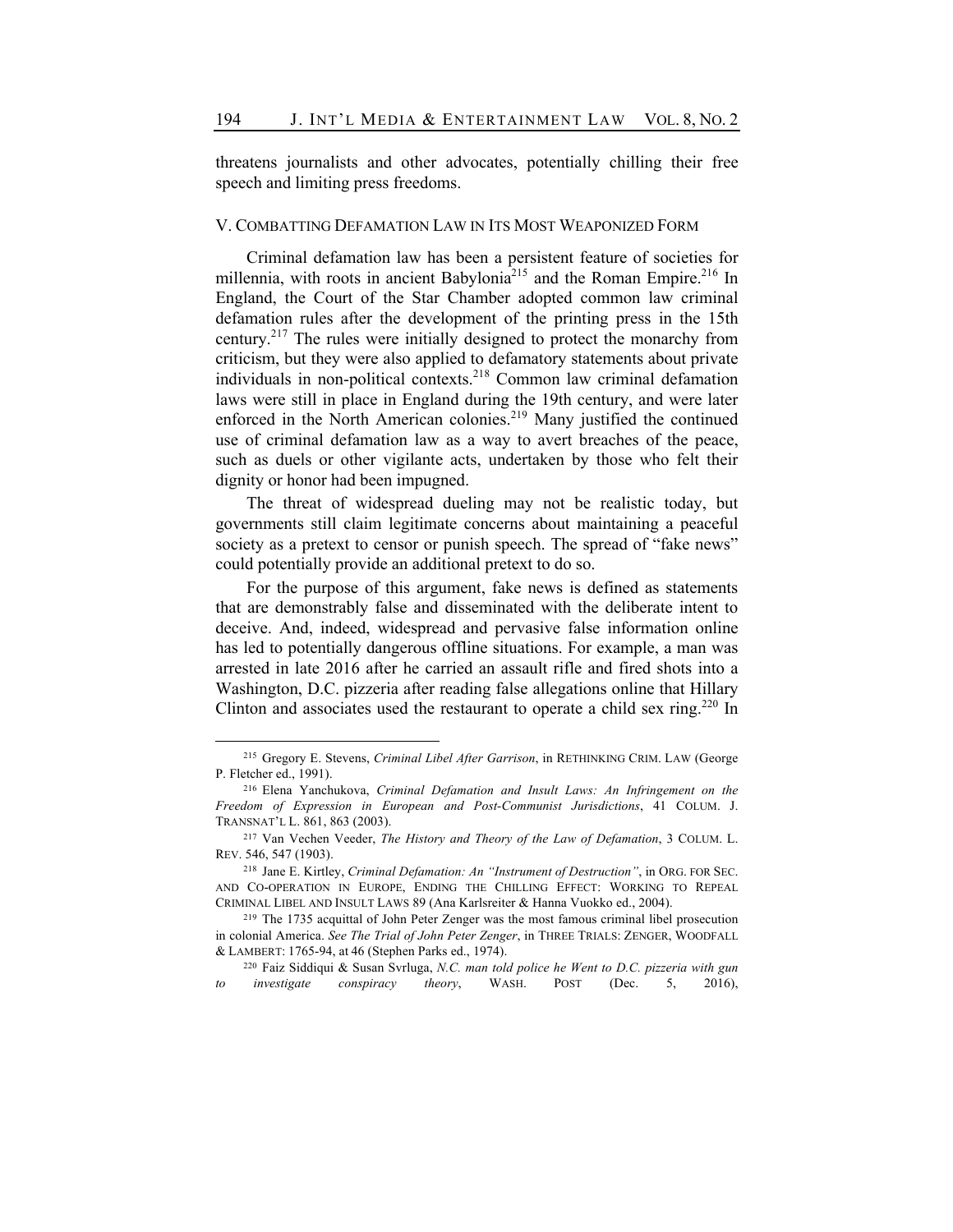threatens journalists and other advocates, potentially chilling their free speech and limiting press freedoms.

#### V. COMBATTING DEFAMATION LAW IN ITS MOST WEAPONIZED FORM

Criminal defamation law has been a persistent feature of societies for millennia, with roots in ancient Babylonia<sup>215</sup> and the Roman Empire.<sup>216</sup> In England, the Court of the Star Chamber adopted common law criminal defamation rules after the development of the printing press in the 15th century.<sup>217</sup> The rules were initially designed to protect the monarchy from criticism, but they were also applied to defamatory statements about private individuals in non-political contexts.218 Common law criminal defamation laws were still in place in England during the 19th century, and were later enforced in the North American colonies.<sup>219</sup> Many justified the continued use of criminal defamation law as a way to avert breaches of the peace, such as duels or other vigilante acts, undertaken by those who felt their dignity or honor had been impugned.

The threat of widespread dueling may not be realistic today, but governments still claim legitimate concerns about maintaining a peaceful society as a pretext to censor or punish speech. The spread of "fake news" could potentially provide an additional pretext to do so.

For the purpose of this argument, fake news is defined as statements that are demonstrably false and disseminated with the deliberate intent to deceive. And, indeed, widespread and pervasive false information online has led to potentially dangerous offline situations. For example, a man was arrested in late 2016 after he carried an assault rifle and fired shots into a Washington, D.C. pizzeria after reading false allegations online that Hillary Clinton and associates used the restaurant to operate a child sex ring.<sup>220</sup> In

<sup>215</sup> Gregory E. Stevens, *Criminal Libel After Garrison*, in RETHINKING CRIM. LAW (George P. Fletcher ed., 1991).

<sup>216</sup> Elena Yanchukova, *Criminal Defamation and Insult Laws: An Infringement on the Freedom of Expression in European and Post-Communist Jurisdictions*, 41 COLUM. J. TRANSNAT'L L. 861, 863 (2003).

<sup>217</sup> Van Vechen Veeder, *The History and Theory of the Law of Defamation*, 3 COLUM. L. REV. 546, 547 (1903).

<sup>218</sup> Jane E. Kirtley, *Criminal Defamation: An "Instrument of Destruction"*, in ORG. FOR SEC. AND CO-OPERATION IN EUROPE, ENDING THE CHILLING EFFECT: WORKING TO REPEAL CRIMINAL LIBEL AND INSULT LAWS 89 (Ana Karlsreiter & Hanna Vuokko ed., 2004).

<sup>219</sup> The 1735 acquittal of John Peter Zenger was the most famous criminal libel prosecution in colonial America. *See The Trial of John Peter Zenger*, in THREE TRIALS: ZENGER, WOODFALL & LAMBERT: 1765-94, at 46 (Stephen Parks ed., 1974).

<sup>220</sup> Faiz Siddiqui & Susan Svrluga, *N.C. man told police he Went to D.C. pizzeria with gun to investigate conspiracy theory*, WASH. POST (Dec. 5, 2016),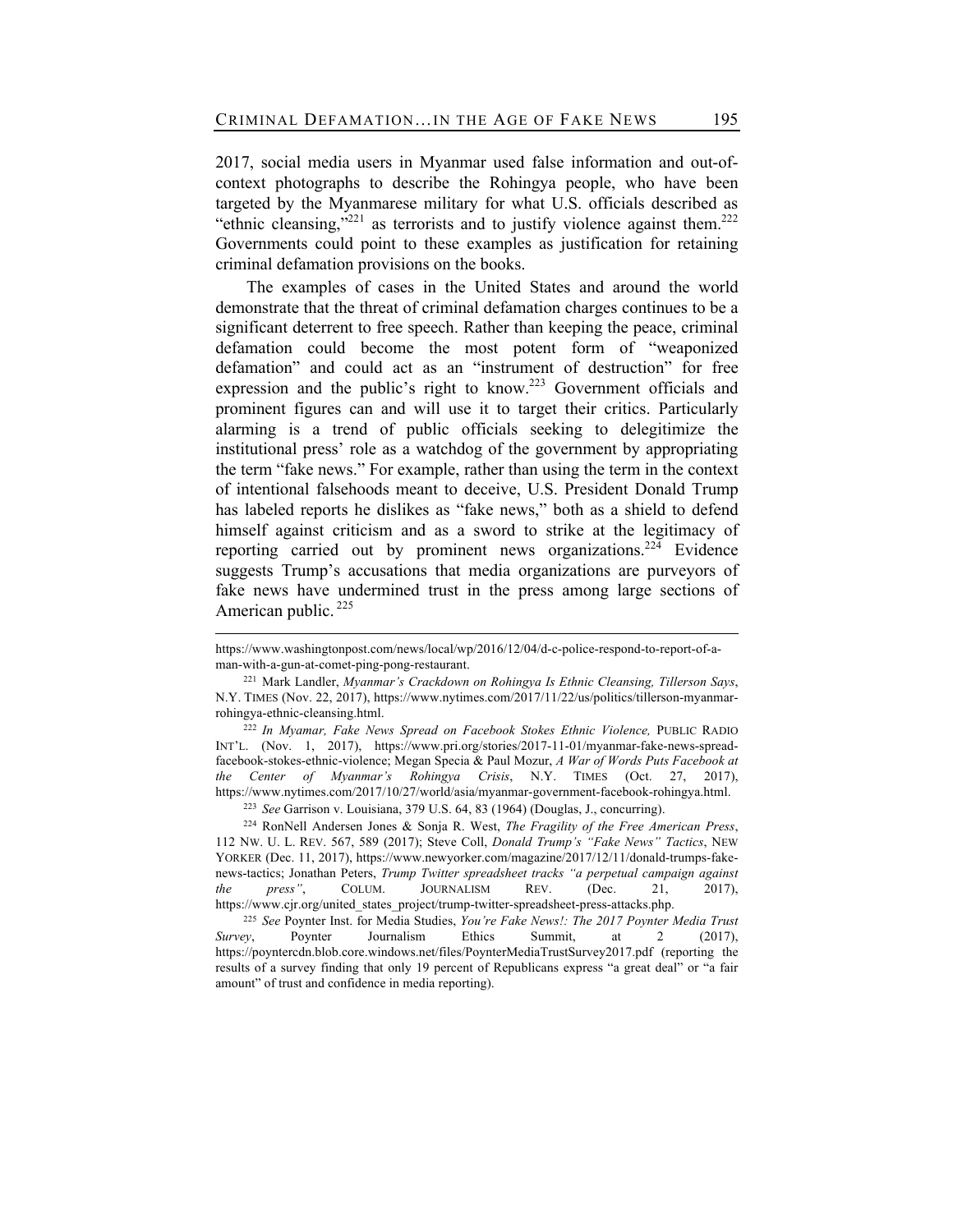2017, social media users in Myanmar used false information and out-ofcontext photographs to describe the Rohingya people, who have been targeted by the Myanmarese military for what U.S. officials described as "ethnic cleansing,"<sup>221</sup> as terrorists and to justify violence against them.<sup>222</sup> Governments could point to these examples as justification for retaining criminal defamation provisions on the books.

The examples of cases in the United States and around the world demonstrate that the threat of criminal defamation charges continues to be a significant deterrent to free speech. Rather than keeping the peace, criminal defamation could become the most potent form of "weaponized defamation" and could act as an "instrument of destruction" for free expression and the public's right to know.<sup>223</sup> Government officials and prominent figures can and will use it to target their critics. Particularly alarming is a trend of public officials seeking to delegitimize the institutional press' role as a watchdog of the government by appropriating the term "fake news." For example, rather than using the term in the context of intentional falsehoods meant to deceive, U.S. President Donald Trump has labeled reports he dislikes as "fake news," both as a shield to defend himself against criticism and as a sword to strike at the legitimacy of reporting carried out by prominent news organizations.<sup>224</sup> Evidence suggests Trump's accusations that media organizations are purveyors of fake news have undermined trust in the press among large sections of American public.<sup>225</sup>

<sup>223</sup> *See* Garrison v. Louisiana, 379 U.S. 64, 83 (1964) (Douglas, J., concurring).

<sup>224</sup> RonNell Andersen Jones & Sonja R. West, *The Fragility of the Free American Press*, 112 NW. U. L. REV. 567, 589 (2017); Steve Coll, *Donald Trump's "Fake News" Tactics*, NEW YORKER (Dec. 11, 2017), https://www.newyorker.com/magazine/2017/12/11/donald-trumps-fakenews-tactics; Jonathan Peters, *Trump Twitter spreadsheet tracks "a perpetual campaign against the press"*, COLUM. JOURNALISM REV. (Dec. 21, 2017), https://www.cjr.org/united\_states\_project/trump-twitter-spreadsheet-press-attacks.php.

<sup>225</sup> *See* Poynter Inst. for Media Studies, *You're Fake News!: The 2017 Poynter Media Trust Survey*, Poynter Journalism Ethics Summit, at 2 (2017), https://poyntercdn.blob.core.windows.net/files/PoynterMediaTrustSurvey2017.pdf (reporting the results of a survey finding that only 19 percent of Republicans express "a great deal" or "a fair amount" of trust and confidence in media reporting).

https://www.washingtonpost.com/news/local/wp/2016/12/04/d-c-police-respond-to-report-of-aman-with-a-gun-at-comet-ping-pong-restaurant.

<sup>221</sup> Mark Landler, *Myanmar's Crackdown on Rohingya Is Ethnic Cleansing, Tillerson Says*, N.Y. TIMES (Nov. 22, 2017), https://www.nytimes.com/2017/11/22/us/politics/tillerson-myanmarrohingya-ethnic-cleansing.html.

<sup>222</sup> *In Myamar, Fake News Spread on Facebook Stokes Ethnic Violence,* PUBLIC RADIO INT'L. (Nov. 1, 2017), https://www.pri.org/stories/2017-11-01/myanmar-fake-news-spreadfacebook-stokes-ethnic-violence; Megan Specia & Paul Mozur, *A War of Words Puts Facebook at the Center of Myanmar's Rohingya Crisis*, N.Y. TIMES (Oct. 27, 2017), https://www.nytimes.com/2017/10/27/world/asia/myanmar-government-facebook-rohingya.html.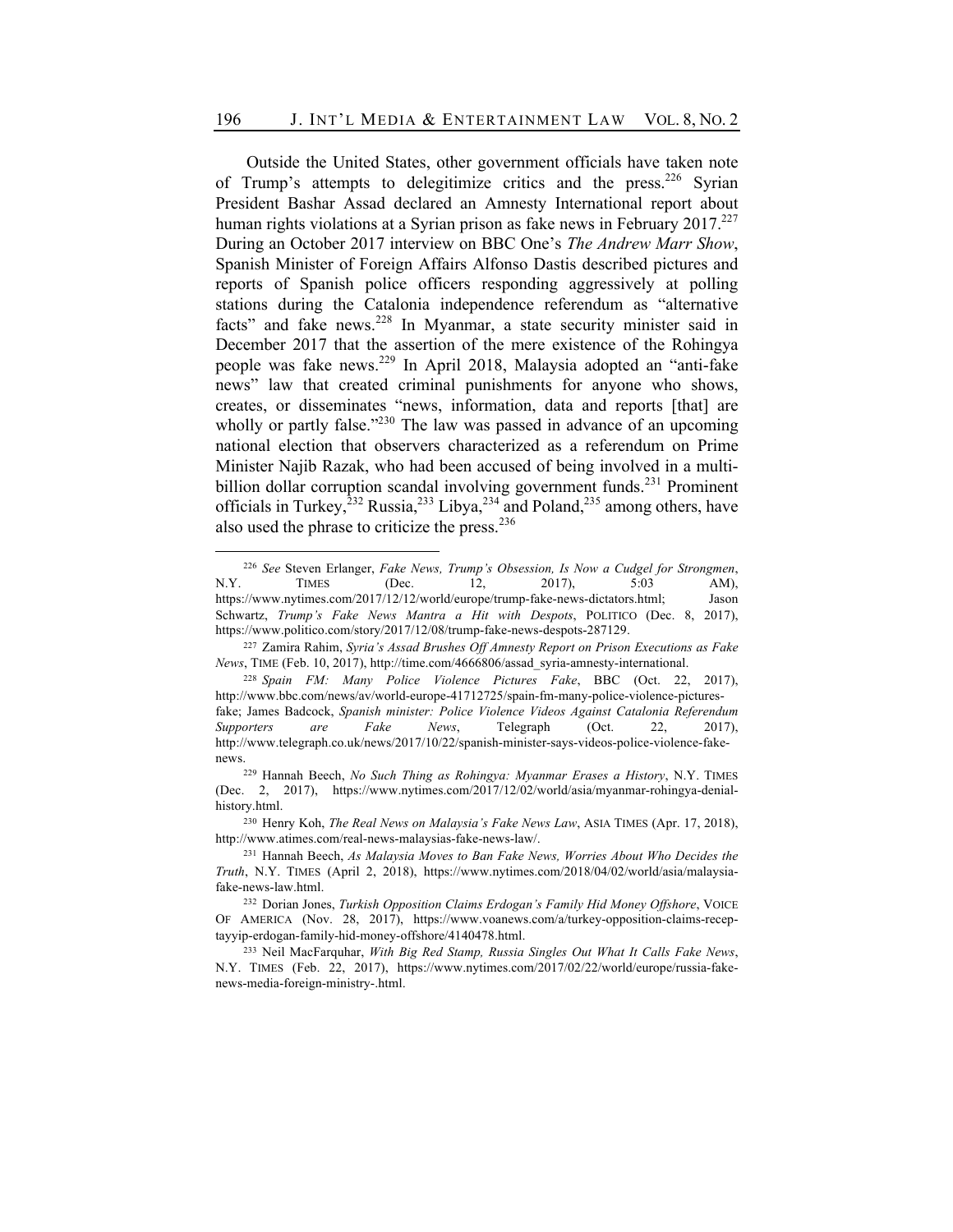Outside the United States, other government officials have taken note of Trump's attempts to delegitimize critics and the press.<sup>226</sup> Syrian President Bashar Assad declared an Amnesty International report about human rights violations at a Syrian prison as fake news in February 2017.<sup>227</sup> During an October 2017 interview on BBC One's *The Andrew Marr Show*, Spanish Minister of Foreign Affairs Alfonso Dastis described pictures and reports of Spanish police officers responding aggressively at polling stations during the Catalonia independence referendum as "alternative facts" and fake news.<sup>228</sup> In Myanmar, a state security minister said in December 2017 that the assertion of the mere existence of the Rohingya people was fake news.<sup>229</sup> In April 2018, Malaysia adopted an "anti-fake news" law that created criminal punishments for anyone who shows, creates, or disseminates "news, information, data and reports [that] are wholly or partly false. $1230$  The law was passed in advance of an upcoming national election that observers characterized as a referendum on Prime Minister Najib Razak, who had been accused of being involved in a multibillion dollar corruption scandal involving government funds.<sup>231</sup> Prominent officials in Turkey,  $232$  Russia,  $233$  Libya,  $234$  and Poland,  $235$  among others, have also used the phrase to criticize the press.<sup>236</sup>

<sup>226</sup> *See* Steven Erlanger, *Fake News, Trump's Obsession, Is Now a Cudgel for Strongmen*, N.Y. TIMES (Dec. 12, 2017), 5:03 AM), https://www.nytimes.com/2017/12/12/world/europe/trump-fake-news-dictators.html; Jason Schwartz, *Trump's Fake News Mantra a Hit with Despots*, POLITICO (Dec. 8, 2017), https://www.politico.com/story/2017/12/08/trump-fake-news-despots-287129.

<sup>227</sup> Zamira Rahim, *Syria's Assad Brushes Off Amnesty Report on Prison Executions as Fake News*, TIME (Feb. 10, 2017), http://time.com/4666806/assad\_syria-amnesty-international.

<sup>228</sup> *Spain FM: Many Police Violence Pictures Fake*, BBC (Oct. 22, 2017), http://www.bbc.com/news/av/world-europe-41712725/spain-fm-many-police-violence-picturesfake; James Badcock, *Spanish minister: Police Violence Videos Against Catalonia Referendum Supporters are Fake News*, Telegraph (Oct. 22, 2017), http://www.telegraph.co.uk/news/2017/10/22/spanish-minister-says-videos-police-violence-fakenews.

<sup>229</sup> Hannah Beech, *No Such Thing as Rohingya: Myanmar Erases a History*, N.Y. TIMES (Dec. 2, 2017), https://www.nytimes.com/2017/12/02/world/asia/myanmar-rohingya-denialhistory.html.

<sup>230</sup> Henry Koh, *The Real News on Malaysia's Fake News Law*, ASIA TIMES (Apr. 17, 2018), http://www.atimes.com/real-news-malaysias-fake-news-law/.

<sup>231</sup> Hannah Beech, *As Malaysia Moves to Ban Fake News, Worries About Who Decides the Truth*, N.Y. TIMES (April 2, 2018), https://www.nytimes.com/2018/04/02/world/asia/malaysiafake-news-law.html.

<sup>232</sup> Dorian Jones, *Turkish Opposition Claims Erdogan's Family Hid Money Offshore*, VOICE OF AMERICA (Nov. 28, 2017), https://www.voanews.com/a/turkey-opposition-claims-receptayyip-erdogan-family-hid-money-offshore/4140478.html.

<sup>233</sup> Neil MacFarquhar, *With Big Red Stamp, Russia Singles Out What It Calls Fake News*, N.Y. TIMES (Feb. 22, 2017), https://www.nytimes.com/2017/02/22/world/europe/russia-fakenews-media-foreign-ministry-.html.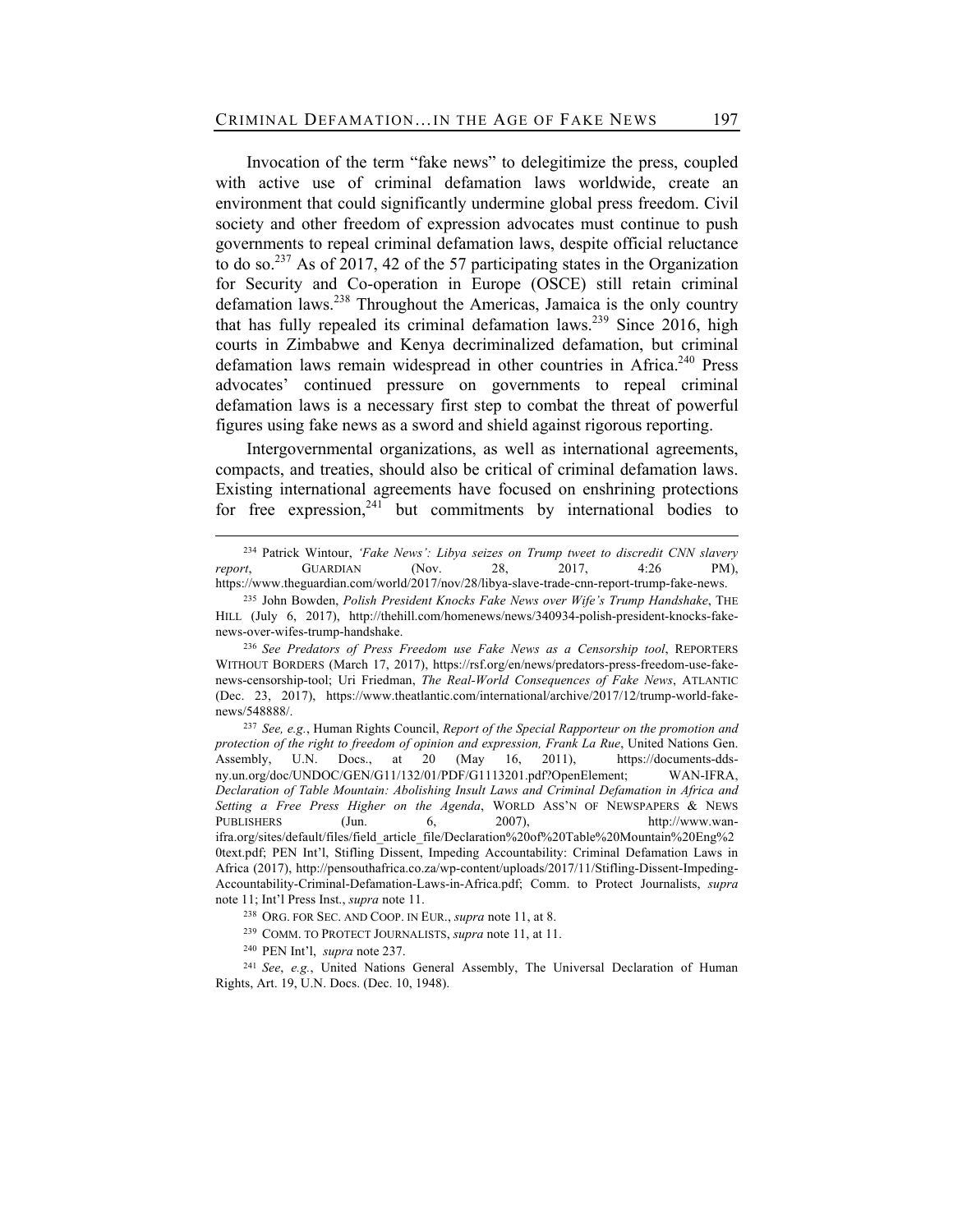Invocation of the term "fake news" to delegitimize the press, coupled with active use of criminal defamation laws worldwide, create an environment that could significantly undermine global press freedom. Civil society and other freedom of expression advocates must continue to push governments to repeal criminal defamation laws, despite official reluctance to do so.<sup>237</sup> As of 2017, 42 of the 57 participating states in the Organization for Security and Co-operation in Europe (OSCE) still retain criminal defamation laws.238 Throughout the Americas, Jamaica is the only country that has fully repealed its criminal defamation laws.<sup>239</sup> Since 2016, high courts in Zimbabwe and Kenya decriminalized defamation, but criminal defamation laws remain widespread in other countries in Africa.<sup>240</sup> Press advocates' continued pressure on governments to repeal criminal defamation laws is a necessary first step to combat the threat of powerful figures using fake news as a sword and shield against rigorous reporting.

Intergovernmental organizations, as well as international agreements, compacts, and treaties, should also be critical of criminal defamation laws. Existing international agreements have focused on enshrining protections for free expression,  $241$  but commitments by international bodies to

<sup>234</sup> Patrick Wintour, *'Fake News': Libya seizes on Trump tweet to discredit CNN slavery report*, GUARDIAN (Nov. 28, 2017, 4:26 PM), https://www.theguardian.com/world/2017/nov/28/libya-slave-trade-cnn-report-trump-fake-news.

<sup>235</sup> John Bowden, *Polish President Knocks Fake News over Wife's Trump Handshake*, THE HILL (July 6, 2017), http://thehill.com/homenews/news/340934-polish-president-knocks-fakenews-over-wifes-trump-handshake.

<sup>236</sup> *See Predators of Press Freedom use Fake News as a Censorship tool*, REPORTERS WITHOUT BORDERS (March 17, 2017), https://rsf.org/en/news/predators-press-freedom-use-fakenews-censorship-tool; Uri Friedman, *The Real-World Consequences of Fake News*, ATLANTIC (Dec. 23, 2017), https://www.theatlantic.com/international/archive/2017/12/trump-world-fakenews/548888/.

<sup>237</sup> *See, e.g.*, Human Rights Council, *Report of the Special Rapporteur on the promotion and protection of the right to freedom of opinion and expression, Frank La Rue*, United Nations Gen. Assembly, U.N. Docs., at 20 (May 16, 2011), https://documents-ddsny.un.org/doc/UNDOC/GEN/G11/132/01/PDF/G1113201.pdf?OpenElement; WAN-IFRA, *Declaration of Table Mountain: Abolishing Insult Laws and Criminal Defamation in Africa and Setting a Free Press Higher on the Agenda*, WORLD ASS'N OF NEWSPAPERS & NEWS PUBLISHERS (Jun. 6, 2007), http://www.wanifra.org/sites/default/files/field\_article\_file/Declaration%20of%20Table%20Mountain%20Eng%2 0text.pdf; PEN Int'l, Stifling Dissent, Impeding Accountability: Criminal Defamation Laws in Africa (2017), http://pensouthafrica.co.za/wp-content/uploads/2017/11/Stifling-Dissent-Impeding-Accountability-Criminal-Defamation-Laws-in-Africa.pdf; Comm. to Protect Journalists, *supra*  note 11; Int'l Press Inst., *supra* note 11.

<sup>238</sup> ORG. FOR SEC. AND COOP. IN EUR., *supra* note 11, at 8.

<sup>239</sup> COMM. TO PROTECT JOURNALISTS, *supra* note 11, at 11.

<sup>240</sup> PEN Int'l, *supra* note 237.

<sup>241</sup> *See*, *e.g.*, United Nations General Assembly, The Universal Declaration of Human Rights, Art. 19, U.N. Docs. (Dec. 10, 1948).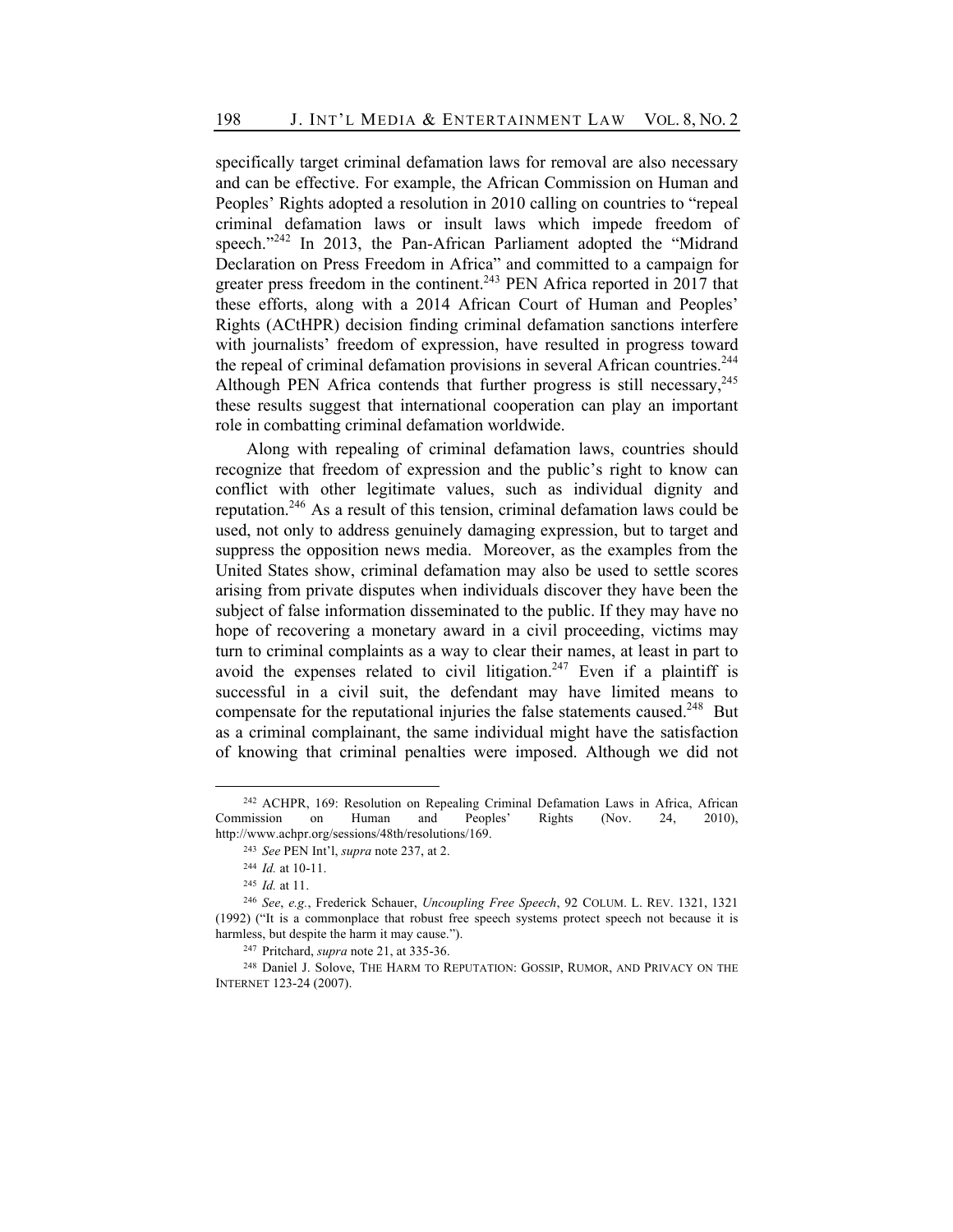specifically target criminal defamation laws for removal are also necessary and can be effective. For example, the African Commission on Human and Peoples' Rights adopted a resolution in 2010 calling on countries to "repeal criminal defamation laws or insult laws which impede freedom of speech."<sup>242</sup> In 2013, the Pan-African Parliament adopted the "Midrand Declaration on Press Freedom in Africa" and committed to a campaign for greater press freedom in the continent.<sup>243</sup> PEN Africa reported in 2017 that these efforts, along with a 2014 African Court of Human and Peoples' Rights (ACtHPR) decision finding criminal defamation sanctions interfere with journalists' freedom of expression, have resulted in progress toward the repeal of criminal defamation provisions in several African countries.<sup>244</sup> Although PEN Africa contends that further progress is still necessary,  $245$ these results suggest that international cooperation can play an important role in combatting criminal defamation worldwide.

Along with repealing of criminal defamation laws, countries should recognize that freedom of expression and the public's right to know can conflict with other legitimate values, such as individual dignity and reputation.246 As a result of this tension, criminal defamation laws could be used, not only to address genuinely damaging expression, but to target and suppress the opposition news media. Moreover, as the examples from the United States show, criminal defamation may also be used to settle scores arising from private disputes when individuals discover they have been the subject of false information disseminated to the public. If they may have no hope of recovering a monetary award in a civil proceeding, victims may turn to criminal complaints as a way to clear their names, at least in part to avoid the expenses related to civil litigation.<sup>247</sup> Even if a plaintiff is successful in a civil suit, the defendant may have limited means to compensate for the reputational injuries the false statements caused.<sup>248</sup> But as a criminal complainant, the same individual might have the satisfaction of knowing that criminal penalties were imposed. Although we did not

<sup>242</sup> ACHPR, 169: Resolution on Repealing Criminal Defamation Laws in Africa, African Commission on Human and Peoples' Rights (Nov. 24, 2010), http://www.achpr.org/sessions/48th/resolutions/169.

<sup>243</sup> *See* PEN Int'l, *supra* note 237, at 2.

<sup>244</sup> *Id.* at 10-11.

<sup>245</sup> *Id.* at 11.

<sup>246</sup> *See*, *e.g.*, Frederick Schauer, *Uncoupling Free Speech*, 92 COLUM. L. REV. 1321, 1321 (1992) ("It is a commonplace that robust free speech systems protect speech not because it is harmless, but despite the harm it may cause.").

<sup>247</sup> Pritchard, *supra* note 21, at 335-36.

<sup>&</sup>lt;sup>248</sup> Daniel J. Solove, THE HARM TO REPUTATION: GOSSIP, RUMOR, AND PRIVACY ON THE INTERNET 123-24 (2007).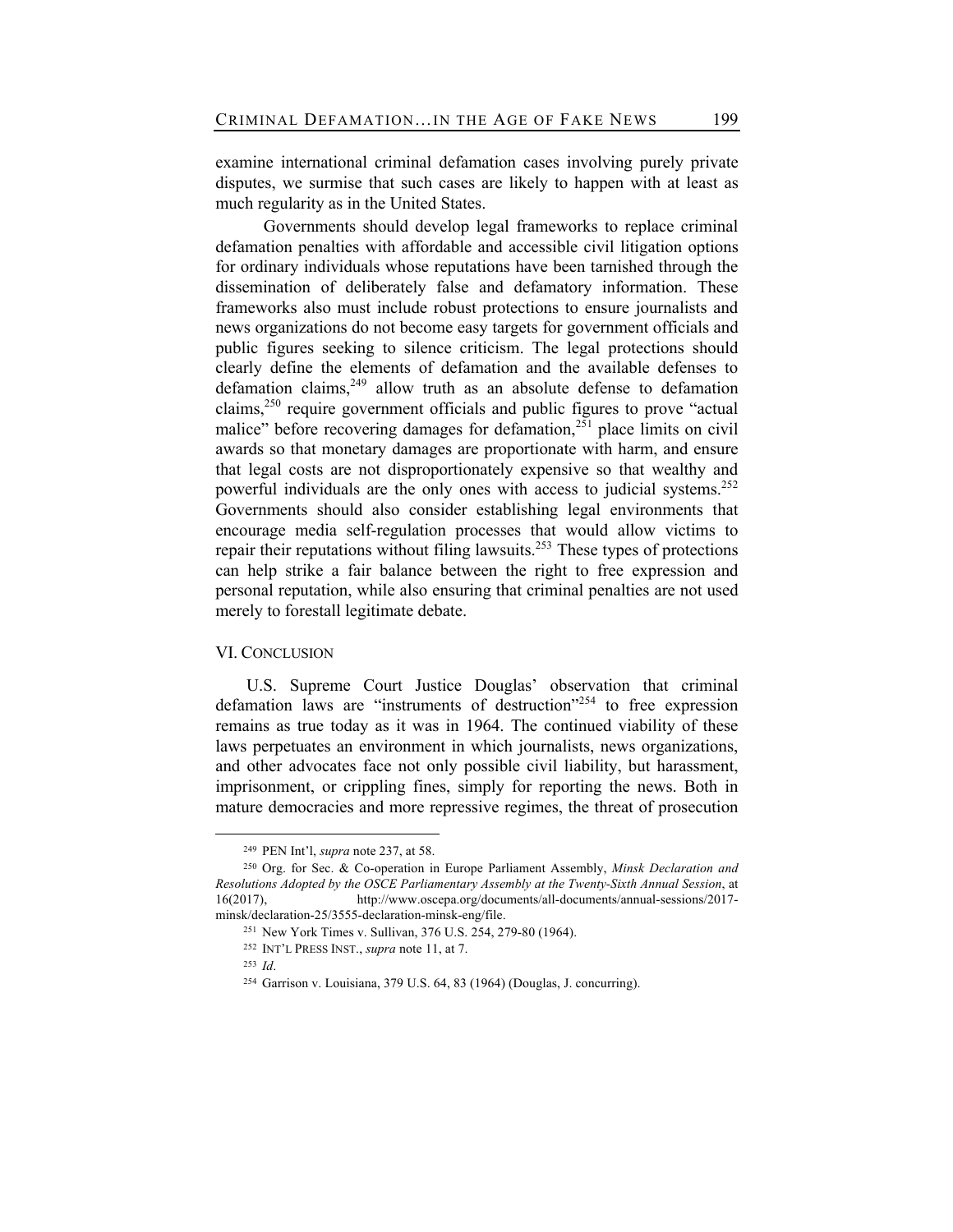examine international criminal defamation cases involving purely private disputes, we surmise that such cases are likely to happen with at least as much regularity as in the United States.

Governments should develop legal frameworks to replace criminal defamation penalties with affordable and accessible civil litigation options for ordinary individuals whose reputations have been tarnished through the dissemination of deliberately false and defamatory information. These frameworks also must include robust protections to ensure journalists and news organizations do not become easy targets for government officials and public figures seeking to silence criticism. The legal protections should clearly define the elements of defamation and the available defenses to defamation claims,  $249$  allow truth as an absolute defense to defamation claims,<sup>250</sup> require government officials and public figures to prove "actual" malice" before recovering damages for defamation, $251$  place limits on civil awards so that monetary damages are proportionate with harm, and ensure that legal costs are not disproportionately expensive so that wealthy and powerful individuals are the only ones with access to judicial systems.<sup>252</sup> Governments should also consider establishing legal environments that encourage media self-regulation processes that would allow victims to repair their reputations without filing lawsuits.<sup>253</sup> These types of protections can help strike a fair balance between the right to free expression and personal reputation, while also ensuring that criminal penalties are not used merely to forestall legitimate debate.

## VI. CONCLUSION

U.S. Supreme Court Justice Douglas' observation that criminal defamation laws are "instruments of destruction"<sup>254</sup> to free expression remains as true today as it was in 1964. The continued viability of these laws perpetuates an environment in which journalists, news organizations, and other advocates face not only possible civil liability, but harassment, imprisonment, or crippling fines, simply for reporting the news. Both in mature democracies and more repressive regimes, the threat of prosecution

<sup>249</sup> PEN Int'l, *supra* note 237, at 58.

<sup>250</sup> Org. for Sec. & Co-operation in Europe Parliament Assembly, *Minsk Declaration and Resolutions Adopted by the OSCE Parliamentary Assembly at the Twenty-Sixth Annual Session*, at 16(2017), http://www.oscepa.org/documents/all-documents/annual-sessions/2017 minsk/declaration-25/3555-declaration-minsk-eng/file.

<sup>251</sup> New York Times v. Sullivan, 376 U.S. 254, 279-80 (1964).

<sup>252</sup> INT'L PRESS INST., *supra* note 11, at 7.

<sup>253</sup> *Id*.

<sup>254</sup> Garrison v. Louisiana, 379 U.S. 64, 83 (1964) (Douglas, J. concurring).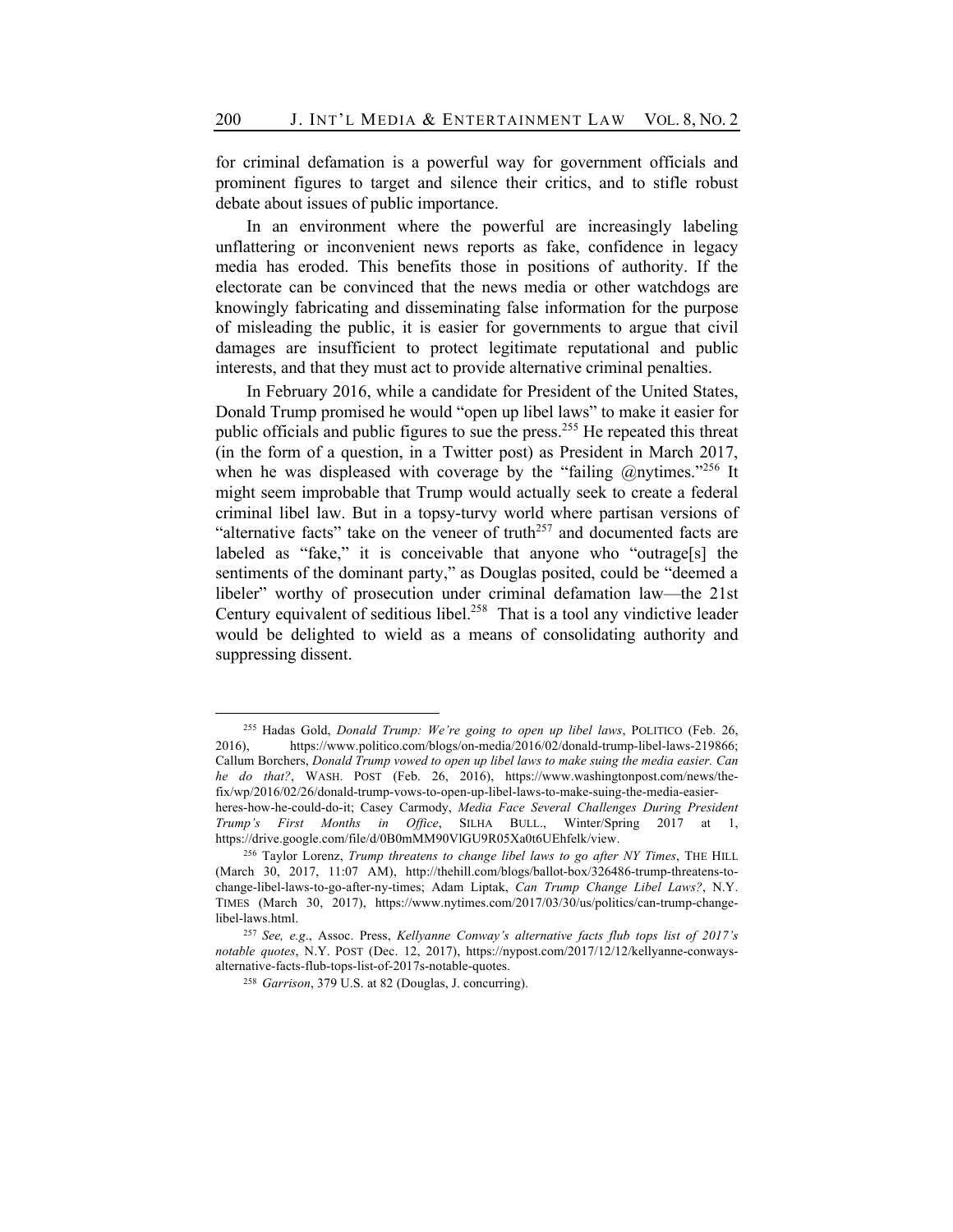for criminal defamation is a powerful way for government officials and prominent figures to target and silence their critics, and to stifle robust debate about issues of public importance.

In an environment where the powerful are increasingly labeling unflattering or inconvenient news reports as fake, confidence in legacy media has eroded. This benefits those in positions of authority. If the electorate can be convinced that the news media or other watchdogs are knowingly fabricating and disseminating false information for the purpose of misleading the public, it is easier for governments to argue that civil damages are insufficient to protect legitimate reputational and public interests, and that they must act to provide alternative criminal penalties.

In February 2016, while a candidate for President of the United States, Donald Trump promised he would "open up libel laws" to make it easier for public officials and public figures to sue the press.255 He repeated this threat (in the form of a question, in a Twitter post) as President in March 2017, when he was displeased with coverage by the "failing  $\omega$ nytimes."<sup>256</sup> It might seem improbable that Trump would actually seek to create a federal criminal libel law. But in a topsy-turvy world where partisan versions of "alternative facts" take on the veneer of truth<sup>257</sup> and documented facts are labeled as "fake," it is conceivable that anyone who "outrage[s] the sentiments of the dominant party," as Douglas posited, could be "deemed a libeler" worthy of prosecution under criminal defamation law—the 21st Century equivalent of seditious libel.<sup>258</sup> That is a tool any vindictive leader would be delighted to wield as a means of consolidating authority and suppressing dissent.

<sup>255</sup> Hadas Gold, *Donald Trump: We're going to open up libel laws*, POLITICO (Feb. 26, 2016), https://www.politico.com/blogs/on-media/2016/02/donald-trump-libel-laws-219866; Callum Borchers, *Donald Trump vowed to open up libel laws to make suing the media easier. Can he do that?*, WASH. POST (Feb. 26, 2016), https://www.washingtonpost.com/news/thefix/wp/2016/02/26/donald-trump-vows-to-open-up-libel-laws-to-make-suing-the-media-easierheres-how-he-could-do-it; Casey Carmody, *Media Face Several Challenges During President Trump's First Months in Office*, SILHA BULL., Winter/Spring 2017 at 1, https://drive.google.com/file/d/0B0mMM90VlGU9R05Xa0t6UEhfelk/view.

<sup>256</sup> Taylor Lorenz, *Trump threatens to change libel laws to go after NY Times*, THE HILL (March 30, 2017, 11:07 AM), http://thehill.com/blogs/ballot-box/326486-trump-threatens-tochange-libel-laws-to-go-after-ny-times; Adam Liptak, *Can Trump Change Libel Laws?*, N.Y. TIMES (March 30, 2017), https://www.nytimes.com/2017/03/30/us/politics/can-trump-changelibel-laws.html.

<sup>257</sup> *See, e.g*., Assoc. Press, *Kellyanne Conway's alternative facts flub tops list of 2017's notable quotes*, N.Y. POST (Dec. 12, 2017), https://nypost.com/2017/12/12/kellyanne-conwaysalternative-facts-flub-tops-list-of-2017s-notable-quotes.

<sup>258</sup> *Garrison*, 379 U.S. at 82 (Douglas, J. concurring).